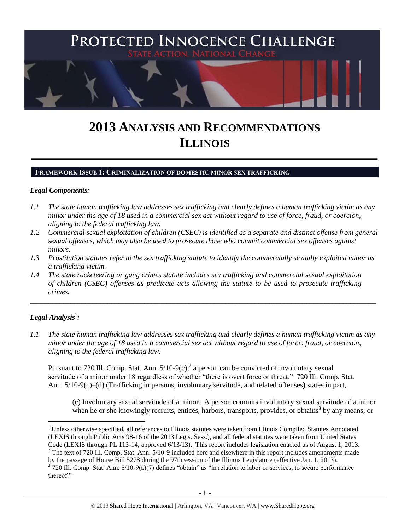

# **2013 ANALYSIS AND RECOMMENDATIONS ILLINOIS**

#### **FRAMEWORK ISSUE 1: CRIMINALIZATION OF DOMESTIC MINOR SEX TRAFFICKING**

#### *Legal Components:*

- *1.1 The state human trafficking law addresses sex trafficking and clearly defines a human trafficking victim as any minor under the age of 18 used in a commercial sex act without regard to use of force, fraud, or coercion, aligning to the federal trafficking law.*
- *1.2 Commercial sexual exploitation of children (CSEC) is identified as a separate and distinct offense from general sexual offenses, which may also be used to prosecute those who commit commercial sex offenses against minors.*
- *1.3 Prostitution statutes refer to the sex trafficking statute to identify the commercially sexually exploited minor as a trafficking victim.*

\_\_\_\_\_\_\_\_\_\_\_\_\_\_\_\_\_\_\_\_\_\_\_\_\_\_\_\_\_\_\_\_\_\_\_\_\_\_\_\_\_\_\_\_\_\_\_\_\_\_\_\_\_\_\_\_\_\_\_\_\_\_\_\_\_\_\_\_\_\_\_\_\_\_\_\_\_\_\_\_\_\_\_\_\_\_\_\_\_\_\_\_\_\_

*1.4 The state racketeering or gang crimes statute includes sex trafficking and commercial sexual exploitation of children (CSEC) offenses as predicate acts allowing the statute to be used to prosecute trafficking crimes.* 

# $\bm{L}$ egal Analysis $^1$ :

 $\overline{a}$ 

*1.1 The state human trafficking law addresses sex trafficking and clearly defines a human trafficking victim as any minor under the age of 18 used in a commercial sex act without regard to use of force, fraud, or coercion, aligning to the federal trafficking law.*

Pursuant to 720 Ill. Comp. Stat. Ann.  $5/10-9(c)$ , a person can be convicted of involuntary sexual servitude of a minor under 18 regardless of whether "there is overt force or threat." 720 Ill. Comp. Stat. Ann. 5/10-9(c)–(d) (Trafficking in persons, involuntary servitude, and related offenses) states in part,

<span id="page-0-0"></span>(c) Involuntary sexual servitude of a minor. A person commits involuntary sexual servitude of a minor when he or she knowingly recruits, entices, harbors, transports, provides, or obtains<sup>3</sup> by any means, or

<sup>&</sup>lt;sup>1</sup> Unless otherwise specified, all references to Illinois statutes were taken from Illinois Compiled Statutes Annotated (LEXIS through Public Acts 98-16 of the 2013 Legis. Sess.), and all federal statutes were taken from United States Code (LEXIS through PL 113-14, approved 6/13/13). This report includes legislation enacted as of August 1, 2013.

 $2$  The text of 720 Ill. Comp. Stat. Ann. 5/10-9 included here and elsewhere in this report includes amendments made

by the passage of House Bill 5278 during the 97th session of the Illinois Legislature (effective Jan. 1, 2013).

 $3^{3}$  720 Ill. Comp. Stat. Ann. 5/10-9(a)(7) defines "obtain" as "in relation to labor or services, to secure performance thereof."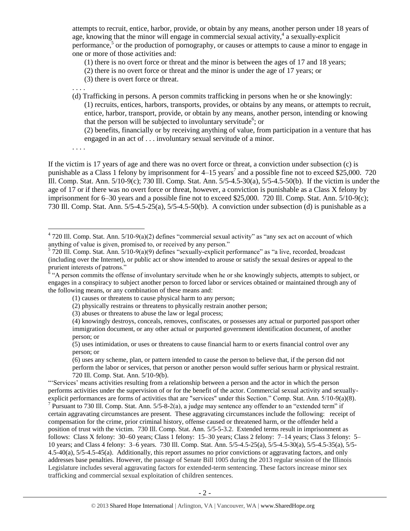attempts to recruit, entice, harbor, provide, or obtain by any means, another person under 18 years of age, knowing that the minor will engage in commercial sexual activity,<sup>4</sup> a sexually-explicit performance,<sup>5</sup> or the production of pornography, or causes or attempts to cause a minor to engage in one or more of those activities and:

(1) there is no overt force or threat and the minor is between the ages of 17 and 18 years;

(2) there is no overt force or threat and the minor is under the age of 17 years; or

(3) there is overt force or threat.

. . . .

(d) Trafficking in persons. A person commits trafficking in persons when he or she knowingly: (1) recruits, entices, harbors, transports, provides, or obtains by any means, or attempts to recruit, entice, harbor, transport, provide, or obtain by any means, another person, intending or knowing that the person will be subjected to involuntary servitude<sup>6</sup>; or

<span id="page-1-0"></span>(2) benefits, financially or by receiving anything of value, from participation in a venture that has engaged in an act of . . . involuntary sexual servitude of a minor.

. . . .

 $\overline{a}$ 

If the victim is 17 years of age and there was no overt force or threat, a conviction under subsection (c) is punishable as a Class 1 felony by imprisonment for  $4-15$  years<sup>7</sup> and a possible fine not to exceed \$25,000. 720 Ill. Comp. Stat. Ann. 5/10-9(c); 730 Ill. Comp. Stat. Ann. 5/5-4.5-30(a), 5/5-4.5-50(b). If the victim is under the age of 17 or if there was no overt force or threat, however, a conviction is punishable as a Class X felony by imprisonment for 6–30 years and a possible fine not to exceed \$25,000. 720 Ill. Comp. Stat. Ann. 5/10-9(c); 730 Ill. Comp. Stat. Ann. 5/5-4.5-25(a), 5/5-4.5-50(b). A conviction under subsection (d) is punishable as a

(6) uses any scheme, plan, or pattern intended to cause the person to believe that, if the person did not perform the labor or services, that person or another person would suffer serious harm or physical restraint. 720 Ill. Comp. Stat. Ann. 5/10-9(b).

"'Services' means activities resulting from a relationship between a person and the actor in which the person performs activities under the supervision of or for the benefit of the actor. Commercial sexual activity and sexuallyexplicit performances are forms of activities that are "services" under this Section." Comp. Stat. Ann. 5/10-9(a)(8). <sup>7</sup> Pursuant to 730 Ill. Comp. Stat. Ann. 5/5-8-2(a), a judge may sentence any offender to an "extended term" if certain aggravating circumstances are present. These aggravating circumstances include the following: receipt of compensation for the crime, prior criminal history, offense caused or threatened harm, or the offender held a position of trust with the victim. 730 Ill. Comp. Stat. Ann. 5/5-5-3.2. Extended terms result in imprisonment as follows: Class X felony: 30–60 years; Class 1 felony: 15–30 years; Class 2 felony: 7–14 years; Class 3 felony: 5– 10 years; and Class 4 felony: 3–6 years. 730 Ill. Comp. Stat. Ann. 5/5-4.5-25(a), 5/5-4.5-30(a), 5/5-4.5-35(a), 5/5- 4.5-40(a), 5/5-4.5-45(a). Additionally, this report assumes no prior convictions or aggravating factors, and only addresses base penalties. However, the passage of Senate Bill 1005 during the 2013 regular session of the Illinois Legislature includes several aggravating factors for extended-term sentencing. These factors increase minor sex trafficking and commercial sexual exploitation of children sentences.

 $4720$  Ill. Comp. Stat. Ann.  $5/10-9(a)(2)$  defines "commercial sexual activity" as "any sex act on account of which anything of value is given, promised to, or received by any person."<br>
<sup>5</sup> 720 Ill. Comp. Stat. Ann. 5/10-9(a)(9) defines "sexually-explicit performance" as "a live, recorded, broadcast

<sup>(</sup>including over the Internet), or public act or show intended to arouse or satisfy the sexual desires or appeal to the prurient interests of patrons."<br><sup>6</sup> "A person commits the offense of involuntary servitude when he or she knowingly subjects, attempts to subject, or

engages in a conspiracy to subject another person to forced labor or services obtained or maintained through any of the following means, or any combination of these means and:

<sup>(1)</sup> causes or threatens to cause physical harm to any person;

<sup>(2)</sup> physically restrains or threatens to physically restrain another person;

<sup>(3)</sup> abuses or threatens to abuse the law or legal process;

<sup>(4)</sup> knowingly destroys, conceals, removes, confiscates, or possesses any actual or purported passport other immigration document, or any other actual or purported government identification document, of another person; or

<sup>(5)</sup> uses intimidation, or uses or threatens to cause financial harm to or exerts financial control over any person; or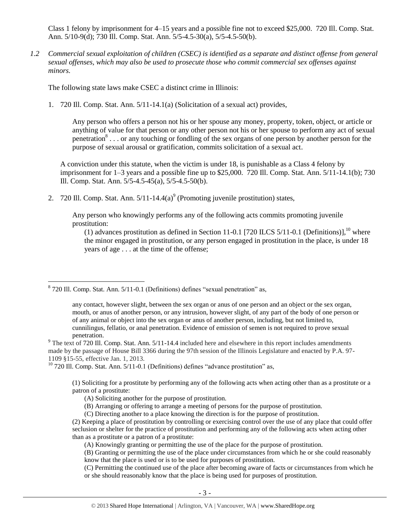Class 1 felony by imprisonment for 4–15 years and a possible fine not to exceed \$25,000. 720 Ill. Comp. Stat. Ann. 5/10-9(d); 730 Ill. Comp. Stat. Ann. 5/5-4.5-30(a), 5/5-4.5-50(b).

*1.2 Commercial sexual exploitation of children (CSEC) is identified as a separate and distinct offense from general sexual offenses, which may also be used to prosecute those who commit commercial sex offenses against minors.*

The following state laws make CSEC a distinct crime in Illinois:

1. 720 Ill. Comp. Stat. Ann. 5/11-14.1(a) (Solicitation of a sexual act) provides,

<span id="page-2-0"></span>Any person who offers a person not his or her spouse any money, property, token, object, or article or anything of value for that person or any other person not his or her spouse to perform any act of sexual penetration<sup>8</sup>... or any touching or fondling of the sex organs of one person by another person for the purpose of sexual arousal or gratification, commits solicitation of a sexual act.

A conviction under this statute, when the victim is under 18, is punishable as a Class 4 felony by imprisonment for  $1-3$  years and a possible fine up to \$25,000. 720 Ill. Comp. Stat. Ann. 5/11-14.1(b); 730 Ill. Comp. Stat. Ann. 5/5-4.5-45(a), 5/5-4.5-50(b).

2. 720 Ill. Comp. Stat. Ann.  $5/11-14.4(a)$ <sup>9</sup> (Promoting juvenile prostitution) states,

Any person who knowingly performs any of the following acts commits promoting juvenile prostitution:

<span id="page-2-1"></span>(1) advances prostitution as defined in Section 11-0.1 [720 ILCS 5/11-0.1 (Definitions)],<sup>10</sup> where the minor engaged in prostitution, or any person engaged in prostitution in the place, is under 18 years of age . . . at the time of the offense;

 $\overline{a}$ 

(1) Soliciting for a prostitute by performing any of the following acts when acting other than as a prostitute or a patron of a prostitute:

- (A) Soliciting another for the purpose of prostitution.
- (B) Arranging or offering to arrange a meeting of persons for the purpose of prostitution.

<sup>&</sup>lt;sup>8</sup> 720 Ill. Comp. Stat. Ann. 5/11-0.1 (Definitions) defines "sexual penetration" as,

any contact, however slight, between the sex organ or anus of one person and an object or the sex organ, mouth, or anus of another person, or any intrusion, however slight, of any part of the body of one person or of any animal or object into the sex organ or anus of another person, including, but not limited to, cunnilingus, fellatio, or anal penetration. Evidence of emission of semen is not required to prove sexual penetration.

<sup>&</sup>lt;sup>9</sup> The text of 720 Ill. Comp. Stat. Ann. 5/11-14.4 included here and elsewhere in this report includes amendments made by the passage of House Bill 3366 during the 97th session of the Illinois Legislature and enacted by P.A. 97- 1109 §15-55, effective Jan. 1, 2013.

 $10$  720 Ill. Comp. Stat. Ann. 5/11-0.1 (Definitions) defines "advance prostitution" as,

<sup>(</sup>C) Directing another to a place knowing the direction is for the purpose of prostitution.

<sup>(2)</sup> Keeping a place of prostitution by controlling or exercising control over the use of any place that could offer seclusion or shelter for the practice of prostitution and performing any of the following acts when acting other than as a prostitute or a patron of a prostitute:

<sup>(</sup>A) Knowingly granting or permitting the use of the place for the purpose of prostitution.

<sup>(</sup>B) Granting or permitting the use of the place under circumstances from which he or she could reasonably know that the place is used or is to be used for purposes of prostitution.

<sup>(</sup>C) Permitting the continued use of the place after becoming aware of facts or circumstances from which he or she should reasonably know that the place is being used for purposes of prostitution.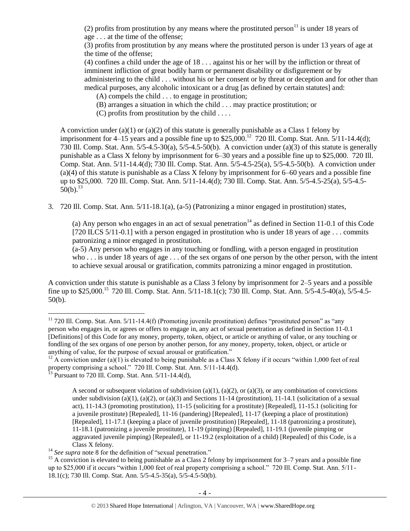(2) profits from prostitution by any means where the prostituted person<sup>11</sup> is under 18 years of age . . . at the time of the offense;

(3) profits from prostitution by any means where the prostituted person is under 13 years of age at the time of the offense;

(4) confines a child under the age of 18 . . . against his or her will by the infliction or threat of imminent infliction of great bodily harm or permanent disability or disfigurement or by administering to the child . . . without his or her consent or by threat or deception and for other than medical purposes, any alcoholic intoxicant or a drug [as defined by certain statutes] and:

(A) compels the child . . . to engage in prostitution;

- (B) arranges a situation in which the child . . . may practice prostitution; or
- (C) profits from prostitution by the child  $\dots$

A conviction under (a)(1) or (a)(2) of this statute is generally punishable as a Class 1 felony by imprisonment for 4–15 years and a possible fine up to  $$25,000$ .<sup>12</sup> 720 Ill. Comp. Stat. Ann.  $5/11$ -14.4(d); 730 Ill. Comp. Stat. Ann. 5/5-4.5-30(a), 5/5-4.5-50(b). A conviction under (a)(3) of this statute is generally punishable as a Class X felony by imprisonment for 6–30 years and a possible fine up to \$25,000. 720 Ill. Comp. Stat. Ann. 5/11-14.4(d); 730 Ill. Comp. Stat. Ann. 5/5-4.5-25(a), 5/5-4.5-50(b). A conviction under (a)(4) of this statute is punishable as a Class X felony by imprisonment for 6–60 years and a possible fine up to \$25,000. 720 Ill. Comp. Stat. Ann. 5/11-14.4(d); 730 Ill. Comp. Stat. Ann. 5/5-4.5-25(a), 5/5-4.5-  $50(b)$ <sup>13</sup>

3. 720 Ill. Comp. Stat. Ann. 5/11-18.1(a), (a-5) (Patronizing a minor engaged in prostitution) states,

<span id="page-3-1"></span>(a) Any person who engages in an act of sexual penetration<sup>14</sup> as defined in Section 11-0.1 of this Code [720 ILCS 5/11-0.1] with a person engaged in prostitution who is under 18 years of age . . . commits patronizing a minor engaged in prostitution.

<span id="page-3-0"></span>(a-5) Any person who engages in any touching or fondling, with a person engaged in prostitution who . . . is under 18 years of age . . . of the sex organs of one person by the other person, with the intent to achieve sexual arousal or gratification, commits patronizing a minor engaged in prostitution.

A conviction under this statute is punishable as a Class 3 felony by imprisonment for 2–5 years and a possible fine up to \$25,000.<sup>15</sup> 720 Ill. Comp. Stat. Ann. 5/11-18.1(c); 730 Ill. Comp. Stat. Ann. 5/5-4.5-40(a), 5/5-4.5- 50(b).

 $11$  720 Ill. Comp. Stat. Ann. 5/11-14.4(f) (Promoting juvenile prostitution) defines "prostituted person" as "any person who engages in, or agrees or offers to engage in, any act of sexual penetration as defined in Section 11-0.1 [Definitions] of this Code for any money, property, token, object, or article or anything of value, or any touching or fondling of the sex organs of one person by another person, for any money, property, token, object, or article or anything of value, for the purpose of sexual arousal or gratification."

<sup>&</sup>lt;sup>12</sup> A conviction under (a)(1) is elevated to being punishable as a Class X felony if it occurs "within 1,000 feet of real property comprising a school." 720 Ill. Comp. Stat. Ann. 5/11-14.4(d).

<sup>13</sup> Pursuant to 720 Ill. Comp. Stat. Ann. 5/11-14.4(d),

A second or subsequent violation of subdivision (a)(1), (a)(2), or (a)(3), or any combination of convictions under subdivision (a)(1), (a)(2), or (a)(3) and Sections 11-14 (prostitution), 11-14.1 (solicitation of a sexual act), 11-14.3 (promoting prostitution), 11-15 (soliciting for a prostitute) [Repealed], 11-15.1 (soliciting for a juvenile prostitute) [Repealed], 11-16 (pandering) [Repealed], 11-17 (keeping a place of prostitution) [Repealed], 11-17.1 (keeping a place of juvenile prostitution) [Repealed], 11-18 (patronizing a prostitute), 11-18.1 (patronizing a juvenile prostitute), 11-19 (pimping) [Repealed], 11-19.1 (juvenile pimping or aggravated juvenile pimping) [Repealed], or 11-19.2 (exploitation of a child) [Repealed] of this Code, is a Class X felony.

<sup>&</sup>lt;sup>14</sup> See supra note [8](#page-2-0) for the definition of "sexual penetration."

<sup>&</sup>lt;sup>15</sup> A conviction is elevated to being punishable as a Class 2 felony by imprisonment for  $3-7$  years and a possible fine up to \$25,000 if it occurs "within 1,000 feet of real property comprising a school." 720 Ill. Comp. Stat. Ann. 5/11- 18.1(c); 730 Ill. Comp. Stat. Ann. 5/5-4.5-35(a), 5/5-4.5-50(b).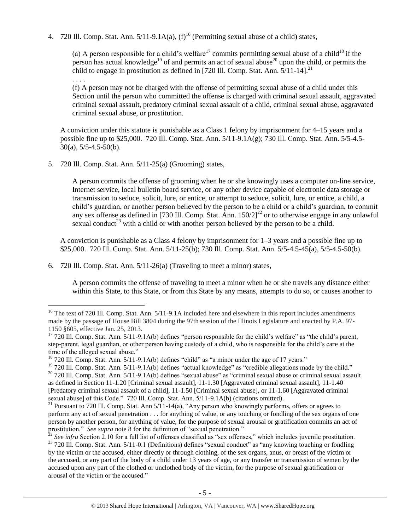4. 720 Ill. Comp. Stat. Ann.  $5/11-9.1A(a)$ ,  $(f)^{16}$  (Permitting sexual abuse of a child) states,

(a) A person responsible for a child's welfare<sup>17</sup> commits permitting sexual abuse of a child<sup>18</sup> if the person has actual knowledge<sup>19</sup> of and permits an act of sexual abuse<sup>20</sup> upon the child, or permits the child to engage in prostitution as defined in [720 Ill. Comp. Stat. Ann.  $\frac{5}{11}$ -14].<sup>21</sup> . . . .

(f) A person may not be charged with the offense of permitting sexual abuse of a child under this Section until the person who committed the offense is charged with criminal sexual assault, aggravated criminal sexual assault, predatory criminal sexual assault of a child, criminal sexual abuse, aggravated criminal sexual abuse, or prostitution.

A conviction under this statute is punishable as a Class 1 felony by imprisonment for 4–15 years and a possible fine up to \$25,000. 720 Ill. Comp. Stat. Ann. 5/11-9.1A(g); 730 Ill. Comp. Stat. Ann. 5/5-4.5- 30(a), 5/5-4.5-50(b).

5. 720 Ill. Comp. Stat. Ann. 5/11-25(a) (Grooming) states,

 $\overline{a}$ 

A person commits the offense of grooming when he or she knowingly uses a computer on-line service, Internet service, local bulletin board service, or any other device capable of electronic data storage or transmission to seduce, solicit, lure, or entice, or attempt to seduce, solicit, lure, or entice, a child, a child's guardian, or another person believed by the person to be a child or a child's guardian, to commit any sex offense as defined in [730 Ill. Comp. Stat. Ann.  $150/2$ ]<sup>22</sup> or to otherwise engage in any unlawful sexual conduct<sup>23</sup> with a child or with another person believed by the person to be a child.

<span id="page-4-0"></span>A conviction is punishable as a Class 4 felony by imprisonment for 1–3 years and a possible fine up to \$25,000. 720 Ill. Comp. Stat. Ann. 5/11-25(b); 730 Ill. Comp. Stat. Ann. 5/5-4.5-45(a), 5/5-4.5-50(b).

6. 720 Ill. Comp. Stat. Ann. 5/11-26(a) (Traveling to meet a minor) states,

A person commits the offense of traveling to meet a minor when he or she travels any distance either within this State, to this State, or from this State by any means, attempts to do so, or causes another to

<sup>&</sup>lt;sup>16</sup> The text of 720 Ill. Comp. Stat. Ann.  $5/11$ -9.1A included here and elsewhere in this report includes amendments made by the passage of House Bill 3804 during the 97th session of the Illinois Legislature and enacted by P.A. 97- 1150 §605, effective Jan. 25, 2013.

 $17720$  Ill. Comp. Stat. Ann.  $5/11-9.1A(b)$  defines "person responsible for the child's welfare" as "the child's parent, step-parent, legal guardian, or other person having custody of a child, who is responsible for the child's care at the time of the alleged sexual abuse."

 $18$  720 Ill. Comp. Stat. Ann.  $5/11-9.1A(b)$  defines "child" as "a minor under the age of 17 years."

<sup>&</sup>lt;sup>19</sup> 720 Ill. Comp. Stat. Ann. 5/11-9.1A(b) defines "actual knowledge" as "credible allegations made by the child." <sup>20</sup> 720 Ill. Comp. Stat. Ann. 5/11-9.1A(b) defines "sexual abuse" as "criminal sexual abuse or criminal sexual assault

as defined in Section 11-1.20 [Criminal sexual assault], 11-1.30 [Aggravated criminal sexual assault], 11-1.40 [Predatory criminal sexual assault of a child], 11-1.50 [Criminal sexual abuse], or 11-1.60 [Aggravated criminal sexual abuse] of this Code." 720 Ill. Comp. Stat. Ann. 5/11-9.1A(b) (citations omitted).

<sup>&</sup>lt;sup>21</sup> Pursuant to 720 Ill. Comp. Stat. Ann  $5/11-14(a)$ , "Any person who knowingly performs, offers or agrees to perform any act of sexual penetration . . . for anything of value, or any touching or fondling of the sex organs of one person by another person, for anything of value, for the purpose of sexual arousal or gratification commits an act of prostitution." *See supra* note [8](#page-2-0) for the definition of "sexual penetration."

 $^{22}$  *See infra* Section 2.10 for a full list of offenses classified as "sex offenses," which includes juvenile prostitution. <sup>23</sup> 720 III. Comp. Stat. Ann. 5/11-0.1 (Definitions) defines "sexual conduct" as "any knowing touching or fondling by the victim or the accused, either directly or through clothing, of the sex organs, anus, or breast of the victim or the accused, or any part of the body of a child under 13 years of age, or any transfer or transmission of semen by the accused upon any part of the clothed or unclothed body of the victim, for the purpose of sexual gratification or arousal of the victim or the accused."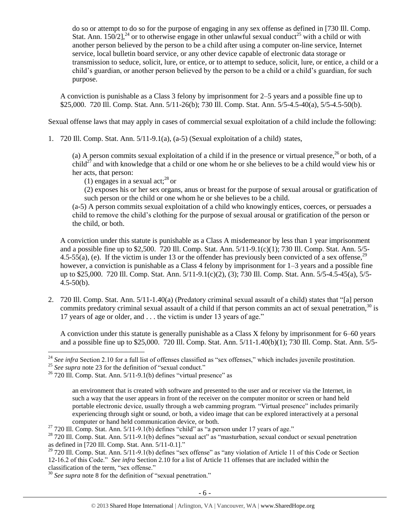do so or attempt to do so for the purpose of engaging in any sex offense as defined in [730 Ill. Comp. Stat. Ann.  $150/2$ ],<sup>24</sup> or to otherwise engage in other unlawful sexual conduct<sup>25</sup> with a child or with another person believed by the person to be a child after using a computer on-line service, Internet service, local bulletin board service, or any other device capable of electronic data storage or transmission to seduce, solicit, lure, or entice, or to attempt to seduce, solicit, lure, or entice, a child or a child's guardian, or another person believed by the person to be a child or a child's guardian, for such purpose.

A conviction is punishable as a Class 3 felony by imprisonment for 2–5 years and a possible fine up to \$25,000. 720 Ill. Comp. Stat. Ann. 5/11-26(b); 730 Ill. Comp. Stat. Ann. 5/5-4.5-40(a), 5/5-4.5-50(b).

Sexual offense laws that may apply in cases of commercial sexual exploitation of a child include the following:

1. 720 Ill. Comp. Stat. Ann. 5/11-9.1(a), (a-5) (Sexual exploitation of a child) states,

(a) A person commits sexual exploitation of a child if in the presence or virtual presence,  $^{26}$  or both, of a child<sup>27</sup> and with knowledge that a child or one whom he or she believes to be a child would view his or her acts, that person:

(1) engages in a sexual act;<sup>28</sup> or

(2) exposes his or her sex organs, anus or breast for the purpose of sexual arousal or gratification of such person or the child or one whom he or she believes to be a child.

(a-5) A person commits sexual exploitation of a child who knowingly entices, coerces, or persuades a child to remove the child's clothing for the purpose of sexual arousal or gratification of the person or the child, or both.

A conviction under this statute is punishable as a Class A misdemeanor by less than 1 year imprisonment and a possible fine up to \$2,500. 720 Ill. Comp. Stat. Ann. 5/11-9.1(c)(1); 730 Ill. Comp. Stat. Ann. 5/5- 4.5-55(a), (e). If the victim is under 13 or the offender has previously been convicted of a sex offense,  $2^9$ however, a conviction is punishable as a Class 4 felony by imprisonment for  $1-3$  years and a possible fine up to \$25,000. 720 Ill. Comp. Stat. Ann. 5/11-9.1(c)(2), (3); 730 Ill. Comp. Stat. Ann. 5/5-4.5-45(a), 5/5-  $4.5 - 50(b)$ .

2. 720 Ill. Comp. Stat. Ann. 5/11-1.40(a) (Predatory criminal sexual assault of a child) states that "[a] person commits predatory criminal sexual assault of a child if that person commits an act of sexual penetration,<sup>30</sup> is 17 years of age or older, and . . . the victim is under 13 years of age."

A conviction under this statute is generally punishable as a Class X felony by imprisonment for 6–60 years and a possible fine up to \$25,000. 720 Ill. Comp. Stat. Ann. 5/11-1.40(b)(1); 730 Ill. Comp. Stat. Ann. 5/5-

<sup>&</sup>lt;sup>24</sup> See infra Section 2.10 for a full list of offenses classified as "sex offenses," which includes juvenile prostitution.

<sup>&</sup>lt;sup>25</sup> See supra note [23](#page-4-0) for the definition of "sexual conduct."

 $26$  720 Ill. Comp. Stat. Ann.  $5/11-9.1(b)$  defines "virtual presence" as

an environment that is created with software and presented to the user and or receiver via the Internet, in such a way that the user appears in front of the receiver on the computer monitor or screen or hand held portable electronic device, usually through a web camming program. "Virtual presence" includes primarily experiencing through sight or sound, or both, a video image that can be explored interactively at a personal computer or hand held communication device, or both.

 $27$  720 Ill. Comp. Stat. Ann. 5/11-9.1(b) defines "child" as "a person under 17 years of age."

 $^{28}$  720 Ill. Comp. Stat. Ann. 5/11-9.1(b) defines "sexual act" as "masturbation, sexual conduct or sexual penetration as defined in [720 Ill. Comp. Stat. Ann. 5/11-0.1]."

 $29$  720 Ill. Comp. Stat. Ann.  $5/11-9.1(b)$  defines "sex offense" as "any violation of Article 11 of this Code or Section 12-16.2 of this Code." *See infra* Section 2.10 for a list of Article 11 offenses that are included within the classification of the term, "sex offense."

<sup>30</sup> *See supra* note [8](#page-2-0) for the definition of "sexual penetration."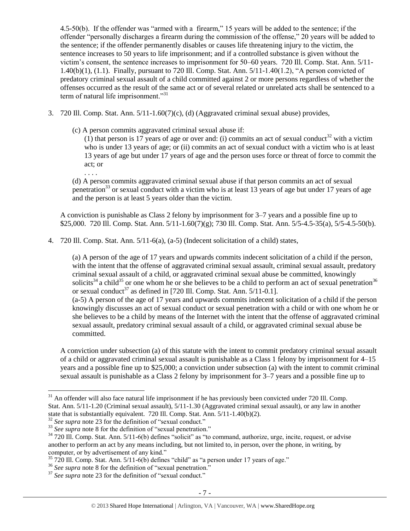4.5-50(b). If the offender was "armed with a firearm," 15 years will be added to the sentence; if the offender "personally discharges a firearm during the commission of the offense," 20 years will be added to the sentence; if the offender permanently disables or causes life threatening injury to the victim, the sentence increases to 50 years to life imprisonment; and if a controlled substance is given without the victim's consent, the sentence increases to imprisonment for 50–60 years. 720 Ill. Comp. Stat. Ann. 5/11- 1.40(b)(1), (1.1). Finally, pursuant to 720 Ill. Comp. Stat. Ann. 5/11-1.40(1.2), "A person convicted of predatory criminal sexual assault of a child committed against 2 or more persons regardless of whether the offenses occurred as the result of the same act or of several related or unrelated acts shall be sentenced to a term of natural life imprisonment."<sup>31</sup>

- 3. 720 Ill. Comp. Stat. Ann. 5/11-1.60(7)(c), (d) (Aggravated criminal sexual abuse) provides,
	- (c) A person commits aggravated criminal sexual abuse if:

. . . .

 $\overline{a}$ 

(1) that person is 17 years of age or over and: (i) commits an act of sexual conduct<sup>32</sup> with a victim who is under 13 years of age; or (ii) commits an act of sexual conduct with a victim who is at least 13 years of age but under 17 years of age and the person uses force or threat of force to commit the act; or

(d) A person commits aggravated criminal sexual abuse if that person commits an act of sexual penetration<sup>33</sup> or sexual conduct with a victim who is at least 13 years of age but under 17 years of age and the person is at least 5 years older than the victim.

A conviction is punishable as Class 2 felony by imprisonment for 3–7 years and a possible fine up to \$25,000. 720 Ill. Comp. Stat. Ann. 5/11-1.60(7)(g); 730 Ill. Comp. Stat. Ann. 5/5-4.5-35(a), 5/5-4.5-50(b).

4. 720 Ill. Comp. Stat. Ann. 5/11-6(a), (a-5) (Indecent solicitation of a child) states,

(a) A person of the age of 17 years and upwards commits indecent solicitation of a child if the person, with the intent that the offense of aggravated criminal sexual assault, criminal sexual assault, predatory criminal sexual assault of a child, or aggravated criminal sexual abuse be committed, knowingly solicits<sup>34</sup> a child<sup>35</sup> or one whom he or she believes to be a child to perform an act of sexual penetration<sup>36</sup> or sexual conduct<sup>37</sup> as defined in [720 Ill. Comp. Stat. Ann.  $5/11$ -0.1].

(a-5) A person of the age of 17 years and upwards commits indecent solicitation of a child if the person knowingly discusses an act of sexual conduct or sexual penetration with a child or with one whom he or she believes to be a child by means of the Internet with the intent that the offense of aggravated criminal sexual assault, predatory criminal sexual assault of a child, or aggravated criminal sexual abuse be committed.

A conviction under subsection (a) of this statute with the intent to commit predatory criminal sexual assault of a child or aggravated criminal sexual assault is punishable as a Class 1 felony by imprisonment for 4–15 years and a possible fine up to \$25,000; a conviction under subsection (a) with the intent to commit criminal sexual assault is punishable as a Class 2 felony by imprisonment for 3–7 years and a possible fine up to

 $31$  An offender will also face natural life imprisonment if he has previously been convicted under 720 Ill. Comp. Stat. Ann. 5/11-1.20 (Criminal sexual assault), 5/11-1.30 (Aggravated criminal sexual assault), or any law in another state that is substantially equivalent. 720 Ill. Comp. Stat. Ann. 5/11-1.40(b)(2).

<sup>&</sup>lt;sup>32</sup> See supra note [23](#page-4-0) for the definition of "sexual conduct."

<sup>&</sup>lt;sup>33</sup> See supra note [8](#page-2-0) for the definition of "sexual penetration."

<sup>&</sup>lt;sup>34</sup> 720 Ill. Comp. Stat. Ann. 5/11-6(b) defines "solicit" as "to command, authorize, urge, incite, request, or advise another to perform an act by any means including, but not limited to, in person, over the phone, in writing, by computer, or by advertisement of any kind."

 $35$  720 Ill. Comp. Stat. Ann. 5/11-6(b) defines "child" as "a person under 17 years of age."

<sup>&</sup>lt;sup>36</sup> See supra note [8](#page-2-0) for the definition of "sexual penetration."

<sup>&</sup>lt;sup>37</sup> See supra note [23](#page-4-0) for the definition of "sexual conduct."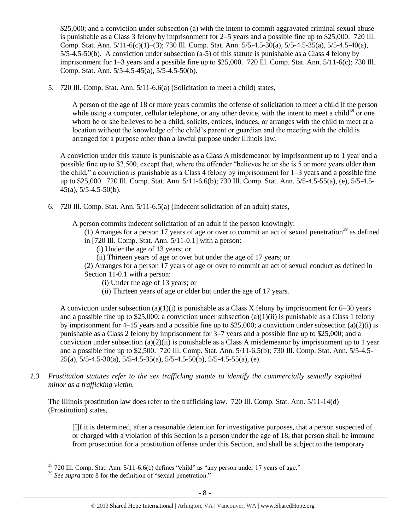\$25,000; and a conviction under subsection (a) with the intent to commit aggravated criminal sexual abuse is punishable as a Class 3 felony by imprisonment for 2–5 years and a possible fine up to \$25,000. 720 Ill. Comp. Stat. Ann. 5/11-6(c)(1)–(3); 730 Ill. Comp. Stat. Ann. 5/5-4.5-30(a), 5/5-4.5-35(a), 5/5-4.5-40(a), 5/5-4.5-50(b). A conviction under subsection (a-5) of this statute is punishable as a Class 4 felony by imprisonment for 1–3 years and a possible fine up to \$25,000. 720 Ill. Comp. Stat. Ann. 5/11-6(c); 730 Ill. Comp. Stat. Ann. 5/5-4.5-45(a), 5/5-4.5-50(b).

5. 720 Ill. Comp. Stat. Ann. 5/11-6.6(a) (Solicitation to meet a child) states,

A person of the age of 18 or more years commits the offense of solicitation to meet a child if the person while using a computer, cellular telephone, or any other device, with the intent to meet a child<sup>38</sup> or one whom he or she believes to be a child, solicits, entices, induces, or arranges with the child to meet at a location without the knowledge of the child's parent or guardian and the meeting with the child is arranged for a purpose other than a lawful purpose under Illinois law.

A conviction under this statute is punishable as a Class A misdemeanor by imprisonment up to 1 year and a possible fine up to \$2,500, except that, where the offender "believes he or she is 5 or more years older than the child," a conviction is punishable as a Class 4 felony by imprisonment for 1–3 years and a possible fine up to \$25,000. 720 Ill. Comp. Stat. Ann. 5/11-6.6(b); 730 Ill. Comp. Stat. Ann. 5/5-4.5-55(a), (e), 5/5-4.5- 45(a), 5/5-4.5-50(b).

6. 720 Ill. Comp. Stat. Ann. 5/11-6.5(a) (Indecent solicitation of an adult) states,

A person commits indecent solicitation of an adult if the person knowingly:

- (1) Arranges for a person 17 years of age or over to commit an act of sexual penetration<sup>39</sup> as defined
- in [720 Ill. Comp. Stat. Ann. 5/11-0.1] with a person:
	- (i) Under the age of 13 years; or
	- (ii) Thirteen years of age or over but under the age of 17 years; or

(2) Arranges for a person 17 years of age or over to commit an act of sexual conduct as defined in Section 11-0.1 with a person:

- (i) Under the age of 13 years; or
- (ii) Thirteen years of age or older but under the age of 17 years.

A conviction under subsection (a)(1)(i) is punishable as a Class X felony by imprisonment for  $6-30$  years and a possible fine up to \$25,000; a conviction under subsection  $(a)(1)(ii)$  is punishable as a Class 1 felony by imprisonment for 4–15 years and a possible fine up to \$25,000; a conviction under subsection (a)(2)(i) is punishable as a Class 2 felony by imprisonment for 3–7 years and a possible fine up to \$25,000; and a conviction under subsection  $(a)(2)(ii)$  is punishable as a Class A misdemeanor by imprisonment up to 1 year and a possible fine up to \$2,500. 720 Ill. Comp. Stat. Ann. 5/11-6.5(b); 730 Ill. Comp. Stat. Ann. 5/5-4.5-  $25(a)$ ,  $5/5-4.5-30(a)$ ,  $5/5-4.5-35(a)$ ,  $5/5-4.5-50(b)$ ,  $5/5-4.5-55(a)$ , (e).

*1.3 Prostitution statutes refer to the sex trafficking statute to identify the commercially sexually exploited minor as a trafficking victim.* 

The Illinois prostitution law does refer to the trafficking law. 720 Ill. Comp. Stat. Ann. 5/11-14(d) (Prostitution) states,

[I]f it is determined, after a reasonable detention for investigative purposes, that a person suspected of or charged with a violation of this Section is a person under the age of 18, that person shall be immune from prosecution for a prostitution offense under this Section, and shall be subject to the temporary

 $38\,720$  Ill. Comp. Stat. Ann.  $5/11$ -6.6(c) defines "child" as "any person under 17 years of age."

<sup>&</sup>lt;sup>39</sup> See supra note [8](#page-2-0) for the definition of "sexual penetration."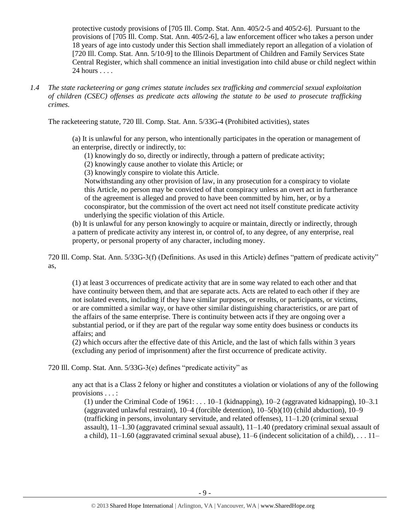protective custody provisions of [705 Ill. Comp. Stat. Ann. 405/2-5 and 405/2-6]. Pursuant to the provisions of [705 Ill. Comp. Stat. Ann. 405/2-6], a law enforcement officer who takes a person under 18 years of age into custody under this Section shall immediately report an allegation of a violation of [720 Ill. Comp. Stat. Ann. 5/10-9] to the Illinois Department of Children and Family Services State Central Register, which shall commence an initial investigation into child abuse or child neglect within 24 hours . . . .

*1.4 The state racketeering or gang crimes statute includes sex trafficking and commercial sexual exploitation of children (CSEC) offenses as predicate acts allowing the statute to be used to prosecute trafficking crimes.* 

The racketeering statute, 720 Ill. Comp. Stat. Ann. 5/33G-4 (Prohibited activities), states

(a) It is unlawful for any person, who intentionally participates in the operation or management of an enterprise, directly or indirectly, to:

(1) knowingly do so, directly or indirectly, through a pattern of predicate activity;

(2) knowingly cause another to violate this Article; or

(3) knowingly conspire to violate this Article.

Notwithstanding any other provision of law, in any prosecution for a conspiracy to violate this Article, no person may be convicted of that conspiracy unless an overt act in furtherance of the agreement is alleged and proved to have been committed by him, her, or by a coconspirator, but the commission of the overt act need not itself constitute predicate activity underlying the specific violation of this Article.

(b) It is unlawful for any person knowingly to acquire or maintain, directly or indirectly, through a pattern of predicate activity any interest in, or control of, to any degree, of any enterprise, real property, or personal property of any character, including money.

720 Ill. Comp. Stat. Ann. 5/33G-3(f) (Definitions. As used in this Article) defines "pattern of predicate activity" as,

(1) at least 3 occurrences of predicate activity that are in some way related to each other and that have continuity between them, and that are separate acts. Acts are related to each other if they are not isolated events, including if they have similar purposes, or results, or participants, or victims, or are committed a similar way, or have other similar distinguishing characteristics, or are part of the affairs of the same enterprise. There is continuity between acts if they are ongoing over a substantial period, or if they are part of the regular way some entity does business or conducts its affairs; and

(2) which occurs after the effective date of this Article, and the last of which falls within 3 years (excluding any period of imprisonment) after the first occurrence of predicate activity.

720 Ill. Comp. Stat. Ann. 5/33G-3(e) defines "predicate activity" as

any act that is a Class 2 felony or higher and constitutes a violation or violations of any of the following provisions . . . :

(1) under the Criminal Code of  $1961: \ldots 10-1$  (kidnapping),  $10-2$  (aggravated kidnapping),  $10-3.1$ (aggravated unlawful restraint), 10–4 (forcible detention), 10–5(b)(10) (child abduction), 10–9 (trafficking in persons, involuntary servitude, and related offenses),  $11-1.20$  (criminal sexual assault), 11–1.30 (aggravated criminal sexual assault), 11–1.40 (predatory criminal sexual assault of a child),  $11-1.60$  (aggravated criminal sexual abuse),  $11-6$  (indecent solicitation of a child), ...  $11-$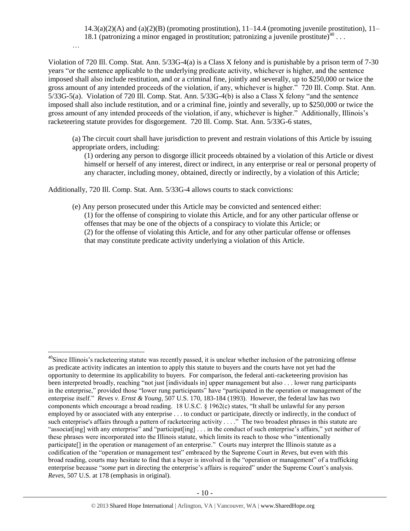$14.3(a)(2)(A)$  and  $(a)(2)(B)$  (promoting prostitution),  $11-14.4$  (promoting juvenile prostitution),  $11-$ 18.1 (patronizing a minor engaged in prostitution; patronizing a juvenile prostitute)<sup>40</sup>...

Violation of 720 Ill. Comp. Stat. Ann. 5/33G-4(a) is a Class X felony and is punishable by a prison term of 7-30 years "or the sentence applicable to the underlying predicate activity, whichever is higher, and the sentence imposed shall also include restitution, and or a criminal fine, jointly and severally, up to \$250,000 or twice the gross amount of any intended proceeds of the violation, if any, whichever is higher." 720 Ill. Comp. Stat. Ann. 5/33G-5(a). Violation of 720 Ill. Comp. Stat. Ann. 5/33G-4(b) is also a Class X felony "and the sentence imposed shall also include restitution, and or a criminal fine, jointly and severally, up to \$250,000 or twice the gross amount of any intended proceeds of the violation, if any, whichever is higher." Additionally, Illinois's racketeering statute provides for disgorgement. 720 Ill. Comp. Stat. Ann. 5/33G-6 states,

(a) The circuit court shall have jurisdiction to prevent and restrain violations of this Article by issuing appropriate orders, including:

(1) ordering any person to disgorge illicit proceeds obtained by a violation of this Article or divest himself or herself of any interest, direct or indirect, in any enterprise or real or personal property of any character, including money, obtained, directly or indirectly, by a violation of this Article;

Additionally, 720 Ill. Comp. Stat. Ann. 5/33G-4 allows courts to stack convictions:

…

 $\overline{a}$ 

(e) Any person prosecuted under this Article may be convicted and sentenced either: (1) for the offense of conspiring to violate this Article, and for any other particular offense or offenses that may be one of the objects of a conspiracy to violate this Article; or (2) for the offense of violating this Article, and for any other particular offense or offenses that may constitute predicate activity underlying a violation of this Article.

 $^{40}$ Since Illinois's racketeering statute was recently passed, it is unclear whether inclusion of the patronizing offense as predicate activity indicates an intention to apply this statute to buyers and the courts have not yet had the opportunity to determine its applicability to buyers. For comparison, the federal anti-racketeering provision has been interpreted broadly, reaching "not just [individuals in] upper management but also . . . lower rung participants in the enterprise," provided those "lower rung participants" have "participated in the operation or management of the enterprise itself." *Reves v. Ernst & Young*, 507 U.S. 170, 183-184 (1993). However, the federal law has two components which encourage a broad reading. 18 U.S.C. § 1962(c) states, "It shall be unlawful for any person employed by or associated with any enterprise . . . to conduct or participate, directly or indirectly, in the conduct of such enterprise's affairs through a pattern of racketeering activity . . . ." The two broadest phrases in this statute are "associat[ing] with any enterprise" and "participat[ing] . . . in the conduct of such enterprise's affairs," yet neither of these phrases were incorporated into the Illinois statute, which limits its reach to those who "intentionally participate[] in the operation or management of an enterprise." Courts may interpret the Illinois statute as a codification of the "operation or management test" embraced by the Supreme Court in *Reves*, but even with this broad reading, courts may hesitate to find that a buyer is involved in the "operation or management" of a trafficking enterprise because "*some* part in directing the enterprise's affairs is required" under the Supreme Court's analysis. *Reves*, 507 U.S. at 178 (emphasis in original).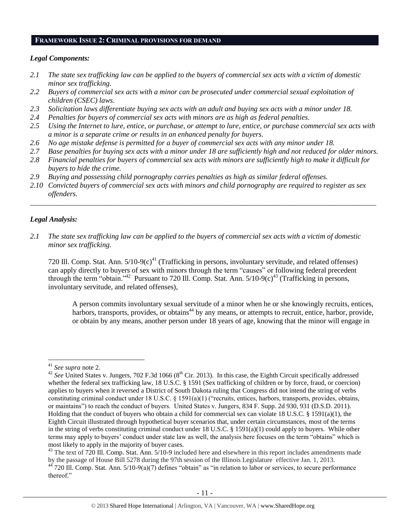#### **FRAMEWORK ISSUE 2: CRIMINAL PROVISIONS FOR DEMAND**

#### *Legal Components:*

- *2.1 The state sex trafficking law can be applied to the buyers of commercial sex acts with a victim of domestic minor sex trafficking.*
- *2.2 Buyers of commercial sex acts with a minor can be prosecuted under commercial sexual exploitation of children (CSEC) laws.*
- *2.3 Solicitation laws differentiate buying sex acts with an adult and buying sex acts with a minor under 18.*
- *2.4 Penalties for buyers of commercial sex acts with minors are as high as federal penalties.*
- *2.5 Using the Internet to lure, entice, or purchase, or attempt to lure, entice, or purchase commercial sex acts with a minor is a separate crime or results in an enhanced penalty for buyers.*
- *2.6 No age mistake defense is permitted for a buyer of commercial sex acts with any minor under 18.*
- *2.7 Base penalties for buying sex acts with a minor under 18 are sufficiently high and not reduced for older minors.*
- *2.8 Financial penalties for buyers of commercial sex acts with minors are sufficiently high to make it difficult for buyers to hide the crime.*
- *2.9 Buying and possessing child pornography carries penalties as high as similar federal offenses.*
- *2.10 Convicted buyers of commercial sex acts with minors and child pornography are required to register as sex offenders.*

\_\_\_\_\_\_\_\_\_\_\_\_\_\_\_\_\_\_\_\_\_\_\_\_\_\_\_\_\_\_\_\_\_\_\_\_\_\_\_\_\_\_\_\_\_\_\_\_\_\_\_\_\_\_\_\_\_\_\_\_\_\_\_\_\_\_\_\_\_\_\_\_\_\_\_\_\_\_\_\_\_\_\_\_\_\_\_\_\_\_\_\_\_\_

#### *Legal Analysis:*

*2.1 The state sex trafficking law can be applied to the buyers of commercial sex acts with a victim of domestic minor sex trafficking.*

720 Ill. Comp. Stat. Ann.  $5/10-9(c)^{41}$  (Trafficking in persons, involuntary servitude, and related offenses) can apply directly to buyers of sex with minors through the term "causes" or following federal precedent through the term "obtain."<sup>42</sup> Pursuant to 720 Ill. Comp. Stat. Ann.  $5/10-9(c)^{43}$  (Trafficking in persons, involuntary servitude, and related offenses),

A person commits involuntary sexual servitude of a minor when he or she knowingly recruits, entices, harbors, transports, provides, or obtains<sup>44</sup> by any means, or attempts to recruit, entice, harbor, provide, or obtain by any means, another person under 18 years of age, knowing that the minor will engage in

<sup>41</sup> *See supra* note [2.](#page-0-0)

<sup>&</sup>lt;sup>42</sup> See United States v. Jungers, 702 F.3d 1066 (8<sup>th</sup> Cir. 2013). In this case, the Eighth Circuit specifically addressed whether the federal sex trafficking law, 18 U.S.C. § 1591 (Sex trafficking of children or by force, fraud, or coercion) applies to buyers when it reversed a District of South Dakota ruling that Congress did not intend the string of verbs constituting criminal conduct under 18 U.S.C. § 1591(a)(1) ("recruits, entices, harbors, transports, provides, obtains, or maintains") to reach the conduct of buyers. United States v. Jungers, 834 F. Supp. 2d 930, 931 (D.S.D. 2011). Holding that the conduct of buyers who obtain a child for commercial sex can violate 18 U.S.C. § 1591(a)(1), the Eighth Circuit illustrated through hypothetical buyer scenarios that, under certain circumstances, most of the terms in the string of verbs constituting criminal conduct under 18 U.S.C. § 1591(a)(1) could apply to buyers. While other terms may apply to buyers' conduct under state law as well, the analysis here focuses on the term "obtains" which is most likely to apply in the majority of buyer cases.

 $43$  The text of 720 Ill. Comp. Stat. Ann.  $5/10$ -9 included here and elsewhere in this report includes amendments made by the passage of House Bill 5278 during the 97th session of the Illinois Legislature effective Jan. 1, 2013. 44 720 Ill. Comp. Stat. Ann. 5/10-9(a)(7) defines "obtain" as "in relation to labor or services, to secure performance

thereof."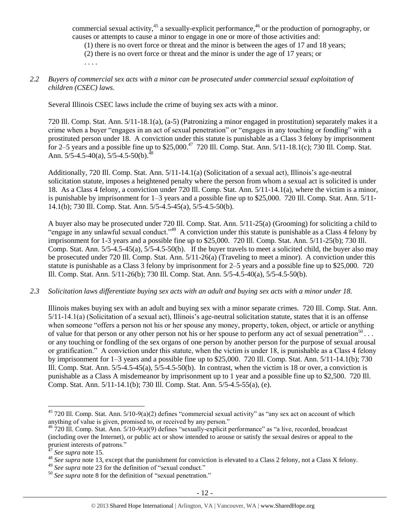commercial sexual activity,<sup>45</sup> a sexually-explicit performance,<sup>46</sup> or the production of pornography, or causes or attempts to cause a minor to engage in one or more of those activities and:

(1) there is no overt force or threat and the minor is between the ages of 17 and 18 years;

(2) there is no overt force or threat and the minor is under the age of 17 years; or . . . .

## *2.2 Buyers of commercial sex acts with a minor can be prosecuted under commercial sexual exploitation of children (CSEC) laws.*

Several Illinois CSEC laws include the crime of buying sex acts with a minor.

720 Ill. Comp. Stat. Ann. 5/11-18.1(a), (a-5) (Patronizing a minor engaged in prostitution) separately makes it a crime when a buyer "engages in an act of sexual penetration" or "engages in any touching or fondling" with a prostituted person under 18. A conviction under this statute is punishable as a Class 3 felony by imprisonment for 2–5 years and a possible fine up to  $$25,000.<sup>47</sup>$  720 Ill. Comp. Stat. Ann.  $5/11-18.1(c)$ ; 730 Ill. Comp. Stat. Ann.  $5/5 - 4.5 - 40(a)$ ,  $5/5 - 4.5 - 50(b)$ .<sup>48</sup>

Additionally, 720 Ill. Comp. Stat. Ann. 5/11-14.1(a) (Solicitation of a sexual act), Illinois's age-neutral solicitation statute, imposes a heightened penalty where the person from whom a sexual act is solicited is under 18. As a Class 4 felony, a conviction under 720 Ill. Comp. Stat. Ann. 5/11-14.1(a), where the victim is a minor, is punishable by imprisonment for 1–3 years and a possible fine up to \$25,000. 720 Ill. Comp. Stat. Ann. 5/11- 14.1(b); 730 Ill. Comp. Stat. Ann. 5/5-4.5-45(a), 5/5-4.5-50(b).

A buyer also may be prosecuted under 720 Ill. Comp. Stat. Ann. 5/11-25(a) (Grooming) for soliciting a child to "engage in any unlawful sexual conduct."<sup>49</sup> A conviction under this statute is punishable as a Class 4 felony by imprisonment for 1-3 years and a possible fine up to \$25,000. 720 Ill. Comp. Stat. Ann. 5/11-25(b); 730 Ill. Comp. Stat. Ann. 5/5-4.5-45(a), 5/5-4.5-50(b). If the buyer travels to meet a solicited child, the buyer also may be prosecuted under 720 Ill. Comp. Stat. Ann. 5/11-26(a) (Traveling to meet a minor). A conviction under this statute is punishable as a Class 3 felony by imprisonment for 2–5 years and a possible fine up to \$25,000. 720 Ill. Comp. Stat. Ann. 5/11-26(b); 730 Ill. Comp. Stat. Ann. 5/5-4.5-40(a), 5/5-4.5-50(b).

#### *2.3 Solicitation laws differentiate buying sex acts with an adult and buying sex acts with a minor under 18.*

Illinois makes buying sex with an adult and buying sex with a minor separate crimes. 720 Ill. Comp. Stat. Ann. 5/11-14.1(a) (Solicitation of a sexual act), Illinois's age-neutral solicitation statute, states that it is an offense when someone "offers a person not his or her spouse any money, property, token, object, or article or anything of value for that person or any other person not his or her spouse to perform any act of sexual penetration<sup>50</sup>... or any touching or fondling of the sex organs of one person by another person for the purpose of sexual arousal or gratification." A conviction under this statute, when the victim is under 18, is punishable as a Class 4 felony by imprisonment for 1–3 years and a possible fine up to \$25,000. 720 Ill. Comp. Stat. Ann. 5/11-14.1(b); 730 Ill. Comp. Stat. Ann. 5/5-4.5-45(a), 5/5-4.5-50(b). In contrast, when the victim is 18 or over, a conviction is punishable as a Class A misdemeanor by imprisonment up to 1 year and a possible fine up to \$2,500. 720 Ill. Comp. Stat. Ann. 5/11-14.1(b); 730 Ill. Comp. Stat. Ann. 5/5-4.5-55(a), (e).

<sup>&</sup>lt;sup>45</sup> 720 Ill. Comp. Stat. Ann.  $5/10-9(a)(2)$  defines "commercial sexual activity" as "any sex act on account of which anything of value is given, promised to, or received by any person."

 $^{46}$  720 III. Comp. Stat. Ann. 5/10-9(a)(9) defines "sexually-explicit performance" as "a live, recorded, broadcast (including over the Internet), or public act or show intended to arouse or satisfy the sexual desires or appeal to the prurient interests of patrons."

<sup>47</sup> *See supra* note [15.](#page-3-0)

<sup>&</sup>lt;sup>48</sup> See supra note [13,](#page-3-1) except that the punishment for conviction is elevated to a Class 2 felony, not a Class X felony.

<sup>&</sup>lt;sup>49</sup> See supra note [23](#page-4-0) for the definition of "sexual conduct."

<sup>50</sup> *See supra* note [8](#page-2-0) for the definition of "sexual penetration."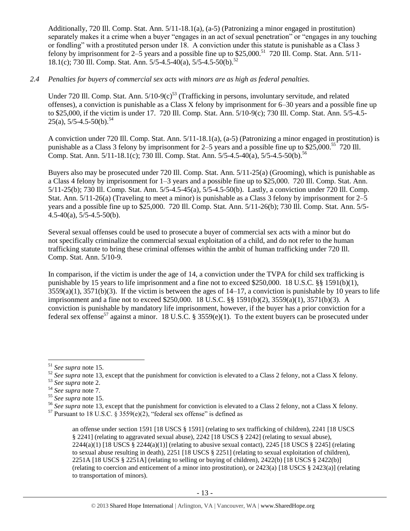Additionally, 720 Ill. Comp. Stat. Ann. 5/11-18.1(a), (a-5) (Patronizing a minor engaged in prostitution) separately makes it a crime when a buyer "engages in an act of sexual penetration" or "engages in any touching or fondling" with a prostituted person under 18. A conviction under this statute is punishable as a Class 3 felony by imprisonment for  $2-\overline{5}$  years and a possible fine up to \$25,000.<sup>51</sup> 720 Ill. Comp. Stat. Ann. 5/11-18.1(c); 730 Ill. Comp. Stat. Ann. 5/5-4.5-40(a), 5/5-4.5-50(b).<sup>52</sup>

#### *2.4 Penalties for buyers of commercial sex acts with minors are as high as federal penalties.*

Under 720 Ill. Comp. Stat. Ann. 5/10-9(c)<sup>53</sup> (Trafficking in persons, involuntary servitude, and related offenses), a conviction is punishable as a Class X felony by imprisonment for 6–30 years and a possible fine up to \$25,000, if the victim is under 17. 720 Ill. Comp. Stat. Ann. 5/10-9(c); 730 Ill. Comp. Stat. Ann. 5/5-4.5-  $25(a)$ ,  $5/5-4.5-50(b)$ .<sup>54</sup>

A conviction under 720 Ill. Comp. Stat. Ann. 5/11-18.1(a), (a-5) (Patronizing a minor engaged in prostitution) is punishable as a Class 3 felony by imprisonment for 2–5 years and a possible fine up to  $$25,000.<sup>55</sup>$  720 III. Comp. Stat. Ann. 5/11-18.1(c); 730 Ill. Comp. Stat. Ann. 5/5-4.5-40(a), 5/5-4.5-50(b).<sup>56</sup>

Buyers also may be prosecuted under 720 Ill. Comp. Stat. Ann. 5/11-25(a) (Grooming), which is punishable as a Class 4 felony by imprisonment for 1–3 years and a possible fine up to \$25,000. 720 Ill. Comp. Stat. Ann. 5/11-25(b); 730 Ill. Comp. Stat. Ann. 5/5-4.5-45(a), 5/5-4.5-50(b). Lastly, a conviction under 720 Ill. Comp. Stat. Ann. 5/11-26(a) (Traveling to meet a minor) is punishable as a Class 3 felony by imprisonment for 2–5 years and a possible fine up to \$25,000. 720 Ill. Comp. Stat. Ann. 5/11-26(b); 730 Ill. Comp. Stat. Ann. 5/5-  $4.5-40(a)$ ,  $5/5-4.5-50(b)$ .

Several sexual offenses could be used to prosecute a buyer of commercial sex acts with a minor but do not specifically criminalize the commercial sexual exploitation of a child, and do not refer to the human trafficking statute to bring these criminal offenses within the ambit of human trafficking under 720 Ill. Comp. Stat. Ann. 5/10-9.

In comparison, if the victim is under the age of 14, a conviction under the TVPA for child sex trafficking is punishable by 15 years to life imprisonment and a fine not to exceed \$250,000. 18 U.S.C. §§ 1591(b)(1),  $3559(a)(1)$ ,  $3571(b)(3)$ . If the victim is between the ages of  $14-17$ , a conviction is punishable by 10 years to life imprisonment and a fine not to exceed \$250,000. 18 U.S.C. §§ 1591(b)(2), 3559(a)(1), 3571(b)(3). A conviction is punishable by mandatory life imprisonment, however, if the buyer has a prior conviction for a federal sex offense<sup>57</sup> against a minor. 18 U.S.C. § 3559(e)(1). To the extent buyers can be prosecuted under

<span id="page-12-0"></span> $\overline{a}$ <sup>51</sup> *See supra* note [15.](#page-3-0)

<sup>&</sup>lt;sup>52</sup> See supra note [13,](#page-3-1) except that the punishment for conviction is elevated to a Class 2 felony, not a Class X felony.

<sup>53</sup> *See supra* note [2.](#page-0-0)

<sup>54</sup> *See supra* note [7.](#page-1-0)

<sup>55</sup> *See supra* note [15.](#page-3-0)

<sup>&</sup>lt;sup>56</sup> See supra note [13,](#page-3-1) except that the punishment for conviction is elevated to a Class 2 felony, not a Class X felony.

<sup>&</sup>lt;sup>57</sup> Pursuant to 18 U.S.C. § 3559(e)(2), "federal sex offense" is defined as

an offense under section 1591 [18 USCS § 1591] (relating to sex trafficking of children), 2241 [18 USCS § 2241] (relating to aggravated sexual abuse), 2242 [18 USCS § 2242] (relating to sexual abuse),  $2244(a)(1)$  [18 USCS §  $2244(a)(1)$ ] (relating to abusive sexual contact),  $2245$  [18 USCS § 2245] (relating to sexual abuse resulting in death), 2251 [18 USCS § 2251] (relating to sexual exploitation of children), 2251A [18 USCS § 2251A] (relating to selling or buying of children), 2422(b) [18 USCS § 2422(b)] (relating to coercion and enticement of a minor into prostitution), or 2423(a) [18 USCS § 2423(a)] (relating to transportation of minors).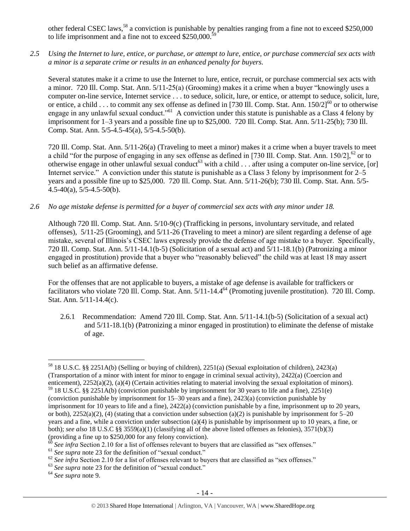other federal CSEC laws,<sup>58</sup> a conviction is punishable by penalties ranging from a fine not to exceed \$250,000 to life imprisonment and a fine not to exceed  $$250,000$ .

*2.5 Using the Internet to lure, entice, or purchase, or attempt to lure, entice, or purchase commercial sex acts with a minor is a separate crime or results in an enhanced penalty for buyers.*

Several statutes make it a crime to use the Internet to lure, entice, recruit, or purchase commercial sex acts with a minor. 720 Ill. Comp. Stat. Ann. 5/11-25(a) (Grooming) makes it a crime when a buyer "knowingly uses a computer on-line service, Internet service . . . to seduce, solicit, lure, or entice, or attempt to seduce, solicit, lure, or entice, a child . . . to commit any sex offense as defined in [730 Ill. Comp. Stat. Ann. 150/2]<sup>60</sup> or to otherwise engage in any unlawful sexual conduct."<sup>61</sup> A conviction under this statute is punishable as a Class 4 felony by imprisonment for 1–3 years and a possible fine up to \$25,000. 720 Ill. Comp. Stat. Ann. 5/11-25(b); 730 Ill. Comp. Stat. Ann. 5/5-4.5-45(a), 5/5-4.5-50(b).

720 Ill. Comp. Stat. Ann. 5/11-26(a) (Traveling to meet a minor) makes it a crime when a buyer travels to meet a child "for the purpose of engaging in any sex offense as defined in [730 Ill. Comp. Stat. Ann.  $150/2$ ],  $^{62}$  or to otherwise engage in other unlawful sexual conduct<sup>63</sup> with a child  $\ldots$  after using a computer on-line service, [or] Internet service." A conviction under this statute is punishable as a Class 3 felony by imprisonment for 2–5 years and a possible fine up to \$25,000. 720 Ill. Comp. Stat. Ann. 5/11-26(b); 730 Ill. Comp. Stat. Ann. 5/5- 4.5-40(a), 5/5-4.5-50(b).

*2.6 No age mistake defense is permitted for a buyer of commercial sex acts with any minor under 18.*

Although 720 Ill. Comp. Stat. Ann. 5/10-9(c) (Trafficking in persons, involuntary servitude, and related offenses), 5/11-25 (Grooming), and 5/11-26 (Traveling to meet a minor) are silent regarding a defense of age mistake, several of Illinois's CSEC laws expressly provide the defense of age mistake to a buyer. Specifically, 720 Ill. Comp. Stat. Ann. 5/11-14.1(b-5) (Solicitation of a sexual act) and 5/11-18.1(b) (Patronizing a minor engaged in prostitution) provide that a buyer who "reasonably believed" the child was at least 18 may assert such belief as an affirmative defense.

For the offenses that are not applicable to buyers, a mistake of age defense is available for traffickers or facilitators who violate 720 Ill. Comp. Stat. Ann.  $5/11$ -14.4<sup>64</sup> (Promoting juvenile prostitution). 720 Ill. Comp. Stat. Ann. 5/11-14.4(c).

2.6.1 Recommendation: Amend 720 Ill. Comp. Stat. Ann. 5/11-14.1(b-5) (Solicitation of a sexual act) and 5/11-18.1(b) (Patronizing a minor engaged in prostitution) to eliminate the defense of mistake of age.

 $\overline{a}$ <sup>58</sup> 18 U.S.C. §§ 2251A(b) (Selling or buying of children), 2251(a) (Sexual exploitation of children), 2423(a) (Transportation of a minor with intent for minor to engage in criminal sexual activity), 2422(a) (Coercion and enticement), 2252(a)(2), (a)(4) (Certain activities relating to material involving the sexual exploitation of minors).

<sup>59</sup> 18 U.S.C. §§ 2251A(b) (conviction punishable by imprisonment for 30 years to life and a fine), 2251(e) (conviction punishable by imprisonment for 15–30 years and a fine), 2423(a) (conviction punishable by imprisonment for 10 years to life and a fine), 2422(a) (conviction punishable by a fine, imprisonment up to 20 years, or both),  $2252(a)(2)$ , (4) (stating that a conviction under subsection (a)(2) is punishable by imprisonment for 5–20 years and a fine, while a conviction under subsection (a)(4) is punishable by imprisonment up to 10 years, a fine, or both); *see also* 18 U.S.C §§ 3559(a)(1) (classifying all of the above listed offenses as felonies), 3571(b)(3) (providing a fine up to \$250,000 for any felony conviction).

 $60$  *See infra* Section 2.10 for a list of offenses relevant to buyers that are classified as "sex offenses."

<sup>&</sup>lt;sup>61</sup> See supra note [23](#page-4-0) for the definition of "sexual conduct."

<sup>&</sup>lt;sup>62</sup> See infra Section 2.10 for a list of offenses relevant to buyers that are classified as "sex offenses."

<sup>&</sup>lt;sup>63</sup> See supra note [23](#page-4-0) for the definition of "sexual conduct."

<sup>64</sup> *See supra* note [9.](#page-2-1)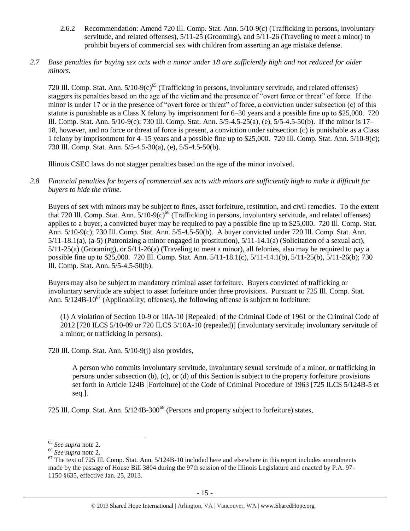- 2.6.2 Recommendation: Amend 720 Ill. Comp. Stat. Ann. 5/10-9(c) (Trafficking in persons, involuntary servitude, and related offenses), 5/11-25 (Grooming), and 5/11-26 (Traveling to meet a minor) to prohibit buyers of commercial sex with children from asserting an age mistake defense.
- *2.7 Base penalties for buying sex acts with a minor under 18 are sufficiently high and not reduced for older minors.*

720 Ill. Comp. Stat. Ann.  $5/10-9(c)^{65}$  (Trafficking in persons, involuntary servitude, and related offenses) staggers its penalties based on the age of the victim and the presence of "overt force or threat" of force. If the minor is under 17 or in the presence of "overt force or threat" of force, a conviction under subsection (c) of this statute is punishable as a Class X felony by imprisonment for 6–30 years and a possible fine up to \$25,000. 720 Ill. Comp. Stat. Ann. 5/10-9(c); 730 Ill. Comp. Stat. Ann. 5/5-4.5-25(a), (e), 5/5-4.5-50(b). If the minor is 17– 18, however, and no force or threat of force is present, a conviction under subsection (c) is punishable as a Class 1 felony by imprisonment for 4–15 years and a possible fine up to \$25,000. 720 Ill. Comp. Stat. Ann. 5/10-9(c); 730 Ill. Comp. Stat. Ann. 5/5-4.5-30(a), (e), 5/5-4.5-50(b).

Illinois CSEC laws do not stagger penalties based on the age of the minor involved.

*2.8 Financial penalties for buyers of commercial sex acts with minors are sufficiently high to make it difficult for buyers to hide the crime.* 

Buyers of sex with minors may be subject to fines, asset forfeiture, restitution, and civil remedies. To the extent that 720 Ill. Comp. Stat. Ann.  $5/10-9(c)^{66}$  (Trafficking in persons, involuntary servitude, and related offenses) applies to a buyer, a convicted buyer may be required to pay a possible fine up to \$25,000. 720 Ill. Comp. Stat. Ann. 5/10-9(c); 730 Ill. Comp. Stat. Ann. 5/5-4.5-50(b). A buyer convicted under 720 Ill. Comp. Stat. Ann. 5/11-18.1(a), (a-5) (Patronizing a minor engaged in prostitution), 5/11-14.1(a) (Solicitation of a sexual act), 5/11-25(a) (Grooming), or 5/11-26(a) (Traveling to meet a minor), all felonies, also may be required to pay a possible fine up to \$25,000. 720 Ill. Comp. Stat. Ann. 5/11-18.1(c), 5/11-14.1(b), 5/11-25(b), 5/11-26(b); 730 Ill. Comp. Stat. Ann. 5/5-4.5-50(b).

Buyers may also be subject to mandatory criminal asset forfeiture. Buyers convicted of trafficking or involuntary servitude are subject to asset forfeiture under three provisions. Pursuant to 725 Ill. Comp. Stat. Ann.  $5/124B-10^{67}$  (Applicability; offenses), the following offense is subject to forfeiture:

<span id="page-14-0"></span>(1) A violation of Section 10-9 or 10A-10 [Repealed] of the Criminal Code of 1961 or the Criminal Code of 2012 [720 ILCS 5/10-09 or 720 ILCS 5/10A-10 (repealed)] (involuntary servitude; involuntary servitude of a minor; or trafficking in persons).

720 Ill. Comp. Stat. Ann. 5/10-9(j) also provides,

<span id="page-14-1"></span>A person who commits involuntary servitude, involuntary sexual servitude of a minor, or trafficking in persons under subsection (b), (c), or (d) of this Section is subject to the property forfeiture provisions set forth in Article 124B [Forfeiture] of the Code of Criminal Procedure of 1963 [725 ILCS 5/124B-5 et seq.].

725 Ill. Comp. Stat. Ann. 5/124B-300<sup>68</sup> (Persons and property subject to forfeiture) states,

 $\overline{a}$ <sup>65</sup> *See supra* note [2.](#page-0-0)

<sup>66</sup> *See supra* note [2.](#page-0-0)

 $67$  The text of 725 Ill. Comp. Stat. Ann.  $5/124B-10$  included here and elsewhere in this report includes amendments made by the passage of House Bill 3804 during the 97th session of the Illinois Legislature and enacted by P.A. 97- 1150 §635, effective Jan. 25, 2013.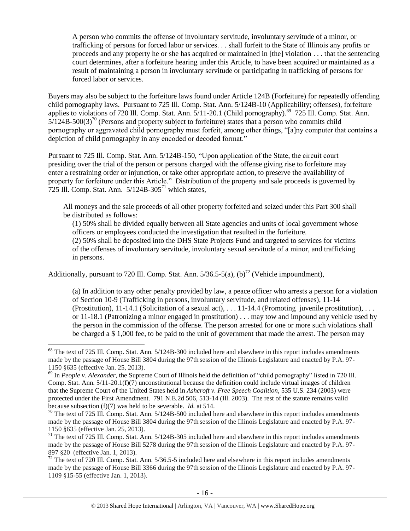<span id="page-15-0"></span>A person who commits the offense of involuntary servitude, involuntary servitude of a minor, or trafficking of persons for forced labor or services. . . shall forfeit to the State of Illinois any profits or proceeds and any property he or she has acquired or maintained in [the] violation . . . that the sentencing court determines, after a forfeiture hearing under this Article, to have been acquired or maintained as a result of maintaining a person in involuntary servitude or participating in trafficking of persons for forced labor or services.

<span id="page-15-2"></span>Buyers may also be subject to the forfeiture laws found under Article 124B (Forfeiture) for repeatedly offending child pornography laws. Pursuant to 725 Ill. Comp. Stat. Ann. 5/124B-10 (Applicability; offenses), forfeiture applies to violations of 720 Ill. Comp. Stat. Ann. 5/11-20.1 (Child pornography).<sup>69</sup> 725 Ill. Comp. Stat. Ann.  $5/124B-500(3)<sup>70</sup>$  (Persons and property subject to forfeiture) states that a person who commits child pornography or aggravated child pornography must forfeit, among other things, "[a]ny computer that contains a depiction of child pornography in any encoded or decoded format."

Pursuant to 725 Ill. Comp. Stat. Ann. 5/124B-150, "Upon application of the State, the circuit court presiding over the trial of the person or persons charged with the offense giving rise to forfeiture may enter a restraining order or injunction, or take other appropriate action, to preserve the availability of property for forfeiture under this Article." Distribution of the property and sale proceeds is governed by  $725$  Ill. Comp. Stat. Ann.  $5/124B-305<sup>71</sup>$  which states,

All moneys and the sale proceeds of all other property forfeited and seized under this Part 300 shall be distributed as follows:

<span id="page-15-1"></span>(1) 50% shall be divided equally between all State agencies and units of local government whose officers or employees conducted the investigation that resulted in the forfeiture.

(2) 50% shall be deposited into the DHS State Projects Fund and targeted to services for victims of the offenses of involuntary servitude, involuntary sexual servitude of a minor, and trafficking in persons.

Additionally, pursuant to 720 Ill. Comp. Stat. Ann.  $5/36.5-5(a)$ ,  $(b)^{72}$  (Vehicle impoundment),

 $\overline{a}$ 

(a) In addition to any other penalty provided by law, a peace officer who arrests a person for a violation of Section 10-9 (Trafficking in persons, involuntary servitude, and related offenses), 11-14 (Prostitution), 11-14.1 (Solicitation of a sexual act), . . . 11-14.4 (Promoting juvenile prostitution), . . . or 11-18.1 (Patronizing a minor engaged in prostitution) . . . may tow and impound any vehicle used by the person in the commission of the offense. The person arrested for one or more such violations shall be charged a \$ 1,000 fee, to be paid to the unit of government that made the arrest. The person may

 $72$  The text of 720 Ill. Comp. Stat. Ann. 5/36.5-5 included here and elsewhere in this report includes amendments made by the passage of House Bill 3366 during the 97th session of the Illinois Legislature and enacted by P.A. 97- 1109 §15-55 (effective Jan. 1, 2013).

 $68$  The text of 725 Ill. Comp. Stat. Ann.  $5/124B-300$  included here and elsewhere in this report includes amendments made by the passage of House Bill 3804 during the 97th session of the Illinois Legislature and enacted by P.A. 97- 1150 §635 (effective Jan. 25, 2013).

<sup>69</sup> In *People v. Alexander*, the Supreme Court of Illinois held the definition of "child pornography" listed in 720 Ill. Comp. Stat. Ann. 5/11-20.1(f)(7) unconstitutional because the definition could include virtual images of children that the Supreme Court of the United States held in *Ashcroft v. Free Speech Coalition*, 535 U.S. 234 (2003) were protected under the First Amendment. 791 N.E.2d 506, 513-14 (Ill. 2003). The rest of the statute remains valid because subsection (f)(7) was held to be severable. *Id.* at 514.

<sup>&</sup>lt;sup>70</sup> The text of 725 Ill. Comp. Stat. Ann. 5/124B-500 included here and elsewhere in this report includes amendments made by the passage of House Bill 3804 during the 97th session of the Illinois Legislature and enacted by P.A. 97- 1150 §635 (effective Jan. 25, 2013).

 $71$  The text of 725 Ill. Comp. Stat. Ann.  $5/124B-305$  included here and elsewhere in this report includes amendments made by the passage of House Bill 5278 during the 97th session of the Illinois Legislature and enacted by P.A. 97- 897 §20 (effective Jan. 1, 2013).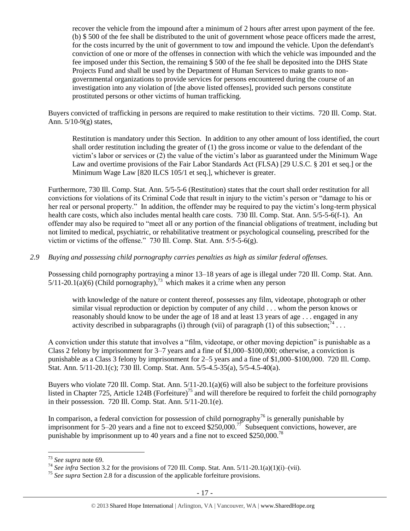recover the vehicle from the impound after a minimum of 2 hours after arrest upon payment of the fee. (b) \$ 500 of the fee shall be distributed to the unit of government whose peace officers made the arrest, for the costs incurred by the unit of government to tow and impound the vehicle. Upon the defendant's conviction of one or more of the offenses in connection with which the vehicle was impounded and the fee imposed under this Section, the remaining \$ 500 of the fee shall be deposited into the DHS State Projects Fund and shall be used by the Department of Human Services to make grants to nongovernmental organizations to provide services for persons encountered during the course of an investigation into any violation of [the above listed offenses], provided such persons constitute prostituted persons or other victims of human trafficking.

Buyers convicted of trafficking in persons are required to make restitution to their victims. 720 Ill. Comp. Stat. Ann. 5/10-9(g) states,

Restitution is mandatory under this Section. In addition to any other amount of loss identified, the court shall order restitution including the greater of (1) the gross income or value to the defendant of the victim's labor or services or (2) the value of the victim's labor as guaranteed under the Minimum Wage Law and overtime provisions of the Fair Labor Standards Act (FLSA) [29 U.S.C. § 201 et seq.] or the Minimum Wage Law [820 ILCS 105/1 et seq.], whichever is greater.

Furthermore, 730 Ill. Comp. Stat. Ann. 5/5-5-6 (Restitution) states that the court shall order restitution for all convictions for violations of its Criminal Code that result in injury to the victim's person or "damage to his or her real or personal property." In addition, the offender may be required to pay the victim's long-term physical health care costs, which also includes mental health care costs. 730 Ill. Comp. Stat. Ann. 5/5-5-6(f-1). An offender may also be required to "meet all or any portion of the financial obligations of treatment, including but not limited to medical, psychiatric, or rehabilitative treatment or psychological counseling, prescribed for the victim or victims of the offense." 730 Ill. Comp. Stat. Ann. 5/5-5-6(g).

## *2.9 Buying and possessing child pornography carries penalties as high as similar federal offenses.*

Possessing child pornography portraying a minor 13–18 years of age is illegal under 720 Ill. Comp. Stat. Ann.  $5/11-20.1(a)(6)$  (Child pornography),<sup>73</sup> which makes it a crime when any person

with knowledge of the nature or content thereof, possesses any film, videotape, photograph or other similar visual reproduction or depiction by computer of any child . . . whom the person knows or reasonably should know to be under the age of 18 and at least 13 years of age . . . engaged in any activity described in subparagraphs (i) through (vii) of paragraph (1) of this subsection;  $7^4$ ...

A conviction under this statute that involves a "film, videotape, or other moving depiction" is punishable as a Class 2 felony by imprisonment for 3–7 years and a fine of \$1,000–\$100,000; otherwise, a conviction is punishable as a Class 3 felony by imprisonment for 2–5 years and a fine of \$1,000–\$100,000. 720 Ill. Comp. Stat. Ann. 5/11-20.1(c); 730 Ill. Comp. Stat. Ann. 5/5-4.5-35(a), 5/5-4.5-40(a).

Buyers who violate 720 Ill. Comp. Stat. Ann. 5/11-20.1(a)(6) will also be subject to the forfeiture provisions listed in Chapter 725, Article 124B (Forfeiture)<sup>75</sup> and will therefore be required to forfeit the child pornography in their possession. 720 Ill. Comp. Stat. Ann. 5/11-20.1(e).

In comparison, a federal conviction for possession of child pornography<sup>76</sup> is generally punishable by imprisonment for 5–20 years and a fine not to exceed \$250,000.<sup>77</sup> Subsequent convictions, however, are punishable by imprisonment up to 40 years and a fine not to exceed \$250,000.<sup>78</sup>

<sup>73</sup> *See supra* note [69.](#page-15-0)

<sup>74</sup> *See infra* Section 3.2 for the provisions of 720 Ill. Comp. Stat. Ann. 5/11-20.1(a)(1)(i)–(vii).

<sup>75</sup> *See supra* Section 2.8 for a discussion of the applicable forfeiture provisions.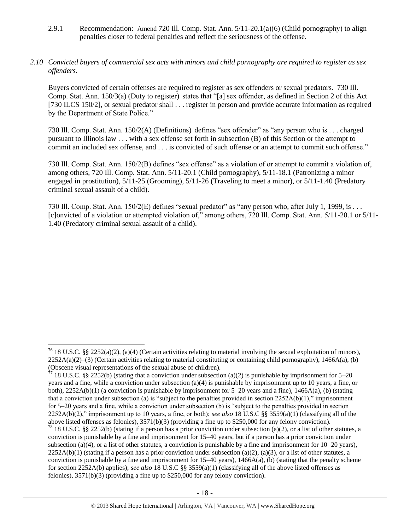2.9.1 Recommendation: Amend 720 Ill. Comp. Stat. Ann. 5/11-20.1(a)(6) (Child pornography) to align penalties closer to federal penalties and reflect the seriousness of the offense.

## *2.10 Convicted buyers of commercial sex acts with minors and child pornography are required to register as sex offenders.*

Buyers convicted of certain offenses are required to register as sex offenders or sexual predators. 730 Ill. Comp. Stat. Ann. 150/3(a) (Duty to register) states that "[a] sex offender, as defined in Section 2 of this Act [730 ILCS 150/2], or sexual predator shall . . . register in person and provide accurate information as required by the Department of State Police."

730 Ill. Comp. Stat. Ann. 150/2(A) (Definitions) defines "sex offender" as "any person who is . . . charged pursuant to Illinois law . . . with a sex offense set forth in subsection (B) of this Section or the attempt to commit an included sex offense, and . . . is convicted of such offense or an attempt to commit such offense."

730 Ill. Comp. Stat. Ann. 150/2(B) defines "sex offense" as a violation of or attempt to commit a violation of, among others, 720 Ill. Comp. Stat. Ann. 5/11-20.1 (Child pornography), 5/11-18.1 (Patronizing a minor engaged in prostitution), 5/11-25 (Grooming), 5/11-26 (Traveling to meet a minor), or 5/11-1.40 (Predatory criminal sexual assault of a child).

730 Ill. Comp. Stat. Ann. 150/2(E) defines "sexual predator" as "any person who, after July 1, 1999, is . . . [c]onvicted of a violation or attempted violation of," among others, 720 Ill. Comp. Stat. Ann. 5/11-20.1 or 5/11- 1.40 (Predatory criminal sexual assault of a child).

<sup>&</sup>lt;sup>76</sup> 18 U.S.C. §§ 2252(a)(2), (a)(4) (Certain activities relating to material involving the sexual exploitation of minors),  $2252A(a)(2)$ –(3) (Certain activities relating to material constituting or containing child pornography), 1466A(a), (b) (Obscene visual representations of the sexual abuse of children).

 $77$  18 U.S.C. §§ 2252(b) (stating that a conviction under subsection (a)(2) is punishable by imprisonment for 5–20 years and a fine, while a conviction under subsection (a)(4) is punishable by imprisonment up to 10 years, a fine, or both), 2252A(b)(1) (a conviction is punishable by imprisonment for 5–20 years and a fine), 1466A(a), (b) (stating that a conviction under subsection (a) is "subject to the penalties provided in section  $2252A(b)(1)$ ," imprisonment for 5–20 years and a fine, while a conviction under subsection (b) is "subject to the penalties provided in section 2252A(b)(2)," imprisonment up to 10 years, a fine, or both); *see also* 18 U.S.C §§ 3559(a)(1) (classifying all of the above listed offenses as felonies), 3571(b)(3) (providing a fine up to \$250,000 for any felony conviction). <sup>78</sup> 18 U.S.C. §§ 2252(b) (stating if a person has a prior conviction under subsection (a)(2), or a list of other statutes, a conviction is punishable by a fine and imprisonment for 15–40 years, but if a person has a prior conviction under subsection (a)(4), or a list of other statutes, a conviction is punishable by a fine and imprisonment for  $10-20$  years),  $2252A(b)(1)$  (stating if a person has a prior conviction under subsection (a)(2), (a)(3), or a list of other statutes, a conviction is punishable by a fine and imprisonment for  $15-40$  years),  $1466A(a)$ , (b) (stating that the penalty scheme for section 2252A(b) applies); *see also* 18 U.S.C §§ 3559(a)(1) (classifying all of the above listed offenses as felonies), 3571(b)(3) (providing a fine up to \$250,000 for any felony conviction).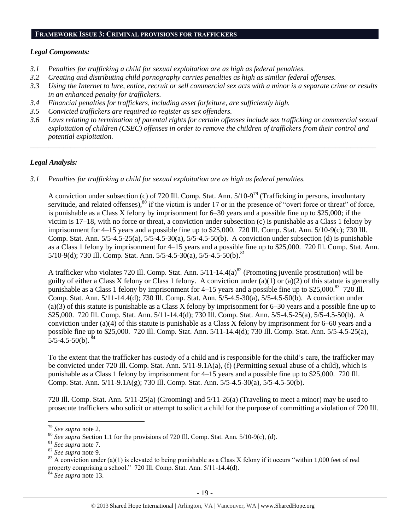#### **FRAMEWORK ISSUE 3: CRIMINAL PROVISIONS FOR TRAFFICKERS**

#### *Legal Components:*

- *3.1 Penalties for trafficking a child for sexual exploitation are as high as federal penalties.*
- *3.2 Creating and distributing child pornography carries penalties as high as similar federal offenses.*
- *3.3 Using the Internet to lure, entice, recruit or sell commercial sex acts with a minor is a separate crime or results in an enhanced penalty for traffickers.*
- *3.4 Financial penalties for traffickers, including asset forfeiture, are sufficiently high.*
- *3.5 Convicted traffickers are required to register as sex offenders.*
- *3.6 Laws relating to termination of parental rights for certain offenses include sex trafficking or commercial sexual exploitation of children (CSEC) offenses in order to remove the children of traffickers from their control and potential exploitation.*

*\_\_\_\_\_\_\_\_\_\_\_\_\_\_\_\_\_\_\_\_\_\_\_\_\_\_\_\_\_\_\_\_\_\_\_\_\_\_\_\_\_\_\_\_\_\_\_\_\_\_\_\_\_\_\_\_\_\_\_\_\_\_\_\_\_\_\_\_\_\_\_\_\_\_\_\_\_\_\_\_\_\_\_\_\_\_\_\_\_\_\_\_\_\_*

#### *Legal Analysis:*

*3.1 Penalties for trafficking a child for sexual exploitation are as high as federal penalties.* 

A conviction under subsection (c) of 720 Ill. Comp. Stat. Ann.  $5/10-9^{79}$  (Trafficking in persons, involuntary servitude, and related offenses), $80$  if the victim is under 17 or in the presence of "overt force or threat" of force, is punishable as a Class X felony by imprisonment for 6–30 years and a possible fine up to \$25,000; if the victim is 17–18, with no force or threat, a conviction under subsection (c) is punishable as a Class 1 felony by imprisonment for 4–15 years and a possible fine up to \$25,000. 720 Ill. Comp. Stat. Ann. 5/10-9(c); 730 Ill. Comp. Stat. Ann. 5/5-4.5-25(a), 5/5-4.5-30(a), 5/5-4.5-50(b). A conviction under subsection (d) is punishable as a Class 1 felony by imprisonment for 4–15 years and a possible fine up to \$25,000. 720 Ill. Comp. Stat. Ann.  $5/10-9(d)$ ; 730 Ill. Comp. Stat. Ann.  $5/5-4.5-30(a)$ ,  $5/5-4.5-50(b)$ .<sup>81</sup>

A trafficker who violates 720 Ill. Comp. Stat. Ann.  $5/11-14.4(a)^{82}$  (Promoting juvenile prostitution) will be guilty of either a Class X felony or Class 1 felony. A conviction under (a)(1) or (a)(2) of this statute is generally punishable as a Class 1 felony by imprisonment for 4–15 years and a possible fine up to \$25,000.<sup>83</sup> 720 Ill. Comp. Stat. Ann. 5/11-14.4(d); 730 Ill. Comp. Stat. Ann. 5/5-4.5-30(a), 5/5-4.5-50(b). A conviction under (a)(3) of this statute is punishable as a Class X felony by imprisonment for 6–30 years and a possible fine up to \$25,000. 720 Ill. Comp. Stat. Ann. 5/11-14.4(d); 730 Ill. Comp. Stat. Ann. 5/5-4.5-25(a), 5/5-4.5-50(b). A conviction under (a)(4) of this statute is punishable as a Class X felony by imprisonment for 6–60 years and a possible fine up to \$25,000. 720 Ill. Comp. Stat. Ann. 5/11-14.4(d); 730 Ill. Comp. Stat. Ann. 5/5-4.5-25(a),  $5/5-4.5-50(b)$ .

To the extent that the trafficker has custody of a child and is responsible for the child's care, the trafficker may be convicted under 720 Ill. Comp. Stat. Ann. 5/11-9.1A(a), (f) (Permitting sexual abuse of a child), which is punishable as a Class 1 felony by imprisonment for 4–15 years and a possible fine up to \$25,000. 720 Ill. Comp. Stat. Ann. 5/11-9.1A(g); 730 Ill. Comp. Stat. Ann. 5/5-4.5-30(a), 5/5-4.5-50(b).

720 Ill. Comp. Stat. Ann. 5/11-25(a) (Grooming) and 5/11-26(a) (Traveling to meet a minor) may be used to prosecute traffickers who solicit or attempt to solicit a child for the purpose of committing a violation of 720 Ill.

<sup>79</sup> *See supra* note [2.](#page-0-0)

<sup>80</sup> *See supra* Section 1.1 for the provisions of 720 Ill. Comp. Stat. Ann. 5/10-9(c), (d).

<sup>81</sup> *See supra* note [7.](#page-1-0)

<sup>82</sup> *See supra* note [9.](#page-2-1)

<sup>&</sup>lt;sup>83</sup> A conviction under (a)(1) is elevated to being punishable as a Class X felony if it occurs "within 1,000 feet of real property comprising a school." 720 Ill. Comp. Stat. Ann. 5/11-14.4(d).

<sup>84</sup> *See supra* note [13.](#page-3-1)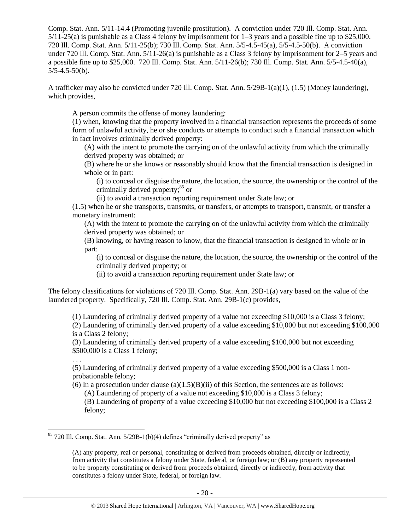Comp. Stat. Ann. 5/11-14.4 (Promoting juvenile prostitution). A conviction under 720 Ill. Comp. Stat. Ann. 5/11-25(a) is punishable as a Class 4 felony by imprisonment for 1–3 years and a possible fine up to \$25,000. 720 Ill. Comp. Stat. Ann. 5/11-25(b); 730 Ill. Comp. Stat. Ann. 5/5-4.5-45(a), 5/5-4.5-50(b). A conviction under 720 Ill. Comp. Stat. Ann. 5/11-26(a) is punishable as a Class 3 felony by imprisonment for 2–5 years and a possible fine up to \$25,000. 720 Ill. Comp. Stat. Ann. 5/11-26(b); 730 Ill. Comp. Stat. Ann. 5/5-4.5-40(a),  $5/5-4.5-50(b)$ .

A trafficker may also be convicted under 720 Ill. Comp. Stat. Ann. 5/29B-1(a)(1), (1.5) (Money laundering), which provides,

A person commits the offense of money laundering:

(1) when, knowing that the property involved in a financial transaction represents the proceeds of some form of unlawful activity, he or she conducts or attempts to conduct such a financial transaction which in fact involves criminally derived property:

(A) with the intent to promote the carrying on of the unlawful activity from which the criminally derived property was obtained; or

(B) where he or she knows or reasonably should know that the financial transaction is designed in whole or in part:

(i) to conceal or disguise the nature, the location, the source, the ownership or the control of the criminally derived property;<sup>85</sup> or

(ii) to avoid a transaction reporting requirement under State law; or

(1.5) when he or she transports, transmits, or transfers, or attempts to transport, transmit, or transfer a monetary instrument:

(A) with the intent to promote the carrying on of the unlawful activity from which the criminally derived property was obtained; or

(B) knowing, or having reason to know, that the financial transaction is designed in whole or in part:

(i) to conceal or disguise the nature, the location, the source, the ownership or the control of the criminally derived property; or

(ii) to avoid a transaction reporting requirement under State law; or

The felony classifications for violations of 720 Ill. Comp. Stat. Ann. 29B-1(a) vary based on the value of the laundered property. Specifically, 720 Ill. Comp. Stat. Ann. 29B-1(c) provides,

(1) Laundering of criminally derived property of a value not exceeding \$10,000 is a Class 3 felony; (2) Laundering of criminally derived property of a value exceeding \$10,000 but not exceeding \$100,000 is a Class 2 felony;

(3) Laundering of criminally derived property of a value exceeding \$100,000 but not exceeding \$500,000 is a Class 1 felony;

. . .

 $\overline{a}$ 

(5) Laundering of criminally derived property of a value exceeding \$500,000 is a Class 1 nonprobationable felony;

(6) In a prosecution under clause (a) $(1.5)(B)(ii)$  of this Section, the sentences are as follows:

(A) Laundering of property of a value not exceeding \$10,000 is a Class 3 felony;

(B) Laundering of property of a value exceeding \$10,000 but not exceeding \$100,000 is a Class 2 felony;

 $85$  720 Ill. Comp. Stat. Ann.  $5/29B-1(b)(4)$  defines "criminally derived property" as

<sup>(</sup>A) any property, real or personal, constituting or derived from proceeds obtained, directly or indirectly, from activity that constitutes a felony under State, federal, or foreign law; or (B) any property represented to be property constituting or derived from proceeds obtained, directly or indirectly, from activity that constitutes a felony under State, federal, or foreign law.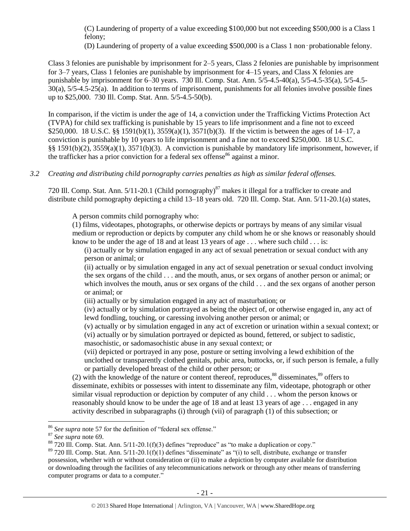(C) Laundering of property of a value exceeding \$100,000 but not exceeding \$500,000 is a Class 1 felony;

(D) Laundering of property of a value exceeding \$500,000 is a Class 1 non‑probationable felony.

Class 3 felonies are punishable by imprisonment for 2–5 years, Class 2 felonies are punishable by imprisonment for 3–7 years, Class 1 felonies are punishable by imprisonment for 4–15 years, and Class X felonies are punishable by imprisonment for 6–30 years. 730 Ill. Comp. Stat. Ann. 5/5-4.5-40(a), 5/5-4.5-35(a), 5/5-4.5- 30(a), 5/5-4.5-25(a). In addition to terms of imprisonment, punishments for all felonies involve possible fines up to \$25,000. 730 Ill. Comp. Stat. Ann. 5/5-4.5-50(b).

In comparison, if the victim is under the age of 14, a conviction under the Trafficking Victims Protection Act (TVPA) for child sex trafficking is punishable by 15 years to life imprisonment and a fine not to exceed \$250,000. 18 U.S.C. §§ 1591(b)(1), 3559(a)(1), 3571(b)(3). If the victim is between the ages of 14–17, a conviction is punishable by 10 years to life imprisonment and a fine not to exceed \$250,000. 18 U.S.C. §§ 1591(b)(2), 3559(a)(1), 3571(b)(3). A conviction is punishable by mandatory life imprisonment, however, if the trafficker has a prior conviction for a federal sex offense<sup>86</sup> against a minor.

# *3.2 Creating and distributing child pornography carries penalties as high as similar federal offenses.*

720 Ill. Comp. Stat. Ann.  $5/11$ -20.1 (Child pornography)<sup>87</sup> makes it illegal for a trafficker to create and distribute child pornography depicting a child 13–18 years old. 720 Ill. Comp. Stat. Ann. 5/11-20.1(a) states,

A person commits child pornography who:

(1) films, videotapes, photographs, or otherwise depicts or portrays by means of any similar visual medium or reproduction or depicts by computer any child whom he or she knows or reasonably should know to be under the age of 18 and at least 13 years of age  $\dots$  where such child  $\dots$  is:

(i) actually or by simulation engaged in any act of sexual penetration or sexual conduct with any person or animal; or

(ii) actually or by simulation engaged in any act of sexual penetration or sexual conduct involving the sex organs of the child . . . and the mouth, anus, or sex organs of another person or animal; or which involves the mouth, anus or sex organs of the child . . . and the sex organs of another person or animal; or

(iii) actually or by simulation engaged in any act of masturbation; or

(iv) actually or by simulation portrayed as being the object of, or otherwise engaged in, any act of lewd fondling, touching, or caressing involving another person or animal; or

(v) actually or by simulation engaged in any act of excretion or urination within a sexual context; or (vi) actually or by simulation portrayed or depicted as bound, fettered, or subject to sadistic, masochistic, or sadomasochistic abuse in any sexual context; or

<span id="page-20-1"></span><span id="page-20-0"></span>(vii) depicted or portrayed in any pose, posture or setting involving a lewd exhibition of the unclothed or transparently clothed genitals, pubic area, buttocks, or, if such person is female, a fully or partially developed breast of the child or other person; or

(2) with the knowledge of the nature or content thereof, reproduces, $88$  disseminates, $89$  offers to disseminate, exhibits or possesses with intent to disseminate any film, videotape, photograph or other similar visual reproduction or depiction by computer of any child . . . whom the person knows or reasonably should know to be under the age of 18 and at least 13 years of age . . . engaged in any activity described in subparagraphs (i) through (vii) of paragraph (1) of this subsection; or

<sup>86</sup> *See supra* note [57](#page-12-0) for the definition of "federal sex offense."

<sup>87</sup> *See supra* note [69.](#page-15-0)

 $88\,720\,$  III. Comp. Stat. Ann.  $5/11-20.1(f)(3)$  defines "reproduce" as "to make a duplication or copy."

 $89$  720 Ill. Comp. Stat. Ann.  $5/11$ -20.1(f)(1) defines "disseminate" as "(i) to sell, distribute, exchange or transfer possession, whether with or without consideration or (ii) to make a depiction by computer available for distribution or downloading through the facilities of any telecommunications network or through any other means of transferring computer programs or data to a computer."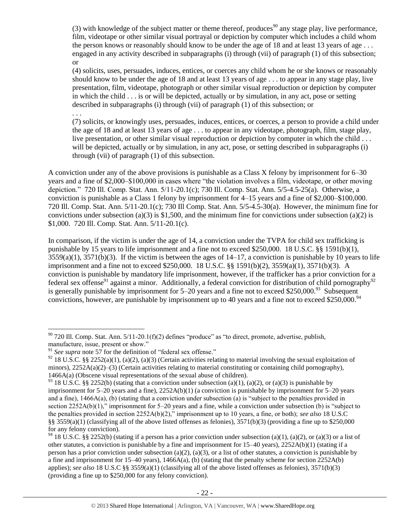(3) with knowledge of the subject matter or theme thereof, produces<sup>90</sup> any stage play, live performance, film, videotape or other similar visual portrayal or depiction by computer which includes a child whom the person knows or reasonably should know to be under the age of 18 and at least 13 years of age . . . engaged in any activity described in subparagraphs (i) through (vii) of paragraph (1) of this subsection; or

(4) solicits, uses, persuades, induces, entices, or coerces any child whom he or she knows or reasonably should know to be under the age of 18 and at least 13 years of age . . . to appear in any stage play, live presentation, film, videotape, photograph or other similar visual reproduction or depiction by computer in which the child . . . is or will be depicted, actually or by simulation, in any act, pose or setting described in subparagraphs (i) through (vii) of paragraph (1) of this subsection; or

. . .

(7) solicits, or knowingly uses, persuades, induces, entices, or coerces, a person to provide a child under the age of 18 and at least 13 years of age . . . to appear in any videotape, photograph, film, stage play, live presentation, or other similar visual reproduction or depiction by computer in which the child . . . will be depicted, actually or by simulation, in any act, pose, or setting described in subparagraphs (i) through (vii) of paragraph (1) of this subsection.

A conviction under any of the above provisions is punishable as a Class X felony by imprisonment for 6–30 years and a fine of \$2,000–\$100,000 in cases where "the violation involves a film, videotape, or other moving depiction." 720 Ill. Comp. Stat. Ann. 5/11-20.1(c); 730 Ill. Comp. Stat. Ann. 5/5-4.5-25(a). Otherwise, a conviction is punishable as a Class 1 felony by imprisonment for 4–15 years and a fine of \$2,000–\$100,000. 720 Ill. Comp. Stat. Ann. 5/11-20.1(c); 730 Ill Comp. Stat. Ann. 5/5-4.5-30(a). However, the minimum fine for convictions under subsection (a)(3) is \$1,500, and the minimum fine for convictions under subsection (a)(2) is \$1,000. 720 Ill. Comp. Stat. Ann. 5/11-20.1(c).

In comparison, if the victim is under the age of 14, a conviction under the TVPA for child sex trafficking is punishable by 15 years to life imprisonment and a fine not to exceed \$250,000. 18 U.S.C. §§ 1591(b)(1),  $3559(a)(1)$ ,  $3571(b)(3)$ . If the victim is between the ages of  $14-17$ , a conviction is punishable by 10 years to life imprisonment and a fine not to exceed \$250,000. 18 U.S.C. §§ 1591(b)(2), 3559(a)(1), 3571(b)(3). A conviction is punishable by mandatory life imprisonment, however, if the trafficker has a prior conviction for a federal sex offense<sup>91</sup> against a minor. Additionally, a federal conviction for distribution of child pornography<sup>92</sup> is generally punishable by imprisonment for  $5-20$  years and a fine not to exceed \$250,000.<sup>93</sup> Subsequent convictions, however, are punishable by imprisonment up to 40 years and a fine not to exceed \$250,000.<sup>94</sup>

 $\overline{a}$  $90$  720 Ill. Comp. Stat. Ann.  $5/11$ -20.1(f)(2) defines "produce" as "to direct, promote, advertise, publish, manufacture, issue, present or show."

<sup>&</sup>lt;sup>91</sup> See supra note [57](#page-12-0) for the definition of "federal sex offense."

<sup>&</sup>lt;sup>92</sup> 18 U.S.C. §§ 2252(a)(1), (a)(2), (a)(3) (Certain activities relating to material involving the sexual exploitation of minors), 2252A(a)(2)–(3) (Certain activities relating to material constituting or containing child pornography), 1466A(a) (Obscene visual representations of the sexual abuse of children).

<sup>&</sup>lt;sup>93</sup> 18 U.S.C. §§ 2252(b) (stating that a conviction under subsection (a)(1), (a)(2), or (a)(3) is punishable by imprisonment for 5–20 years and a fine), 2252A(b)(1) (a conviction is punishable by imprisonment for 5–20 years and a fine),  $1466A(a)$ , (b) (stating that a conviction under subsection (a) is "subject to the penalties provided in section 2252A(b)(1)," imprisonment for 5–20 years and a fine, while a conviction under subsection (b) is "subject to the penalties provided in section 2252A(b)(2)," imprisonment up to 10 years, a fine, or both); *see also* 18 U.S.C §§ 3559(a)(1) (classifying all of the above listed offenses as felonies),  $3571(b)(3)$  (providing a fine up to \$250,000 for any felony conviction).

<sup>&</sup>lt;sup>94</sup> 18 U.S.C. §§ 2252(b) (stating if a person has a prior conviction under subsection (a)(1), (a)(2), or (a)(3) or a list of other statutes, a conviction is punishable by a fine and imprisonment for 15–40 years), 2252A(b)(1) (stating if a person has a prior conviction under subsection (a)(2), (a)(3), or a list of other statutes, a conviction is punishable by a fine and imprisonment for  $15-40$  years),  $1466A(a)$ , (b) (stating that the penalty scheme for section  $2252A(b)$ applies); *see also* 18 U.S.C §§ 3559(a)(1) (classifying all of the above listed offenses as felonies), 3571(b)(3) (providing a fine up to \$250,000 for any felony conviction).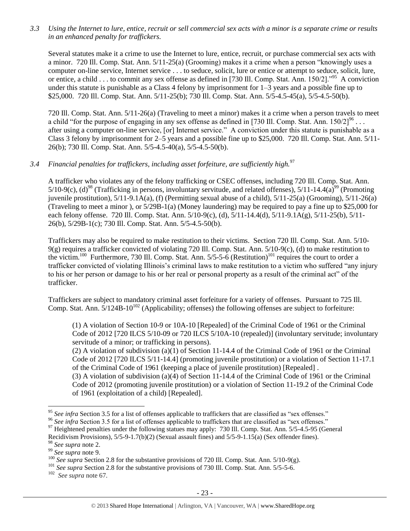*3.3 Using the Internet to lure, entice, recruit or sell commercial sex acts with a minor is a separate crime or results in an enhanced penalty for traffickers.*

Several statutes make it a crime to use the Internet to lure, entice, recruit, or purchase commercial sex acts with a minor. 720 Ill. Comp. Stat. Ann. 5/11-25(a) (Grooming) makes it a crime when a person "knowingly uses a computer on-line service, Internet service . . . to seduce, solicit, lure or entice or attempt to seduce, solicit, lure, or entice, a child . . . to commit any sex offense as defined in [730 Ill. Comp. Stat. Ann. 150/2]."<sup>95</sup> A conviction under this statute is punishable as a Class 4 felony by imprisonment for 1–3 years and a possible fine up to \$25,000. 720 Ill. Comp. Stat. Ann. 5/11-25(b); 730 Ill. Comp. Stat. Ann. 5/5-4.5-45(a), 5/5-4.5-50(b).

720 Ill. Comp. Stat. Ann. 5/11-26(a) (Traveling to meet a minor) makes it a crime when a person travels to meet a child "for the purpose of engaging in any sex offense as defined in [730 Ill. Comp. Stat. Ann.  $150/2$ ]<sup>96</sup>... after using a computer on-line service, [or] Internet service." A conviction under this statute is punishable as a Class 3 felony by imprisonment for 2–5 years and a possible fine up to \$25,000. 720 Ill. Comp. Stat. Ann. 5/11- 26(b); 730 Ill. Comp. Stat. Ann. 5/5-4.5-40(a), 5/5-4.5-50(b).

# *3.4 Financial penalties for traffickers, including asset forfeiture, are sufficiently high.*<sup>97</sup>

A trafficker who violates any of the felony trafficking or CSEC offenses, including 720 Ill. Comp. Stat. Ann.  $5/10-9(c)$ , (d)<sup>98</sup> (Trafficking in persons, involuntary servitude, and related offenses),  $5/11-14.4(a)^{99}$  (Promoting juvenile prostitution), 5/11-9.1A(a), (f) (Permitting sexual abuse of a child), 5/11-25(a) (Grooming), 5/11-26(a) (Traveling to meet a minor ), or 5/29B-1(a) (Money laundering) may be required to pay a fine up to \$25,000 for each felony offense. 720 Ill. Comp. Stat. Ann. 5/10-9(c), (d), 5/11-14.4(d), 5/11-9.1A(g), 5/11-25(b), 5/11- 26(b), 5/29B-1(c); 730 Ill. Comp. Stat. Ann. 5/5-4.5-50(b).

Traffickers may also be required to make restitution to their victims. Section 720 Ill. Comp. Stat. Ann. 5/10- 9(g) requires a trafficker convicted of violating 720 Ill. Comp. Stat. Ann. 5/10-9(c), (d) to make restitution to the victim.<sup>100</sup> Furthermore, 730 Ill. Comp. Stat. Ann.  $5/5$ -5-6 (Restitution)<sup>101</sup> requires the court to order a trafficker convicted of violating Illinois's criminal laws to make restitution to a victim who suffered "any injury to his or her person or damage to his or her real or personal property as a result of the criminal act" of the trafficker.

Traffickers are subject to mandatory criminal asset forfeiture for a variety of offenses. Pursuant to 725 Ill. Comp. Stat. Ann.  $5/124B-10^{102}$  (Applicability; offenses) the following offenses are subject to forfeiture:

(1) A violation of Section 10-9 or 10A-10 [Repealed] of the Criminal Code of 1961 or the Criminal Code of 2012 [720 ILCS 5/10-09 or 720 ILCS 5/10A-10 (repealed)] (involuntary servitude; involuntary servitude of a minor; or trafficking in persons).

(2) A violation of subdivision (a)(1) of Section 11-14.4 of the Criminal Code of 1961 or the Criminal Code of 2012 [720 ILCS 5/11-14.4] (promoting juvenile prostitution) or a violation of Section 11-17.1 of the Criminal Code of 1961 (keeping a place of juvenile prostitution) [Repealed] .

(3) A violation of subdivision (a)(4) of Section 11-14.4 of the Criminal Code of 1961 or the Criminal Code of 2012 (promoting juvenile prostitution) or a violation of Section 11-19.2 of the Criminal Code of 1961 (exploitation of a child) [Repealed].

<sup>&</sup>lt;sup>95</sup> See infra Section 3.5 for a list of offenses applicable to traffickers that are classified as "sex offenses."

<sup>&</sup>lt;sup>96</sup> See infra Section 3.5 for a list of offenses applicable to traffickers that are classified as "sex offenses."

<sup>&</sup>lt;sup>97</sup> Heightened penalties under the following statues may apply: 730 Ill. Comp. Stat. Ann. 5/5-4.5-95 (General

Recidivism Provisions), 5/5-9-1.7(b)(2) (Sexual assault fines) and 5/5-9-1.15(a) (Sex offender fines).

<sup>98</sup> *See supra* note [2.](#page-0-0)

<sup>99</sup> *See supra* note [9.](#page-2-1)

<sup>&</sup>lt;sup>100</sup> *See supra* Section 2.8 for the substantive provisions of 720 Ill. Comp. Stat. Ann. 5/10-9(g).

<sup>&</sup>lt;sup>101</sup> *See supra* Section 2.8 for the substantive provisions of 730 Ill. Comp. Stat. Ann. 5/5-5-6.

<sup>102</sup> *See supra* note [67.](#page-14-0)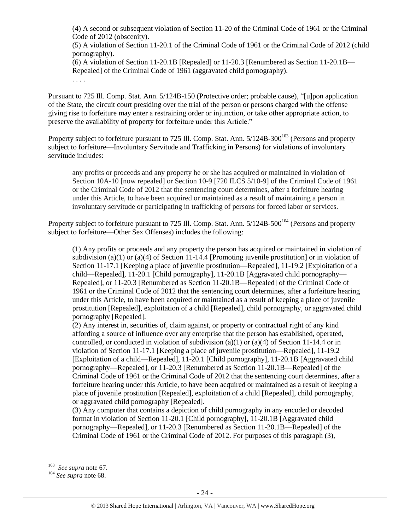(4) A second or subsequent violation of Section 11-20 of the Criminal Code of 1961 or the Criminal Code of 2012 (obscenity).

(5) A violation of Section 11-20.1 of the Criminal Code of 1961 or the Criminal Code of 2012 (child pornography).

(6) A violation of Section 11-20.1B [Repealed] or 11-20.3 [Renumbered as Section 11-20.1B— Repealed] of the Criminal Code of 1961 (aggravated child pornography). . . . .

Pursuant to 725 Ill. Comp. Stat. Ann. 5/124B-150 (Protective order; probable cause), "[u]pon application of the State, the circuit court presiding over the trial of the person or persons charged with the offense giving rise to forfeiture may enter a restraining order or injunction, or take other appropriate action, to preserve the availability of property for forfeiture under this Article."

Property subject to forfeiture pursuant to 725 Ill. Comp. Stat. Ann.  $5/124B-300^{103}$  (Persons and property subject to forfeiture—Involuntary Servitude and Trafficking in Persons) for violations of involuntary servitude includes:

any profits or proceeds and any property he or she has acquired or maintained in violation of Section 10A-10 [now repealed] or Section 10-9 [720 ILCS 5/10-9] of the Criminal Code of 1961 or the Criminal Code of 2012 that the sentencing court determines, after a forfeiture hearing under this Article, to have been acquired or maintained as a result of maintaining a person in involuntary servitude or participating in trafficking of persons for forced labor or services.

Property subject to forfeiture pursuant to 725 Ill. Comp. Stat. Ann.  $5/124B-500^{104}$  (Persons and property subject to forfeiture—Other Sex Offenses) includes the following:

(1) Any profits or proceeds and any property the person has acquired or maintained in violation of subdivision (a)(1) or (a)(4) of Section 11-14.4 [Promoting juvenile prostitution] or in violation of Section 11-17.1 [Keeping a place of juvenile prostitution—Repealed], 11-19.2 [Exploitation of a child—Repealed], 11-20.1 [Child pornography], 11-20.1B [Aggravated child pornography— Repealed], or 11-20.3 [Renumbered as Section 11-20.1B—Repealed] of the Criminal Code of 1961 or the Criminal Code of 2012 that the sentencing court determines, after a forfeiture hearing under this Article, to have been acquired or maintained as a result of keeping a place of juvenile prostitution [Repealed], exploitation of a child [Repealed], child pornography, or aggravated child pornography [Repealed].

(2) Any interest in, securities of, claim against, or property or contractual right of any kind affording a source of influence over any enterprise that the person has established, operated, controlled, or conducted in violation of subdivision (a)(1) or (a)(4) of Section 11-14.4 or in violation of Section 11-17.1 [Keeping a place of juvenile prostitution—Repealed], 11-19.2 [Exploitation of a child—Repealed], 11-20.1 [Child pornography], 11-20.1B [Aggravated child pornography—Repealed], or 11-20.3 [Renumbered as Section 11-20.1B—Repealed] of the Criminal Code of 1961 or the Criminal Code of 2012 that the sentencing court determines, after a forfeiture hearing under this Article, to have been acquired or maintained as a result of keeping a place of juvenile prostitution [Repealed], exploitation of a child [Repealed], child pornography, or aggravated child pornography [Repealed].

(3) Any computer that contains a depiction of child pornography in any encoded or decoded format in violation of Section 11-20.1 [Child pornography], 11-20.1B [Aggravated child pornography—Repealed], or 11-20.3 [Renumbered as Section 11-20.1B—Repealed] of the Criminal Code of 1961 or the Criminal Code of 2012. For purposes of this paragraph (3),

<sup>&</sup>lt;sup>103</sup> *See supra* note [67.](#page-14-0)

<sup>104</sup> *See supra* not[e 68.](#page-14-1)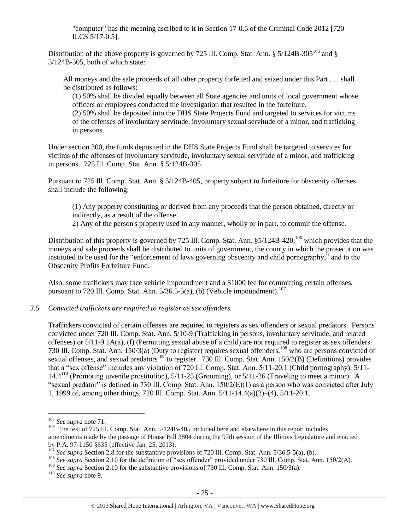"computer" has the meaning ascribed to it in Section 17-0.5 of the Criminal Code 2012 [720 ILCS 5/17-0.5].

Distribution of the above property is governed by 725 Ill. Comp. Stat. Ann. § 5/124B-305<sup>105</sup> and § 5/124B-505, both of which state:

All moneys and the sale proceeds of all other property forfeited and seized under this Part . . . shall be distributed as follows:

(1) 50% shall be divided equally between all State agencies and units of local government whose officers or employees conducted the investigation that resulted in the forfeiture.

(2) 50% shall be deposited into the DHS State Projects Fund and targeted to services for victims of the offenses of involuntary servitude, involuntary sexual servitude of a minor, and trafficking in persons.

Under section 300, the funds deposited in the DHS State Projects Fund shall be targeted to services for victims of the offenses of involuntary servitude, involuntary sexual servitude of a minor, and trafficking in persons. 725 Ill. Comp. Stat. Ann. § 5/124B-305.

Pursuant to 725 Ill. Comp. Stat. Ann. § 5/124B-405, property subject to forfeiture for obscenity offenses shall include the following:

(1) Any property constituting or derived from any proceeds that the person obtained, directly or indirectly, as a result of the offense.

2) Any of the person's property used in any manner, wholly or in part, to commit the offense.

Distribution of this property is governed by 725 Ill. Comp. Stat. Ann. §5/124B-420,<sup>106</sup> which provides that the moneys and sale proceeds shall be distributed to units of government, the county in which the prosecution was instituted to be used for the "enforcement of laws governing obscenity and child pornography," and to the Obscenity Profits Forfeiture Fund.

Also, some traffickers may face vehicle impoundment and a \$1000 fee for committing certain offenses, pursuant to 720 Ill. Comp. Stat. Ann.  $5/36.5-5(a)$ , (b) (Vehicle impoundment).<sup>107</sup>

*3.5 Convicted traffickers are required to register as sex offenders.*

Traffickers convicted of certain offenses are required to registers as sex offenders or sexual predators. Persons convicted under 720 Ill. Comp. Stat. Ann. 5/10-9 (Trafficking in persons, involuntary servitude, and related offenses) or 5/11-9.1A(a), (f) (Permitting sexual abuse of a child) are not required to register as sex offenders. 730 Ill. Comp. Stat. Ann. 150/3(a) (Duty to register) requires sexual offenders,<sup>108</sup> who are persons convicted of sexual offenses, and sexual predators<sup>109</sup> to register. 730 Ill. Comp. Stat. Ann. 150/2(B) (Definitions) provides that a "sex offense" includes any violation of 720 Ill. Comp. Stat. Ann. 5/11-20.1 (Child pornography), 5/11- 14.4<sup>110</sup> (Promoting juvenile prostitution), 5/11-25 (Grooming), or 5/11-26 (Traveling to meet a minor). A "sexual predator" is defined in 730 Ill. Comp. Stat. Ann.  $150/2(E)(1)$  as a person who was convicted after July 1, 1999 of, among other things, 720 Ill. Comp. Stat. Ann. 5/11-14.4(a)(2)–(4), 5/11-20.1.

 $\overline{a}$ 

<sup>109</sup> *See supra* Section 2.10 for the substantive provisions of 730 Ill. Comp. Stat. Ann. 150/3(a).

<sup>105</sup> *See supra* not[e 71.](#page-15-1)

<sup>&</sup>lt;sup>106</sup> The text of 725 Ill. Comp. Stat. Ann. 5/124B-405 included here and elsewhere in this report includes amendments made by the passage of House Bill 3804 during the 97th session of the Illinois Legislature and enacted by P.A. 97-1150 §635 (effective Jan. 25, 2013).

 $10^{107}$  *See supra* Section 2.8 for the substantive provisions of 720 Ill. Comp. Stat. Ann. 5/36.5-5(a), (b).

<sup>&</sup>lt;sup>108</sup> See supra Section 2.10 for the definition of "sex offender" provided under 730 Ill. Comp. Stat. Ann. 150/2(A).

<sup>110</sup> *See supra* not[e 9.](#page-2-1)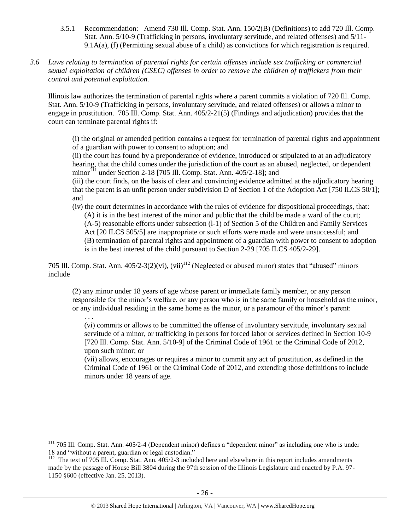- 3.5.1 Recommendation: Amend 730 Ill. Comp. Stat. Ann. 150/2(B) (Definitions) to add 720 Ill. Comp. Stat. Ann. 5/10-9 (Trafficking in persons, involuntary servitude, and related offenses) and 5/11- 9.1A(a), (f) (Permitting sexual abuse of a child) as convictions for which registration is required.
- *3.6 Laws relating to termination of parental rights for certain offenses include sex trafficking or commercial sexual exploitation of children (CSEC) offenses in order to remove the children of traffickers from their control and potential exploitation.*

Illinois law authorizes the termination of parental rights where a parent commits a violation of 720 Ill. Comp. Stat. Ann. 5/10-9 (Trafficking in persons, involuntary servitude, and related offenses) or allows a minor to engage in prostitution. 705 Ill. Comp. Stat. Ann. 405/2-21(5) (Findings and adjudication) provides that the court can terminate parental rights if:

(i) the original or amended petition contains a request for termination of parental rights and appointment of a guardian with power to consent to adoption; and

(ii) the court has found by a preponderance of evidence, introduced or stipulated to at an adjudicatory hearing, that the child comes under the jurisdiction of the court as an abused, neglected, or dependent minor<sup>111</sup> under Section 2-18 [705 Ill. Comp. Stat. Ann.  $405/2-18$ ]; and

<span id="page-25-0"></span>(iii) the court finds, on the basis of clear and convincing evidence admitted at the adjudicatory hearing that the parent is an unfit person under subdivision D of Section 1 of the Adoption Act [750 ILCS 50/1]; and

(iv) the court determines in accordance with the rules of evidence for dispositional proceedings, that: (A) it is in the best interest of the minor and public that the child be made a ward of the court; (A-5) reasonable efforts under subsection (l-1) of Section 5 of the Children and Family Services Act [20 ILCS 505/5] are inappropriate or such efforts were made and were unsuccessful; and (B) termination of parental rights and appointment of a guardian with power to consent to adoption is in the best interest of the child pursuant to Section 2-29 [705 ILCS 405/2-29].

705 Ill. Comp. Stat. Ann.  $405/2-3(2)(vi)$ ,  $(vii)^{112}$  (Neglected or abused minor) states that "abused" minors include

(2) any minor under 18 years of age whose parent or immediate family member, or any person responsible for the minor's welfare, or any person who is in the same family or household as the minor, or any individual residing in the same home as the minor, or a paramour of the minor's parent:

. . . (vi) commits or allows to be committed the offense of involuntary servitude, involuntary sexual servitude of a minor, or trafficking in persons for forced labor or services defined in Section 10-9 [720 Ill. Comp. Stat. Ann. 5/10-9] of the Criminal Code of 1961 or the Criminal Code of 2012, upon such minor; or

(vii) allows, encourages or requires a minor to commit any act of prostitution, as defined in the Criminal Code of 1961 or the Criminal Code of 2012, and extending those definitions to include minors under 18 years of age.

<sup>&</sup>lt;sup>111</sup> 705 Ill. Comp. Stat. Ann. 405/2-4 (Dependent minor) defines a "dependent minor" as including one who is under 18 and "without a parent, guardian or legal custodian."

<sup>&</sup>lt;sup>112</sup> The text of 705 Ill. Comp. Stat. Ann. 405/2-3 included here and elsewhere in this report includes amendments made by the passage of House Bill 3804 during the 97th session of the Illinois Legislature and enacted by P.A. 97- 1150 §600 (effective Jan. 25, 2013).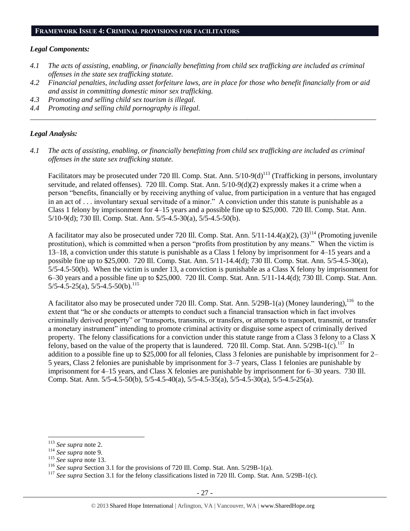#### **FRAMEWORK ISSUE 4: CRIMINAL PROVISIONS FOR FACILITATORS**

#### *Legal Components:*

- *4.1 The acts of assisting, enabling, or financially benefitting from child sex trafficking are included as criminal offenses in the state sex trafficking statute.*
- *4.2 Financial penalties, including asset forfeiture laws, are in place for those who benefit financially from or aid and assist in committing domestic minor sex trafficking.*

*\_\_\_\_\_\_\_\_\_\_\_\_\_\_\_\_\_\_\_\_\_\_\_\_\_\_\_\_\_\_\_\_\_\_\_\_\_\_\_\_\_\_\_\_\_\_\_\_\_\_\_\_\_\_\_\_\_\_\_\_\_\_\_\_\_\_\_\_\_\_\_\_\_\_\_\_\_\_\_\_\_\_\_\_\_\_\_\_\_\_\_\_\_\_*

- *4.3 Promoting and selling child sex tourism is illegal.*
- *4.4 Promoting and selling child pornography is illegal.*

#### *Legal Analysis:*

*4.1 The acts of assisting, enabling, or financially benefitting from child sex trafficking are included as criminal offenses in the state sex trafficking statute.*

Facilitators may be prosecuted under 720 Ill. Comp. Stat. Ann.  $5/10-9(d)^{113}$  (Trafficking in persons, involuntary servitude, and related offenses). 720 Ill. Comp. Stat. Ann. 5/10-9(d)(2) expressly makes it a crime when a person "benefits, financially or by receiving anything of value, from participation in a venture that has engaged in an act of . . . involuntary sexual servitude of a minor." A conviction under this statute is punishable as a Class 1 felony by imprisonment for 4–15 years and a possible fine up to \$25,000. 720 Ill. Comp. Stat. Ann. 5/10-9(d); 730 Ill. Comp. Stat. Ann. 5/5-4.5-30(a), 5/5-4.5-50(b).

A facilitator may also be prosecuted under 720 Ill. Comp. Stat. Ann.  $5/11-14.4(a)(2)$ ,  $(3)^{114}$  (Promoting juvenile prostitution), which is committed when a person "profits from prostitution by any means." When the victim is 13–18, a conviction under this statute is punishable as a Class 1 felony by imprisonment for 4–15 years and a possible fine up to \$25,000. 720 Ill. Comp. Stat. Ann. 5/11-14.4(d); 730 Ill. Comp. Stat. Ann. 5/5-4.5-30(a), 5/5-4.5-50(b). When the victim is under 13, a conviction is punishable as a Class X felony by imprisonment for 6–30 years and a possible fine up to \$25,000. 720 Ill. Comp. Stat. Ann. 5/11-14.4(d); 730 Ill. Comp. Stat. Ann.  $5/5-4.5-25(a)$ ,  $5/5-4.5-50(b)$ .<sup>115</sup>

A facilitator also may be prosecuted under 720 Ill. Comp. Stat. Ann.  $5/29B-1(a)$  (Money laundering),  $^{116}$  to the extent that "he or she conducts or attempts to conduct such a financial transaction which in fact involves criminally derived property" or "transports, transmits, or transfers, or attempts to transport, transmit, or transfer a monetary instrument" intending to promote criminal activity or disguise some aspect of criminally derived property. The felony classifications for a conviction under this statute range from a Class 3 felony to a Class X felony, based on the value of the property that is laundered. 720 Ill. Comp. Stat. Ann.  $5/29B-1(c)$ .<sup>117</sup> In addition to a possible fine up to \$25,000 for all felonies, Class 3 felonies are punishable by imprisonment for 2– 5 years, Class 2 felonies are punishable by imprisonment for 3–7 years, Class 1 felonies are punishable by imprisonment for 4–15 years, and Class X felonies are punishable by imprisonment for 6–30 years. 730 Ill. Comp. Stat. Ann. 5/5-4.5-50(b), 5/5-4.5-40(a), 5/5-4.5-35(a), 5/5-4.5-30(a), 5/5-4.5-25(a).

<sup>113</sup> *See supra* not[e 2.](#page-0-0)

<sup>114</sup> *See supra* not[e 9.](#page-2-1)

<sup>115</sup> *See supra* not[e 13.](#page-3-1)

<sup>116</sup> *See supra* Section 3.1 for the provisions of 720 Ill. Comp. Stat. Ann. 5/29B-1(a).

<sup>&</sup>lt;sup>117</sup> See supra Section 3.1 for the felony classifications listed in 720 Ill. Comp. Stat. Ann. 5/29B-1(c).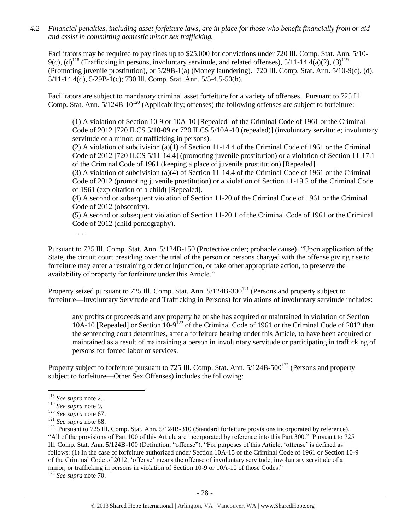*4.2 Financial penalties, including asset forfeiture laws, are in place for those who benefit financially from or aid and assist in committing domestic minor sex trafficking.*

Facilitators may be required to pay fines up to \$25,000 for convictions under 720 Ill. Comp. Stat. Ann. 5/10- 9(c), (d)<sup>118</sup> (Trafficking in persons, involuntary servitude, and related offenses),  $5/11-14.4(a)(2)$ ,  $(3)^{119}$ (Promoting juvenile prostitution), or 5/29B-1(a) (Money laundering). 720 Ill. Comp. Stat. Ann. 5/10-9(c), (d), 5/11-14.4(d), 5/29B-1(c); 730 Ill. Comp. Stat. Ann. 5/5-4.5-50(b).

Facilitators are subject to mandatory criminal asset forfeiture for a variety of offenses. Pursuant to 725 Ill. Comp. Stat. Ann.  $5/124B-10^{120}$  (Applicability; offenses) the following offenses are subject to forfeiture:

(1) A violation of Section 10-9 or 10A-10 [Repealed] of the Criminal Code of 1961 or the Criminal Code of 2012 [720 ILCS 5/10-09 or 720 ILCS 5/10A-10 (repealed)] (involuntary servitude; involuntary servitude of a minor; or trafficking in persons).

(2) A violation of subdivision (a)(1) of Section 11-14.4 of the Criminal Code of 1961 or the Criminal Code of 2012 [720 ILCS 5/11-14.4] (promoting juvenile prostitution) or a violation of Section 11-17.1 of the Criminal Code of 1961 (keeping a place of juvenile prostitution) [Repealed] .

(3) A violation of subdivision (a)(4) of Section 11-14.4 of the Criminal Code of 1961 or the Criminal Code of 2012 (promoting juvenile prostitution) or a violation of Section 11-19.2 of the Criminal Code of 1961 (exploitation of a child) [Repealed].

(4) A second or subsequent violation of Section 11-20 of the Criminal Code of 1961 or the Criminal Code of 2012 (obscenity).

(5) A second or subsequent violation of Section 11-20.1 of the Criminal Code of 1961 or the Criminal Code of 2012 (child pornography).

. . . .

Pursuant to 725 Ill. Comp. Stat. Ann. 5/124B-150 (Protective order; probable cause), "Upon application of the State, the circuit court presiding over the trial of the person or persons charged with the offense giving rise to forfeiture may enter a restraining order or injunction, or take other appropriate action, to preserve the availability of property for forfeiture under this Article."

Property seized pursuant to 725 Ill. Comp. Stat. Ann.  $5/124B-300^{121}$  (Persons and property subject to forfeiture—Involuntary Servitude and Trafficking in Persons) for violations of involuntary servitude includes:

any profits or proceeds and any property he or she has acquired or maintained in violation of Section 10A-10 [Repealed] or Section 10-9<sup>122</sup> of the Criminal Code of 1961 or the Criminal Code of 2012 that the sentencing court determines, after a forfeiture hearing under this Article, to have been acquired or maintained as a result of maintaining a person in involuntary servitude or participating in trafficking of persons for forced labor or services.

Property subject to forfeiture pursuant to 725 Ill. Comp. Stat. Ann.  $5/124B-500^{123}$  (Persons and property subject to forfeiture—Other Sex Offenses) includes the following:

 $\overline{a}$ 

<sup>123</sup> *See supra* not[e 70.](#page-15-2)

<sup>118</sup> *See supra* not[e 2.](#page-0-0)

<sup>119</sup> *See supra* not[e 9.](#page-2-1)

<sup>120</sup> *See supra* not[e 67.](#page-14-0)

<sup>121</sup> *See supra* not[e 68.](#page-14-1)

 $122$  Pursuant to 725 Ill. Comp. Stat. Ann.  $5/124B-310$  (Standard forfeiture provisions incorporated by reference), "All of the provisions of Part 100 of this Article are incorporated by reference into this Part 300." Pursuant to 725 Ill. Comp. Stat. Ann. 5/124B-100 (Definition; "offense"), "For purposes of this Article, 'offense' is defined as follows: (1) In the case of forfeiture authorized under Section 10A-15 of the Criminal Code of 1961 or Section 10-9 of the Criminal Code of 2012, 'offense' means the offense of involuntary servitude, involuntary servitude of a minor, or trafficking in persons in violation of Section 10-9 or 10A-10 of those Codes."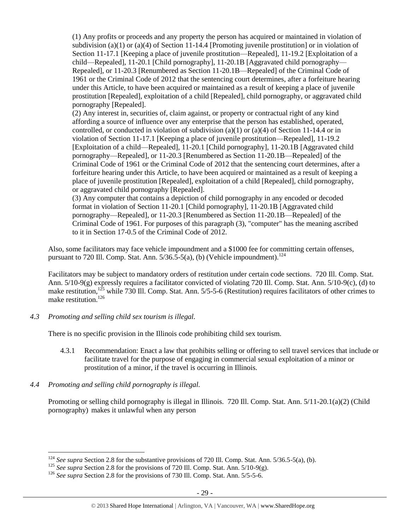(1) Any profits or proceeds and any property the person has acquired or maintained in violation of subdivision (a)(1) or (a)(4) of Section 11-14.4 [Promoting juvenile prostitution] or in violation of Section 11-17.1 [Keeping a place of juvenile prostitution—Repealed], 11-19.2 [Exploitation of a child—Repealed], 11-20.1 [Child pornography], 11-20.1B [Aggravated child pornography— Repealed], or 11-20.3 [Renumbered as Section 11-20.1B—Repealed] of the Criminal Code of 1961 or the Criminal Code of 2012 that the sentencing court determines, after a forfeiture hearing under this Article, to have been acquired or maintained as a result of keeping a place of juvenile prostitution [Repealed], exploitation of a child [Repealed], child pornography, or aggravated child pornography [Repealed].

(2) Any interest in, securities of, claim against, or property or contractual right of any kind affording a source of influence over any enterprise that the person has established, operated, controlled, or conducted in violation of subdivision (a)(1) or (a)(4) of Section 11-14.4 or in violation of Section 11-17.1 [Keeping a place of juvenile prostitution—Repealed], 11-19.2 [Exploitation of a child—Repealed], 11-20.1 [Child pornography], 11-20.1B [Aggravated child pornography—Repealed], or 11-20.3 [Renumbered as Section 11-20.1B—Repealed] of the Criminal Code of 1961 or the Criminal Code of 2012 that the sentencing court determines, after a forfeiture hearing under this Article, to have been acquired or maintained as a result of keeping a place of juvenile prostitution [Repealed], exploitation of a child [Repealed], child pornography, or aggravated child pornography [Repealed].

(3) Any computer that contains a depiction of child pornography in any encoded or decoded format in violation of Section 11-20.1 [Child pornography], 11-20.1B [Aggravated child pornography—Repealed], or 11-20.3 [Renumbered as Section 11-20.1B—Repealed] of the Criminal Code of 1961. For purposes of this paragraph (3), "computer" has the meaning ascribed to it in Section 17-0.5 of the Criminal Code of 2012.

Also, some facilitators may face vehicle impoundment and a \$1000 fee for committing certain offenses, pursuant to 720 Ill. Comp. Stat. Ann.  $5/36.5-5(a)$ , (b) (Vehicle impoundment).<sup>124</sup>

Facilitators may be subject to mandatory orders of restitution under certain code sections. 720 Ill. Comp. Stat. Ann. 5/10-9(g) expressly requires a facilitator convicted of violating 720 Ill. Comp. Stat. Ann. 5/10-9(c), (d) to make restitution,<sup>125</sup> while 730 Ill. Comp. Stat. Ann. 5/5-5-6 (Restitution) requires facilitators of other crimes to make restitution.<sup>126</sup>

*4.3 Promoting and selling child sex tourism is illegal.*

There is no specific provision in the Illinois code prohibiting child sex tourism.

- 4.3.1 Recommendation: Enact a law that prohibits selling or offering to sell travel services that include or facilitate travel for the purpose of engaging in commercial sexual exploitation of a minor or prostitution of a minor, if the travel is occurring in Illinois.
- *4.4 Promoting and selling child pornography is illegal.*

 $\overline{a}$ 

Promoting or selling child pornography is illegal in Illinois. 720 Ill. Comp. Stat. Ann. 5/11-20.1(a)(2) (Child pornography) makes it unlawful when any person

<sup>&</sup>lt;sup>124</sup> *See supra* Section 2.8 for the substantive provisions of 720 Ill. Comp. Stat. Ann. 5/36.5-5(a), (b).

<sup>&</sup>lt;sup>125</sup> *See supra* Section 2.8 for the provisions of 720 Ill. Comp. Stat. Ann. 5/10-9(g).

<sup>126</sup> *See supra* Section 2.8 for the provisions of 730 Ill. Comp. Stat. Ann. 5/5-5-6.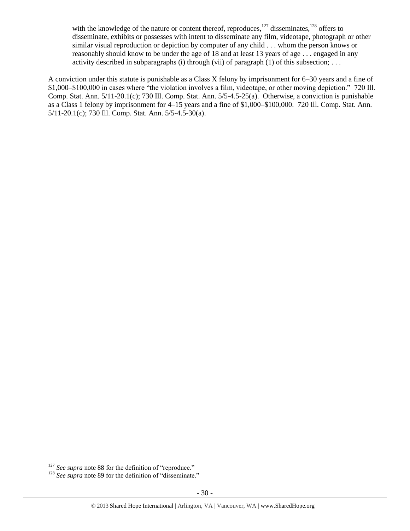with the knowledge of the nature or content thereof, reproduces, $127$  disseminates,  $128$  offers to disseminate, exhibits or possesses with intent to disseminate any film, videotape, photograph or other similar visual reproduction or depiction by computer of any child . . . whom the person knows or reasonably should know to be under the age of 18 and at least 13 years of age . . . engaged in any activity described in subparagraphs (i) through (vii) of paragraph (1) of this subsection; ...

A conviction under this statute is punishable as a Class X felony by imprisonment for 6–30 years and a fine of \$1,000–\$100,000 in cases where "the violation involves a film, videotape, or other moving depiction." 720 Ill. Comp. Stat. Ann. 5/11-20.1(c); 730 Ill. Comp. Stat. Ann. 5/5-4.5-25(a). Otherwise, a conviction is punishable as a Class 1 felony by imprisonment for 4–15 years and a fine of \$1,000–\$100,000. 720 Ill. Comp. Stat. Ann. 5/11-20.1(c); 730 Ill. Comp. Stat. Ann. 5/5-4.5-30(a).

 $\overline{a}$ <sup>127</sup> See supra not[e 88](#page-20-0) for the definition of "reproduce."

<sup>&</sup>lt;sup>128</sup> *See supra* not[e 89](#page-20-1) for the definition of "disseminate."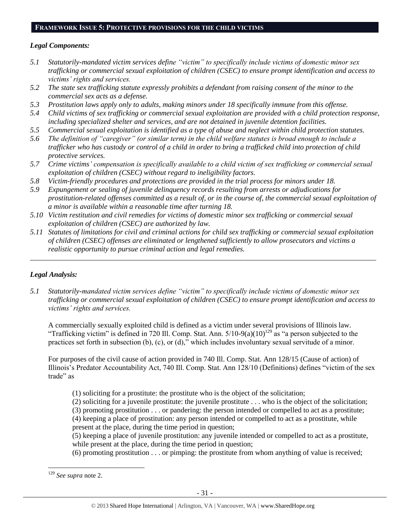# **FRAMEWORK ISSUE 5: PROTECTIVE PROVISIONS FOR THE CHILD VICTIMS**

#### *Legal Components:*

- *5.1 Statutorily-mandated victim services define "victim" to specifically include victims of domestic minor sex trafficking or commercial sexual exploitation of children (CSEC) to ensure prompt identification and access to victims' rights and services.*
- *5.2 The state sex trafficking statute expressly prohibits a defendant from raising consent of the minor to the commercial sex acts as a defense.*
- *5.3 Prostitution laws apply only to adults, making minors under 18 specifically immune from this offense.*
- *5.4 Child victims of sex trafficking or commercial sexual exploitation are provided with a child protection response, including specialized shelter and services, and are not detained in juvenile detention facilities.*
- *5.5 Commercial sexual exploitation is identified as a type of abuse and neglect within child protection statutes.*
- *5.6 The definition of "caregiver" (or similar term) in the child welfare statutes is broad enough to include a trafficker who has custody or control of a child in order to bring a trafficked child into protection of child protective services.*
- *5.7 Crime victims' compensation is specifically available to a child victim of sex trafficking or commercial sexual exploitation of children (CSEC) without regard to ineligibility factors.*
- *5.8 Victim-friendly procedures and protections are provided in the trial process for minors under 18.*
- *5.9 Expungement or sealing of juvenile delinquency records resulting from arrests or adjudications for prostitution-related offenses committed as a result of, or in the course of, the commercial sexual exploitation of a minor is available within a reasonable time after turning 18.*
- *5.10 Victim restitution and civil remedies for victims of domestic minor sex trafficking or commercial sexual exploitation of children (CSEC) are authorized by law.*
- *5.11 Statutes of limitations for civil and criminal actions for child sex trafficking or commercial sexual exploitation of children (CSEC) offenses are eliminated or lengthened sufficiently to allow prosecutors and victims a realistic opportunity to pursue criminal action and legal remedies.*

*\_\_\_\_\_\_\_\_\_\_\_\_\_\_\_\_\_\_\_\_\_\_\_\_\_\_\_\_\_\_\_\_\_\_\_\_\_\_\_\_\_\_\_\_\_\_\_\_\_\_\_\_\_\_\_\_\_\_\_\_\_\_\_\_\_\_\_\_\_\_\_\_\_\_\_\_\_\_\_\_\_\_\_\_\_\_\_\_\_\_\_\_\_\_*

# *Legal Analysis:*

*5.1 Statutorily-mandated victim services define "victim" to specifically include victims of domestic minor sex trafficking or commercial sexual exploitation of children (CSEC) to ensure prompt identification and access to victims' rights and services.*

A commercially sexually exploited child is defined as a victim under several provisions of Illinois law. "Trafficking victim" is defined in 720 Ill. Comp. Stat. Ann.  $5/10-9(a)(10)^{129}$  as "a person subjected to the practices set forth in subsection (b), (c), or (d)," which includes involuntary sexual servitude of a minor.

For purposes of the civil cause of action provided in 740 Ill. Comp. Stat. Ann 128/15 (Cause of action) of Illinois's Predator Accountability Act, 740 Ill. Comp. Stat. Ann 128/10 (Definitions) defines "victim of the sex trade" as

- (1) soliciting for a prostitute: the prostitute who is the object of the solicitation;
- (2) soliciting for a juvenile prostitute: the juvenile prostitute . . . who is the object of the solicitation;
- (3) promoting prostitution . . . or pandering: the person intended or compelled to act as a prostitute; (4) keeping a place of prostitution: any person intended or compelled to act as a prostitute, while
- present at the place, during the time period in question;
- (5) keeping a place of juvenile prostitution: any juvenile intended or compelled to act as a prostitute, while present at the place, during the time period in question;
- (6) promoting prostitution . . . or pimping: the prostitute from whom anything of value is received;

<sup>129</sup> *See supra* not[e 2.](#page-0-0)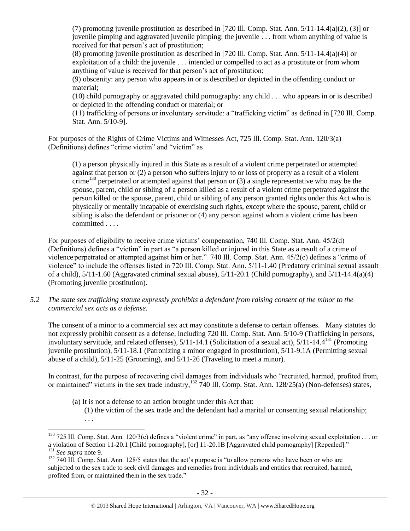(7) promoting juvenile prostitution as described in [720 Ill. Comp. Stat. Ann.  $5/11-14.4(a)(2)$ , (3)] or juvenile pimping and aggravated juvenile pimping: the juvenile . . . from whom anything of value is received for that person's act of prostitution;

(8) promoting juvenile prostitution as described in [720 Ill. Comp. Stat. Ann. 5/11-14.4(a)(4)] or exploitation of a child: the juvenile . . . intended or compelled to act as a prostitute or from whom anything of value is received for that person's act of prostitution;

(9) obscenity: any person who appears in or is described or depicted in the offending conduct or material;

(10) child pornography or aggravated child pornography: any child . . . who appears in or is described or depicted in the offending conduct or material; or

(11) trafficking of persons or involuntary servitude: a "trafficking victim" as defined in [720 Ill. Comp. Stat. Ann. 5/10-9].

For purposes of the Rights of Crime Victims and Witnesses Act, 725 Ill. Comp. Stat. Ann. 120/3(a) (Definitions) defines "crime victim" and "victim" as

(1) a person physically injured in this State as a result of a violent crime perpetrated or attempted against that person or (2) a person who suffers injury to or loss of property as a result of a violent crime<sup>130</sup> perpetrated or attempted against that person or  $(3)$  a single representative who may be the spouse, parent, child or sibling of a person killed as a result of a violent crime perpetrated against the person killed or the spouse, parent, child or sibling of any person granted rights under this Act who is physically or mentally incapable of exercising such rights, except where the spouse, parent, child or sibling is also the defendant or prisoner or (4) any person against whom a violent crime has been committed . . . .

For purposes of eligibility to receive crime victims' compensation, 740 Ill. Comp. Stat. Ann. 45/2(d) (Definitions) defines a "victim" in part as "a person killed or injured in this State as a result of a crime of violence perpetrated or attempted against him or her." 740 Ill. Comp. Stat. Ann. 45/2(c) defines a "crime of violence" to include the offenses listed in 720 Ill. Comp. Stat. Ann. 5/11-1.40 (Predatory criminal sexual assault of a child),  $5/11-1.60$  (Aggravated criminal sexual abuse),  $5/11-20.1$  (Child pornography), and  $5/11-14.4(a)(4)$ (Promoting juvenile prostitution).

*5.2 The state sex trafficking statute expressly prohibits a defendant from raising consent of the minor to the commercial sex acts as a defense.*

The consent of a minor to a commercial sex act may constitute a defense to certain offenses. Many statutes do not expressly prohibit consent as a defense, including 720 Ill. Comp. Stat. Ann. 5/10-9 (Trafficking in persons, involuntary servitude, and related offenses), 5/11-14.1 (Solicitation of a sexual act), 5/11-14.4<sup>131</sup> (Promoting juvenile prostitution), 5/11-18.1 (Patronizing a minor engaged in prostitution), 5/11-9.1A (Permitting sexual abuse of a child), 5/11-25 (Grooming), and 5/11-26 (Traveling to meet a minor).

In contrast, for the purpose of recovering civil damages from individuals who "recruited, harmed, profited from, or maintained" victims in the sex trade industry,<sup>132</sup> 740 Ill. Comp. Stat. Ann. 128/25(a) (Non-defenses) states,

(a) It is not a defense to an action brought under this Act that: (1) the victim of the sex trade and the defendant had a marital or consenting sexual relationship; . . .

 $^{130}$  725 Ill. Comp. Stat. Ann. 120/3(c) defines a "violent crime" in part, as "any offense involving sexual exploitation . . . or a violation of Section 11-20.1 [Child pornography], [or] 11-20.1B [Aggravated child pornography] [Repealed]." <sup>131</sup> *See supra* not[e 9.](#page-2-1)

<sup>&</sup>lt;sup>132</sup> 740 Ill. Comp. Stat. Ann. 128/5 states that the act's purpose is "to allow persons who have been or who are subjected to the sex trade to seek civil damages and remedies from individuals and entities that recruited, harmed, profited from, or maintained them in the sex trade."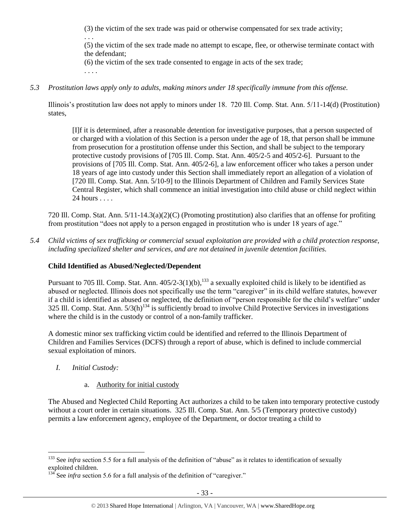(3) the victim of the sex trade was paid or otherwise compensated for sex trade activity;

. . .

(5) the victim of the sex trade made no attempt to escape, flee, or otherwise terminate contact with the defendant;

(6) the victim of the sex trade consented to engage in acts of the sex trade;

. . . .

# *5.3 Prostitution laws apply only to adults, making minors under 18 specifically immune from this offense.*

Illinois's prostitution law does not apply to minors under 18. 720 Ill. Comp. Stat. Ann. 5/11-14(d) (Prostitution) states,

[I]f it is determined, after a reasonable detention for investigative purposes, that a person suspected of or charged with a violation of this Section is a person under the age of 18, that person shall be immune from prosecution for a prostitution offense under this Section, and shall be subject to the temporary protective custody provisions of [705 Ill. Comp. Stat. Ann. 405/2-5 and 405/2-6]. Pursuant to the provisions of [705 Ill. Comp. Stat. Ann. 405/2-6], a law enforcement officer who takes a person under 18 years of age into custody under this Section shall immediately report an allegation of a violation of [720 Ill. Comp. Stat. Ann. 5/10-9] to the Illinois Department of Children and Family Services State Central Register, which shall commence an initial investigation into child abuse or child neglect within 24 hours . . . .

720 Ill. Comp. Stat. Ann. 5/11-14.3(a)(2)(C) (Promoting prostitution) also clarifies that an offense for profiting from prostitution "does not apply to a person engaged in prostitution who is under 18 years of age."

*5.4 Child victims of sex trafficking or commercial sexual exploitation are provided with a child protection response, including specialized shelter and services, and are not detained in juvenile detention facilities.*

# **Child Identified as Abused/Neglected/Dependent**

Pursuant to 705 Ill. Comp. Stat. Ann.  $405/2-3(1)(b)$ ,  $^{133}$  a sexually exploited child is likely to be identified as abused or neglected. Illinois does not specifically use the term "caregiver" in its child welfare statutes, however if a child is identified as abused or neglected, the definition of "person responsible for the child's welfare" under 325 Ill. Comp. Stat. Ann.  $5/3(h)^{134}$  is sufficiently broad to involve Child Protective Services in investigations where the child is in the custody or control of a non-family trafficker.

A domestic minor sex trafficking victim could be identified and referred to the Illinois Department of Children and Families Services (DCFS) through a report of abuse, which is defined to include commercial sexual exploitation of minors.

*I. Initial Custody:* 

 $\overline{a}$ 

# a. Authority for initial custody

The Abused and Neglected Child Reporting Act authorizes a child to be taken into temporary protective custody without a court order in certain situations. 325 Ill. Comp. Stat. Ann. 5/5 (Temporary protective custody) permits a law enforcement agency, employee of the Department, or doctor treating a child to

<sup>&</sup>lt;sup>133</sup> See *infra* section 5.5 for a full analysis of the definition of "abuse" as it relates to identification of sexually exploited children.

 $134$  See *infra* section 5.6 for a full analysis of the definition of "caregiver."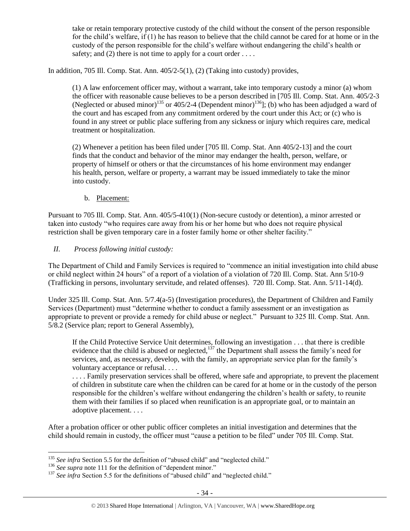take or retain temporary protective custody of the child without the consent of the person responsible for the child's welfare, if (1) he has reason to believe that the child cannot be cared for at home or in the custody of the person responsible for the child's welfare without endangering the child's health or safety; and (2) there is not time to apply for a court order ....

In addition, 705 Ill. Comp. Stat. Ann. 405/2-5(1), (2) (Taking into custody) provides,

(1) A law enforcement officer may, without a warrant, take into temporary custody a minor (a) whom the officer with reasonable cause believes to be a person described in [705 Ill. Comp. Stat. Ann. 405/2-3 (Neglected or abused minor)<sup>135</sup> or 405/2-4 (Dependent minor)<sup>136</sup>]; (b) who has been adjudged a ward of the court and has escaped from any commitment ordered by the court under this Act; or (c) who is found in any street or public place suffering from any sickness or injury which requires care, medical treatment or hospitalization.

(2) Whenever a petition has been filed under [705 Ill. Comp. Stat. Ann 405/2-13] and the court finds that the conduct and behavior of the minor may endanger the health, person, welfare, or property of himself or others or that the circumstances of his home environment may endanger his health, person, welfare or property, a warrant may be issued immediately to take the minor into custody.

## b. Placement:

Pursuant to 705 Ill. Comp. Stat. Ann. 405/5-410(1) (Non-secure custody or detention), a minor arrested or taken into custody "who requires care away from his or her home but who does not require physical restriction shall be given temporary care in a foster family home or other shelter facility."

## *II. Process following initial custody:*

The Department of Child and Family Services is required to "commence an initial investigation into child abuse or child neglect within 24 hours" of a report of a violation of a violation of 720 Ill. Comp. Stat. Ann 5/10-9 (Trafficking in persons, involuntary servitude, and related offenses). 720 Ill. Comp. Stat. Ann. 5/11-14(d).

Under 325 Ill. Comp. Stat. Ann. 5/7.4(a-5) (Investigation procedures), the Department of Children and Family Services (Department) must "determine whether to conduct a family assessment or an investigation as appropriate to prevent or provide a remedy for child abuse or neglect." Pursuant to 325 Ill. Comp. Stat. Ann. 5/8.2 (Service plan; report to General Assembly),

If the Child Protective Service Unit determines, following an investigation . . . that there is credible evidence that the child is abused or neglected,<sup>137</sup> the Department shall assess the family's need for services, and, as necessary, develop, with the family, an appropriate service plan for the family's voluntary acceptance or refusal. . . .

. . . . Family preservation services shall be offered, where safe and appropriate, to prevent the placement of children in substitute care when the children can be cared for at home or in the custody of the person responsible for the children's welfare without endangering the children's health or safety, to reunite them with their families if so placed when reunification is an appropriate goal, or to maintain an adoptive placement. . . .

After a probation officer or other public officer completes an initial investigation and determines that the child should remain in custody, the officer must "cause a petition to be filed" under 705 Ill. Comp. Stat.

<sup>&</sup>lt;sup>135</sup> See infra Section 5.5 for the definition of "abused child" and "neglected child."

<sup>&</sup>lt;sup>136</sup> *See supra* not[e 111](#page-25-0) for the definition of "dependent minor."

<sup>&</sup>lt;sup>137</sup> See infra Section 5.5 for the definitions of "abused child" and "neglected child."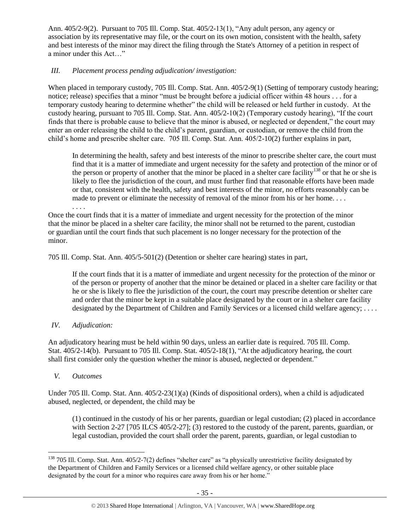Ann. 405/2-9(2). Pursuant to 705 Ill. Comp. Stat. 405/2-13(1), "Any adult person, any agency or association by its representative may file, or the court on its own motion, consistent with the health, safety and best interests of the minor may direct the filing through the State's Attorney of a petition in respect of a minor under this Act…"

# *III. Placement process pending adjudication/ investigation:*

When placed in temporary custody, 705 Ill. Comp. Stat. Ann. 405/2-9(1) (Setting of temporary custody hearing; notice; release) specifies that a minor "must be brought before a judicial officer within 48 hours . . . for a temporary custody hearing to determine whether" the child will be released or held further in custody. At the custody hearing, pursuant to 705 Ill. Comp. Stat. Ann. 405/2-10(2) (Temporary custody hearing), "If the court finds that there is probable cause to believe that the minor is abused, or neglected or dependent," the court may enter an order releasing the child to the child's parent, guardian, or custodian, or remove the child from the child's home and prescribe shelter care. 705 Ill. Comp. Stat. Ann. 405/2-10(2) further explains in part,

In determining the health, safety and best interests of the minor to prescribe shelter care, the court must find that it is a matter of immediate and urgent necessity for the safety and protection of the minor or of the person or property of another that the minor be placed in a shelter care facility<sup>138</sup> or that he or she is likely to flee the jurisdiction of the court, and must further find that reasonable efforts have been made or that, consistent with the health, safety and best interests of the minor, no efforts reasonably can be made to prevent or eliminate the necessity of removal of the minor from his or her home....

. . . . Once the court finds that it is a matter of immediate and urgent necessity for the protection of the minor that the minor be placed in a shelter care facility, the minor shall not be returned to the parent, custodian or guardian until the court finds that such placement is no longer necessary for the protection of the minor.

705 Ill. Comp. Stat. Ann. 405/5-501(2) (Detention or shelter care hearing) states in part,

If the court finds that it is a matter of immediate and urgent necessity for the protection of the minor or of the person or property of another that the minor be detained or placed in a shelter care facility or that he or she is likely to flee the jurisdiction of the court, the court may prescribe detention or shelter care and order that the minor be kept in a suitable place designated by the court or in a shelter care facility designated by the Department of Children and Family Services or a licensed child welfare agency; ....

# *IV. Adjudication:*

An adjudicatory hearing must be held within 90 days, unless an earlier date is required. 705 Ill. Comp. Stat. 405/2-14(b). Pursuant to 705 Ill. Comp. Stat. 405/2-18(1), "At the adjudicatory hearing, the court shall first consider only the question whether the minor is abused, neglected or dependent."

# *V. Outcomes*

 $\overline{a}$ 

Under 705 Ill. Comp. Stat. Ann. 405/2-23(1)(a) (Kinds of dispositional orders), when a child is adjudicated abused, neglected, or dependent, the child may be

(1) continued in the custody of his or her parents, guardian or legal custodian; (2) placed in accordance with Section 2-27 [705 ILCS 405/2-27]; (3) restored to the custody of the parent, parents, guardian, or legal custodian, provided the court shall order the parent, parents, guardian, or legal custodian to

<sup>&</sup>lt;sup>138</sup> 705 Ill. Comp. Stat. Ann.  $405/2-7(2)$  defines "shelter care" as "a physically unrestrictive facility designated by the Department of Children and Family Services or a licensed child welfare agency, or other suitable place designated by the court for a minor who requires care away from his or her home."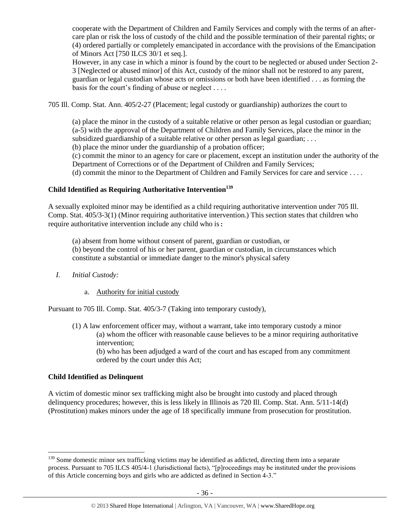cooperate with the Department of Children and Family Services and comply with the terms of an aftercare plan or risk the loss of custody of the child and the possible termination of their parental rights; or (4) ordered partially or completely emancipated in accordance with the provisions of the Emancipation of Minors Act [750 ILCS 30/1 et seq.].

However, in any case in which a minor is found by the court to be neglected or abused under Section 2- 3 [Neglected or abused minor] of this Act, custody of the minor shall not be restored to any parent, guardian or legal custodian whose acts or omissions or both have been identified . . . as forming the basis for the court's finding of abuse or neglect . . . .

705 Ill. Comp. Stat. Ann. 405/2-27 (Placement; legal custody or guardianship) authorizes the court to

(a) place the minor in the custody of a suitable relative or other person as legal custodian or guardian; (a-5) with the approval of the Department of Children and Family Services, place the minor in the subsidized guardianship of a suitable relative or other person as legal guardian; . . .

(b) place the minor under the guardianship of a probation officer;

(c) commit the minor to an agency for care or placement, except an institution under the authority of the Department of Corrections or of the Department of Children and Family Services;

(d) commit the minor to the Department of Children and Family Services for care and service . . . .

# **Child Identified as Requiring Authoritative Intervention<sup>139</sup>**

A sexually exploited minor may be identified as a child requiring authoritative intervention under 705 Ill. Comp. Stat. 405/3-3(1) (Minor requiring authoritative intervention.) This section states that children who require authoritative intervention include any child who is:

(a) absent from home without consent of parent, guardian or custodian, or

(b) beyond the control of his or her parent, guardian or custodian, in circumstances which constitute a substantial or immediate danger to the minor's physical safety

- *I. Initial Custody:* 
	- a. Authority for initial custody

Pursuant to 705 Ill. Comp. Stat. 405/3-7 (Taking into temporary custody),

(1) A law enforcement officer may, without a warrant, take into temporary custody a minor (a) whom the officer with reasonable cause believes to be a minor requiring authoritative intervention;

(b) who has been adjudged a ward of the court and has escaped from any commitment ordered by the court under this Act;

#### **Child Identified as Delinquent**

 $\overline{a}$ 

A victim of domestic minor sex trafficking might also be brought into custody and placed through delinquency procedures; however, this is less likely in Illinois as 720 Ill. Comp. Stat. Ann. 5/11-14(d) (Prostitution) makes minors under the age of 18 specifically immune from prosecution for prostitution.

<sup>&</sup>lt;sup>139</sup> Some domestic minor sex trafficking victims may be identified as addicted, directing them into a separate process. Pursuant to 705 ILCS 405/4-1 (Jurisdictional facts), "[p]roceedings may be instituted under the provisions of this Article concerning boys and girls who are addicted as defined in Section 4-3."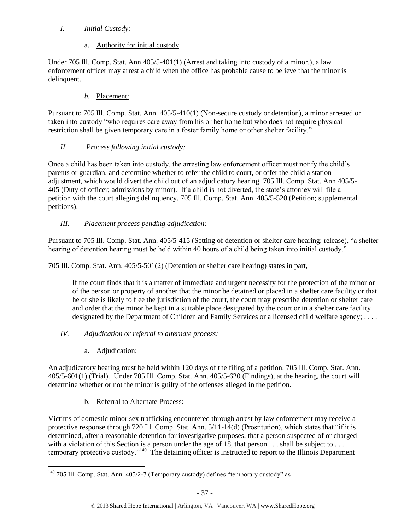# *I. Initial Custody:*

# a. Authority for initial custody

Under 705 Ill. Comp. Stat. Ann 405/5-401(1) (Arrest and taking into custody of a minor.), a law enforcement officer may arrest a child when the office has probable cause to believe that the minor is delinquent.

# *b.* Placement:

Pursuant to 705 Ill. Comp. Stat. Ann. 405/5-410(1) (Non-secure custody or detention), a minor arrested or taken into custody "who requires care away from his or her home but who does not require physical restriction shall be given temporary care in a foster family home or other shelter facility."

# *II. Process following initial custody:*

Once a child has been taken into custody, the arresting law enforcement officer must notify the child's parents or guardian, and determine whether to refer the child to court, or offer the child a station adjustment, which would divert the child out of an adjudicatory hearing. 705 Ill. Comp. Stat. Ann 405/5- 405 (Duty of officer; admissions by minor). If a child is not diverted, the state's attorney will file a petition with the court alleging delinquency. 705 Ill. Comp. Stat. Ann. 405/5-520 (Petition; supplemental petitions).

# *III. Placement process pending adjudication:*

Pursuant to 705 Ill. Comp. Stat. Ann. 405/5-415 (Setting of detention or shelter care hearing; release), "a shelter hearing of detention hearing must be held within 40 hours of a child being taken into initial custody."

705 Ill. Comp. Stat. Ann. 405/5-501(2) (Detention or shelter care hearing) states in part,

If the court finds that it is a matter of immediate and urgent necessity for the protection of the minor or of the person or property of another that the minor be detained or placed in a shelter care facility or that he or she is likely to flee the jurisdiction of the court, the court may prescribe detention or shelter care and order that the minor be kept in a suitable place designated by the court or in a shelter care facility designated by the Department of Children and Family Services or a licensed child welfare agency; ....

# *IV. Adjudication or referral to alternate process:*

a. Adjudication:

An adjudicatory hearing must be held within 120 days of the filing of a petition. 705 Ill. Comp. Stat. Ann. 405/5-601(1) (Trial). Under 705 Ill. Comp. Stat. Ann. 405/5-620 (Findings), at the hearing, the court will determine whether or not the minor is guilty of the offenses alleged in the petition.

# b. Referral to Alternate Process:

Victims of domestic minor sex trafficking encountered through arrest by law enforcement may receive a protective response through 720 Ill. Comp. Stat. Ann. 5/11-14(d) (Prostitution), which states that "if it is determined, after a reasonable detention for investigative purposes, that a person suspected of or charged with a violation of this Section is a person under the age of 18, that person . . . shall be subject to . . . temporary protective custody."<sup>140</sup> The detaining officer is instructed to report to the Illinois Department

 $\overline{a}$  $140$  705 Ill. Comp. Stat. Ann. 405/2-7 (Temporary custody) defines "temporary custody" as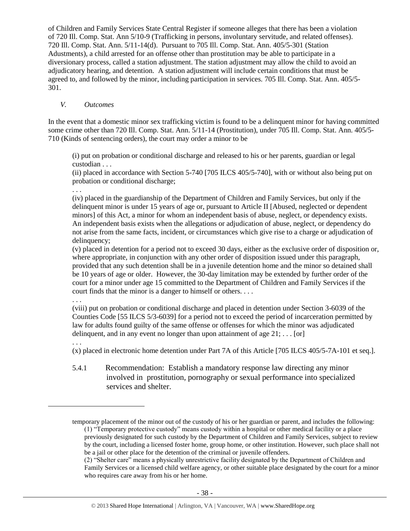of Children and Family Services State Central Register if someone alleges that there has been a violation of 720 Ill. Comp. Stat. Ann 5/10-9 (Trafficking in persons, involuntary servitude, and related offenses). 720 Ill. Comp. Stat. Ann. 5/11-14(d). Pursuant to 705 Ill. Comp. Stat. Ann. 405/5-301 (Station Adustments), a child arrested for an offense other than prostitution may be able to participate in a diversionary process, called a station adjustment. The station adjustment may allow the child to avoid an adjudicatory hearing, and detention. A station adjustment will include certain conditions that must be agreed to, and followed by the minor, including participation in services. 705 Ill. Comp. Stat. Ann. 405/5- 301.

#### *V. Outcomes*

In the event that a domestic minor sex trafficking victim is found to be a delinquent minor for having committed some crime other than 720 Ill. Comp. Stat. Ann. 5/11-14 (Prostitution), under 705 Ill. Comp. Stat. Ann. 405/5- 710 (Kinds of sentencing orders), the court may order a minor to be

(i) put on probation or conditional discharge and released to his or her parents, guardian or legal custodian . . .

(ii) placed in accordance with Section 5-740 [705 ILCS 405/5-740], with or without also being put on probation or conditional discharge;

. . .

(iv) placed in the guardianship of the Department of Children and Family Services, but only if the delinquent minor is under 15 years of age or, pursuant to Article II [Abused, neglected or dependent minors] of this Act, a minor for whom an independent basis of abuse, neglect, or dependency exists. An independent basis exists when the allegations or adjudication of abuse, neglect, or dependency do not arise from the same facts, incident, or circumstances which give rise to a charge or adjudication of delinquency;

(v) placed in detention for a period not to exceed 30 days, either as the exclusive order of disposition or, where appropriate, in conjunction with any other order of disposition issued under this paragraph, provided that any such detention shall be in a juvenile detention home and the minor so detained shall be 10 years of age or older. However, the 30-day limitation may be extended by further order of the court for a minor under age 15 committed to the Department of Children and Family Services if the court finds that the minor is a danger to himself or others. . . .

. . .

. . .

 $\overline{a}$ 

(viii) put on probation or conditional discharge and placed in detention under Section 3-6039 of the Counties Code [55 ILCS 5/3-6039] for a period not to exceed the period of incarceration permitted by law for adults found guilty of the same offense or offenses for which the minor was adjudicated delinquent, and in any event no longer than upon attainment of age  $21; \ldots$  [or]

(x) placed in electronic home detention under Part 7A of this Article [705 ILCS 405/5-7A-101 et seq.].

5.4.1 Recommendation: Establish a mandatory response law directing any minor involved in prostitution, pornography or sexual performance into specialized services and shelter.

temporary placement of the minor out of the custody of his or her guardian or parent, and includes the following: (1) "Temporary protective custody" means custody within a hospital or other medical facility or a place previously designated for such custody by the Department of Children and Family Services, subject to review by the court, including a licensed foster home, group home, or other institution. However, such place shall not

be a jail or other place for the detention of the criminal or juvenile offenders.

(2) "Shelter care" means a physically unrestrictive facility designated by the Department of Children and Family Services or a licensed child welfare agency, or other suitable place designated by the court for a minor who requires care away from his or her home.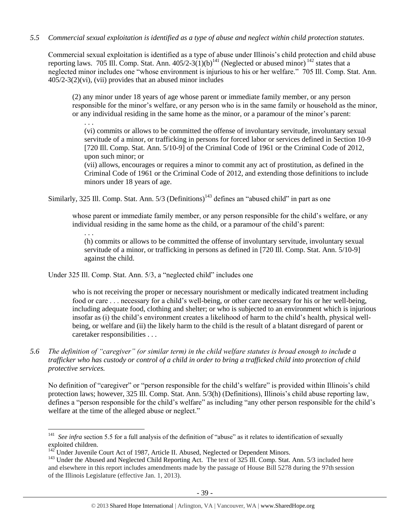#### *5.5 Commercial sexual exploitation is identified as a type of abuse and neglect within child protection statutes.*

Commercial sexual exploitation is identified as a type of abuse under Illinois's child protection and child abuse reporting laws. 705 Ill. Comp. Stat. Ann.  $405/2-3(1)(b)^{141}$  (Neglected or abused minor)  $^{142}$  states that a neglected minor includes one "whose environment is injurious to his or her welfare." 705 Ill. Comp. Stat. Ann. 405/2-3(2)(vi), (vii) provides that an abused minor includes

(2) any minor under 18 years of age whose parent or immediate family member, or any person responsible for the minor's welfare, or any person who is in the same family or household as the minor, or any individual residing in the same home as the minor, or a paramour of the minor's parent:

. . .

(vi) commits or allows to be committed the offense of involuntary servitude, involuntary sexual servitude of a minor, or trafficking in persons for forced labor or services defined in Section 10-9 [720 Ill. Comp. Stat. Ann. 5/10-9] of the Criminal Code of 1961 or the Criminal Code of 2012, upon such minor; or

(vii) allows, encourages or requires a minor to commit any act of prostitution, as defined in the Criminal Code of 1961 or the Criminal Code of 2012, and extending those definitions to include minors under 18 years of age.

Similarly, 325 Ill. Comp. Stat. Ann.  $5/3$  (Definitions)<sup>143</sup> defines an "abused child" in part as one

whose parent or immediate family member, or any person responsible for the child's welfare, or any individual residing in the same home as the child, or a paramour of the child's parent:

. . .

(h) commits or allows to be committed the offense of involuntary servitude, involuntary sexual servitude of a minor, or trafficking in persons as defined in [720 Ill. Comp. Stat. Ann. 5/10-9] against the child.

Under 325 Ill. Comp. Stat. Ann. 5/3, a "neglected child" includes one

who is not receiving the proper or necessary nourishment or medically indicated treatment including food or care . . . necessary for a child's well-being, or other care necessary for his or her well-being, including adequate food, clothing and shelter; or who is subjected to an environment which is injurious insofar as (i) the child's environment creates a likelihood of harm to the child's health, physical wellbeing, or welfare and (ii) the likely harm to the child is the result of a blatant disregard of parent or caretaker responsibilities . . .

*5.6 The definition of "caregiver" (or similar term) in the child welfare statutes is broad enough to include a trafficker who has custody or control of a child in order to bring a trafficked child into protection of child protective services.*

No definition of "caregiver" or "person responsible for the child's welfare" is provided within Illinois's child protection laws; however, 325 Ill. Comp. Stat. Ann. 5/3(h) (Definitions), Illinois's child abuse reporting law, defines a "person responsible for the child's welfare" as including "any other person responsible for the child's welfare at the time of the alleged abuse or neglect."

 $\overline{a}$ <sup>141</sup> *See infra section* 5.5 for a full analysis of the definition of "abuse" as it relates to identification of sexually exploited children.

 $142^{\circ}$ Under Juvenile Court Act of 1987, Article II. Abused, Neglected or Dependent Minors.

<sup>&</sup>lt;sup>143</sup> Under the Abused and Neglected Child Reporting Act. The text of 325 Ill. Comp. Stat. Ann. 5/3 included here and elsewhere in this report includes amendments made by the passage of House Bill 5278 during the 97th session of the Illinois Legislature (effective Jan. 1, 2013).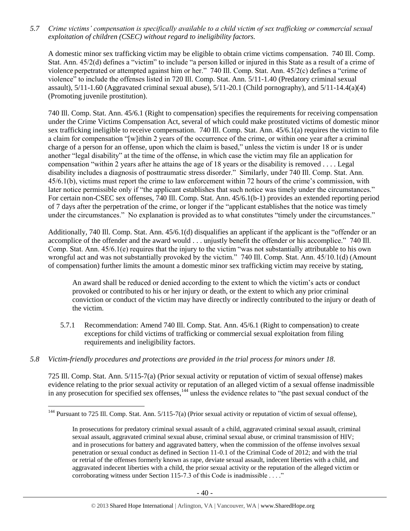*5.7 Crime victims' compensation is specifically available to a child victim of sex trafficking or commercial sexual exploitation of children (CSEC) without regard to ineligibility factors.*

A domestic minor sex trafficking victim may be eligible to obtain crime victims compensation. 740 Ill. Comp. Stat. Ann. 45/2(d) defines a "victim" to include "a person killed or injured in this State as a result of a crime of violence perpetrated or attempted against him or her." 740 Ill. Comp. Stat. Ann. 45/2(c) defines a "crime of violence" to include the offenses listed in 720 Ill. Comp. Stat. Ann. 5/11-1.40 (Predatory criminal sexual assault),  $5/11-1.60$  (Aggravated criminal sexual abuse),  $5/11-20.1$  (Child pornography), and  $5/11-14.4(a)(4)$ (Promoting juvenile prostitution).

740 Ill. Comp. Stat. Ann. 45/6.1 (Right to compensation) specifies the requirements for receiving compensation under the Crime Victims Compensation Act, several of which could make prostituted victims of domestic minor sex trafficking ineligible to receive compensation. 740 Ill. Comp. Stat. Ann. 45/6.1(a) requires the victim to file a claim for compensation "[w]ithin 2 years of the occurrence of the crime, or within one year after a criminal charge of a person for an offense, upon which the claim is based," unless the victim is under 18 or is under another "legal disability" at the time of the offense, in which case the victim may file an application for compensation "within 2 years after he attains the age of 18 years or the disability is removed . . . . Legal disability includes a diagnosis of posttraumatic stress disorder." Similarly, under 740 Ill. Comp. Stat. Ann. 45/6.1(b), victims must report the crime to law enforcement within 72 hours of the crime's commission, with later notice permissible only if "the applicant establishes that such notice was timely under the circumstances." For certain non-CSEC sex offenses, 740 Ill. Comp. Stat. Ann. 45/6.1(b-1) provides an extended reporting period of 7 days after the perpetration of the crime, or longer if the "applicant establishes that the notice was timely under the circumstances." No explanation is provided as to what constitutes "timely under the circumstances."

Additionally, 740 Ill. Comp. Stat. Ann. 45/6.1(d) disqualifies an applicant if the applicant is the "offender or an accomplice of the offender and the award would . . . unjustly benefit the offender or his accomplice." 740 Ill. Comp. Stat. Ann. 45/6.1(e) requires that the injury to the victim "was not substantially attributable to his own wrongful act and was not substantially provoked by the victim." 740 Ill. Comp. Stat. Ann. 45/10.1(d) (Amount of compensation) further limits the amount a domestic minor sex trafficking victim may receive by stating,

An award shall be reduced or denied according to the extent to which the victim's acts or conduct provoked or contributed to his or her injury or death, or the extent to which any prior criminal conviction or conduct of the victim may have directly or indirectly contributed to the injury or death of the victim.

- 5.7.1 Recommendation: Amend 740 Ill. Comp. Stat. Ann. 45/6.1 (Right to compensation) to create exceptions for child victims of trafficking or commercial sexual exploitation from filing requirements and ineligibility factors.
- *5.8 Victim-friendly procedures and protections are provided in the trial process for minors under 18.*

 $\overline{a}$ 

725 Ill. Comp. Stat. Ann. 5/115-7(a) (Prior sexual activity or reputation of victim of sexual offense) makes evidence relating to the prior sexual activity or reputation of an alleged victim of a sexual offense inadmissible in any prosecution for specified sex offenses,<sup>144</sup> unless the evidence relates to "the past sexual conduct of the

<sup>&</sup>lt;sup>144</sup> Pursuant to 725 Ill. Comp. Stat. Ann.  $5/115$ -7(a) (Prior sexual activity or reputation of victim of sexual offense),

In prosecutions for predatory criminal sexual assault of a child, aggravated criminal sexual assault, criminal sexual assault, aggravated criminal sexual abuse, criminal sexual abuse, or criminal transmission of HIV; and in prosecutions for battery and aggravated battery, when the commission of the offense involves sexual penetration or sexual conduct as defined in Section 11-0.1 of the Criminal Code of 2012; and with the trial or retrial of the offenses formerly known as rape, deviate sexual assault, indecent liberties with a child, and aggravated indecent liberties with a child, the prior sexual activity or the reputation of the alleged victim or corroborating witness under Section 115-7.3 of this Code is inadmissible . . . ."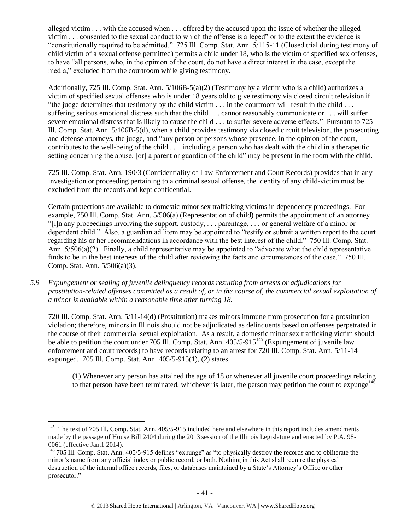alleged victim . . . with the accused when . . . offered by the accused upon the issue of whether the alleged victim . . . consented to the sexual conduct to which the offense is alleged" or to the extent the evidence is "constitutionally required to be admitted." 725 Ill. Comp. Stat. Ann. 5/115-11 (Closed trial during testimony of child victim of a sexual offense permitted) permits a child under 18, who is the victim of specified sex offenses, to have "all persons, who, in the opinion of the court, do not have a direct interest in the case, except the media," excluded from the courtroom while giving testimony.

Additionally, 725 Ill. Comp. Stat. Ann. 5/106B-5(a)(2) (Testimony by a victim who is a child) authorizes a victim of specified sexual offenses who is under 18 years old to give testimony via closed circuit television if "the judge determines that testimony by the child victim . . . in the courtroom will result in the child . . . suffering serious emotional distress such that the child . . . cannot reasonably communicate or . . . will suffer severe emotional distress that is likely to cause the child . . . to suffer severe adverse effects." Pursuant to 725 Ill. Comp. Stat. Ann. 5/106B-5(d), when a child provides testimony via closed circuit television, the prosecuting and defense attorneys, the judge, and "any person or persons whose presence, in the opinion of the court, contributes to the well-being of the child . . . including a person who has dealt with the child in a therapeutic setting concerning the abuse, [or] a parent or guardian of the child" may be present in the room with the child.

725 Ill. Comp. Stat. Ann. 190/3 (Confidentiality of Law Enforcement and Court Records) provides that in any investigation or proceeding pertaining to a criminal sexual offense, the identity of any child-victim must be excluded from the records and kept confidential.

Certain protections are available to domestic minor sex trafficking victims in dependency proceedings. For example, 750 Ill. Comp. Stat. Ann. 5/506(a) (Representation of child) permits the appointment of an attorney "[i]n any proceedings involving the support, custody, . . . parentage, . . . or general welfare of a minor or dependent child." Also, a guardian ad litem may be appointed to "testify or submit a written report to the court regarding his or her recommendations in accordance with the best interest of the child." 750 Ill. Comp. Stat. Ann. 5/506(a)(2). Finally, a child representative may be appointed to "advocate what the child representative finds to be in the best interests of the child after reviewing the facts and circumstances of the case." 750 Ill. Comp. Stat. Ann. 5/506(a)(3).

*5.9 Expungement or sealing of juvenile delinquency records resulting from arrests or adjudications for prostitution-related offenses committed as a result of, or in the course of, the commercial sexual exploitation of a minor is available within a reasonable time after turning 18.*

720 Ill. Comp. Stat. Ann. 5/11-14(d) (Prostitution) makes minors immune from prosecution for a prostitution violation; therefore, minors in Illinois should not be adjudicated as delinquents based on offenses perpetrated in the course of their commercial sexual exploitation. As a result, a domestic minor sex trafficking victim should be able to petition the court under 705 Ill. Comp. Stat. Ann.  $405/5-915^{145}$  (Expungement of juvenile law enforcement and court records) to have records relating to an arrest for 720 Ill. Comp. Stat. Ann. 5/11-14 expunged. 705 Ill. Comp. Stat. Ann. 405/5-915(1), (2) states,

(1) Whenever any person has attained the age of 18 or whenever all juvenile court proceedings relating to that person have been terminated, whichever is later, the person may petition the court to expunge<sup>146</sup>

<sup>&</sup>lt;sup>145</sup> The text of 705 Ill. Comp. Stat. Ann. 405/5-915 included here and elsewhere in this report includes amendments made by the passage of House Bill 2404 during the 2013 session of the Illinois Legislature and enacted by P.A. 98- 0061 (effective Jan.1 2014).

<sup>146</sup> 705 Ill. Comp. Stat. Ann. 405/5-915 defines "expunge" as "to physically destroy the records and to obliterate the minor's name from any official index or public record, or both. Nothing in this Act shall require the physical destruction of the internal office records, files, or databases maintained by a State's Attorney's Office or other prosecutor."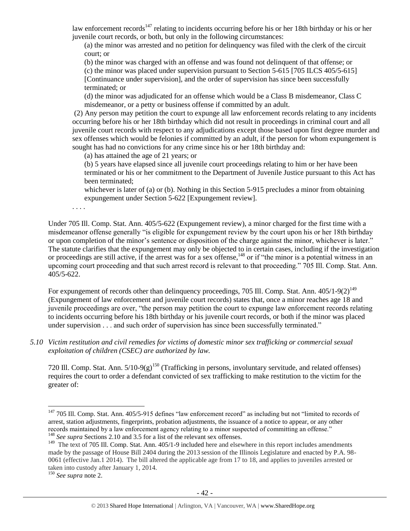law enforcement records<sup>147</sup> relating to incidents occurring before his or her 18th birthday or his or her juvenile court records, or both, but only in the following circumstances:

(a) the minor was arrested and no petition for delinquency was filed with the clerk of the circuit court; or

(b) the minor was charged with an offense and was found not delinquent of that offense; or

(c) the minor was placed under supervision pursuant to Section 5-615 [705 ILCS 405/5-615] [Continuance under supervision], and the order of supervision has since been successfully terminated; or

(d) the minor was adjudicated for an offense which would be a Class B misdemeanor, Class C misdemeanor, or a petty or business offense if committed by an adult.

(2) Any person may petition the court to expunge all law enforcement records relating to any incidents occurring before his or her 18th birthday which did not result in proceedings in criminal court and all juvenile court records with respect to any adjudications except those based upon first degree murder and sex offenses which would be felonies if committed by an adult, if the person for whom expungement is sought has had no convictions for any crime since his or her 18th birthday and:

(a) has attained the age of 21 years; or

(b) 5 years have elapsed since all juvenile court proceedings relating to him or her have been terminated or his or her commitment to the Department of Juvenile Justice pursuant to this Act has been terminated;

whichever is later of (a) or (b). Nothing in this Section 5-915 precludes a minor from obtaining expungement under Section 5-622 [Expungement review].

. . . .

Under 705 Ill. Comp. Stat. Ann. 405/5-622 (Expungement review), a minor charged for the first time with a misdemeanor offense generally "is eligible for expungement review by the court upon his or her 18th birthday or upon completion of the minor's sentence or disposition of the charge against the minor, whichever is later." The statute clarifies that the expungement may only be objected to in certain cases, including if the investigation or proceedings are still active, if the arrest was for a sex offense,<sup>148</sup> or if "the minor is a potential witness in an upcoming court proceeding and that such arrest record is relevant to that proceeding." 705 Ill. Comp. Stat. Ann. 405/5-622.

For expungement of records other than delinquency proceedings, 705 Ill. Comp. Stat. Ann.  $405/1-9(2)^{149}$ (Expungement of law enforcement and juvenile court records) states that, once a minor reaches age 18 and juvenile proceedings are over, "the person may petition the court to expunge law enforcement records relating to incidents occurring before his 18th birthday or his juvenile court records, or both if the minor was placed under supervision . . . and such order of supervision has since been successfully terminated."

*5.10 Victim restitution and civil remedies for victims of domestic minor sex trafficking or commercial sexual exploitation of children (CSEC) are authorized by law.* 

720 Ill. Comp. Stat. Ann.  $5/10-9(g)^{150}$  (Trafficking in persons, involuntary servitude, and related offenses) requires the court to order a defendant convicted of sex trafficking to make restitution to the victim for the greater of:

 $\overline{a}$ <sup>147</sup> 705 Ill. Comp. Stat. Ann. 405/5-915 defines "law enforcement record" as including but not "limited to records of arrest, station adjustments, fingerprints, probation adjustments, the issuance of a notice to appear, or any other records maintained by a law enforcement agency relating to a minor suspected of committing an offense." <sup>148</sup> *See supra* Sections 2.10 and 3.5 for a list of the relevant sex offenses.

<sup>&</sup>lt;sup>149</sup> The text of 705 Ill. Comp. Stat. Ann. 405/1-9 included here and elsewhere in this report includes amendments made by the passage of House Bill 2404 during the 2013 session of the Illinois Legislature and enacted by P.A. 98- 0061 (effective Jan.1 2014). The bill altered the applicable age from 17 to 18, and applies to juveniles arrested or taken into custody after January 1, 2014.

<sup>150</sup> *See supra* not[e 2.](#page-0-0)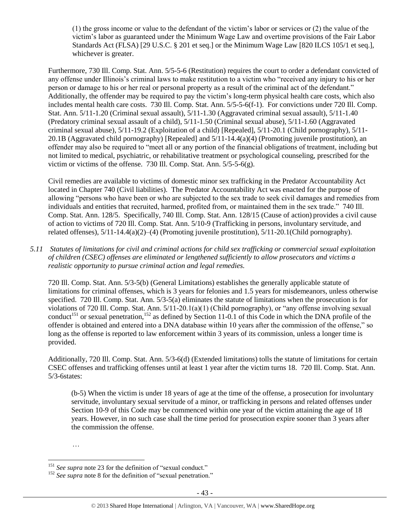(1) the gross income or value to the defendant of the victim's labor or services or (2) the value of the victim's labor as guaranteed under the Minimum Wage Law and overtime provisions of the Fair Labor Standards Act (FLSA) [29 U.S.C. § 201 et seq.] or the Minimum Wage Law [820 ILCS 105/1 et seq.], whichever is greater.

Furthermore, 730 Ill. Comp. Stat. Ann. 5/5-5-6 (Restitution) requires the court to order a defendant convicted of any offense under Illinois's criminal laws to make restitution to a victim who "received any injury to his or her person or damage to his or her real or personal property as a result of the criminal act of the defendant." Additionally, the offender may be required to pay the victim's long-term physical health care costs, which also includes mental health care costs. 730 Ill. Comp. Stat. Ann. 5/5-5-6(f-1). For convictions under 720 Ill. Comp. Stat. Ann. 5/11-1.20 (Criminal sexual assault), 5/11-1.30 (Aggravated criminal sexual assault), 5/11-1.40 (Predatory criminal sexual assault of a child), 5/11-1.50 (Criminal sexual abuse), 5/11-1.60 (Aggravated criminal sexual abuse), 5/11-19.2 (Exploitation of a child) [Repealed], 5/11-20.1 (Child pornography), 5/11- 20.1B (Aggravated child pornography) [Repealed] and 5/11-14.4(a)(4) (Promoting juvenile prostitution), an offender may also be required to "meet all or any portion of the financial obligations of treatment, including but not limited to medical, psychiatric, or rehabilitative treatment or psychological counseling, prescribed for the victim or victims of the offense. 730 Ill. Comp. Stat. Ann. 5/5-5-6(g).

Civil remedies are available to victims of domestic minor sex trafficking in the Predator Accountability Act located in Chapter 740 (Civil liabilities). The Predator Accountability Act was enacted for the purpose of allowing "persons who have been or who are subjected to the sex trade to seek civil damages and remedies from individuals and entities that recruited, harmed, profited from, or maintained them in the sex trade." 740 Ill. Comp. Stat. Ann. 128/5. Specifically, 740 Ill. Comp. Stat. Ann. 128/15 (Cause of action) provides a civil cause of action to victims of 720 Ill. Comp. Stat. Ann. 5/10-9 (Trafficking in persons, involuntary servitude, and related offenses), 5/11-14.4(a)(2)–(4) (Promoting juvenile prostitution), 5/11-20.1(Child pornography).

*5.11 Statutes of limitations for civil and criminal actions for child sex trafficking or commercial sexual exploitation of children (CSEC) offenses are eliminated or lengthened sufficiently to allow prosecutors and victims a realistic opportunity to pursue criminal action and legal remedies.*

720 Ill. Comp. Stat. Ann. 5/3-5(b) (General Limitations) establishes the generally applicable statute of limitations for criminal offenses, which is 3 years for felonies and 1.5 years for misdemeanors, unless otherwise specified. 720 Ill. Comp. Stat. Ann. 5/3-5(a) eliminates the statute of limitations when the prosecution is for violations of 720 Ill. Comp. Stat. Ann. 5/11-20.1(a)(1) (Child pornography), or "any offense involving sexual conduct<sup>151</sup> or sexual penetration,<sup>152</sup> as defined by Section 11-0.1 of this Code in which the DNA profile of the offender is obtained and entered into a DNA database within 10 years after the commission of the offense," so long as the offense is reported to law enforcement within 3 years of its commission, unless a longer time is provided.

Additionally, 720 Ill. Comp. Stat. Ann. 5/3-6(d) (Extended limitations) tolls the statute of limitations for certain CSEC offenses and trafficking offenses until at least 1 year after the victim turns 18. 720 Ill. Comp. Stat. Ann. 5/3-6states:

 (b-5) When the victim is under 18 years of age at the time of the offense, a prosecution for involuntary servitude, involuntary sexual servitude of a minor, or trafficking in persons and related offenses under Section 10-9 of this Code may be commenced within one year of the victim attaining the age of 18 years. However, in no such case shall the time period for prosecution expire sooner than 3 years after the commission the offense.

<sup>…</sup>

<sup>&</sup>lt;sup>151</sup> See supra not[e 23](#page-4-0) for the definition of "sexual conduct."

<sup>&</sup>lt;sup>152</sup> See supra not[e 8](#page-2-0) for the definition of "sexual penetration."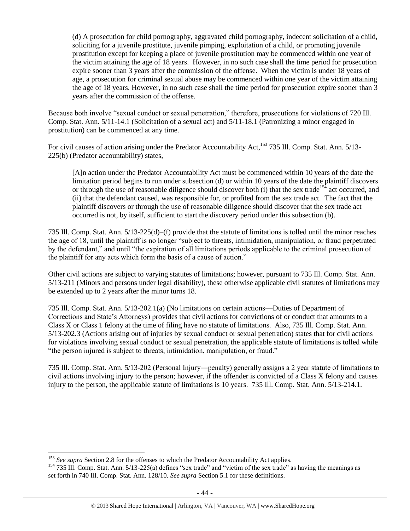(d) A prosecution for child pornography, aggravated child pornography, indecent solicitation of a child, soliciting for a juvenile prostitute, juvenile pimping, exploitation of a child, or promoting juvenile prostitution except for keeping a place of juvenile prostitution may be commenced within one year of the victim attaining the age of 18 years. However, in no such case shall the time period for prosecution expire sooner than 3 years after the commission of the offense. When the victim is under 18 years of age, a prosecution for criminal sexual abuse may be commenced within one year of the victim attaining the age of 18 years. However, in no such case shall the time period for prosecution expire sooner than 3 years after the commission of the offense.

Because both involve "sexual conduct or sexual penetration," therefore, prosecutions for violations of 720 Ill. Comp. Stat. Ann. 5/11-14.1 (Solicitation of a sexual act) and 5/11-18.1 (Patronizing a minor engaged in prostitution) can be commenced at any time.

For civil causes of action arising under the Predator Accountability Act,<sup>153</sup> 735 Ill. Comp. Stat. Ann. 5/13-225(b) (Predator accountability) states,

[A]n action under the Predator Accountability Act must be commenced within 10 years of the date the limitation period begins to run under subsection (d) or within 10 years of the date the plaintiff discovers or through the use of reasonable diligence should discover both (i) that the sex trade<sup>154</sup> act occurred, and (ii) that the defendant caused, was responsible for, or profited from the sex trade act. The fact that the plaintiff discovers or through the use of reasonable diligence should discover that the sex trade act occurred is not, by itself, sufficient to start the discovery period under this subsection (b).

735 Ill. Comp. Stat. Ann. 5/13-225(d)–(f) provide that the statute of limitations is tolled until the minor reaches the age of 18, until the plaintiff is no longer "subject to threats, intimidation, manipulation, or fraud perpetrated by the defendant," and until "the expiration of all limitations periods applicable to the criminal prosecution of the plaintiff for any acts which form the basis of a cause of action."

Other civil actions are subject to varying statutes of limitations; however, pursuant to 735 Ill. Comp. Stat. Ann. 5/13-211 (Minors and persons under legal disability), these otherwise applicable civil statutes of limitations may be extended up to 2 years after the minor turns 18.

735 Ill. Comp. Stat. Ann. 5/13-202.1(a) (No limitations on certain actions—Duties of Department of Corrections and State's Attorneys) provides that civil actions for convictions of or conduct that amounts to a Class X or Class 1 felony at the time of filing have no statute of limitations. Also, 735 Ill. Comp. Stat. Ann. 5/13-202.3 (Actions arising out of injuries by sexual conduct or sexual penetration) states that for civil actions for violations involving sexual conduct or sexual penetration, the applicable statute of limitations is tolled while "the person injured is subject to threats, intimidation, manipulation, or fraud."

735 Ill. Comp. Stat. Ann. 5/13-202 (Personal Injury―penalty) generally assigns a 2 year statute of limitations to civil actions involving injury to the person; however, if the offender is convicted of a Class X felony and causes injury to the person, the applicable statute of limitations is 10 years. 735 Ill. Comp. Stat. Ann. 5/13-214.1.

<sup>&</sup>lt;sup>153</sup> See supra Section 2.8 for the offenses to which the Predator Accountability Act applies.

<sup>&</sup>lt;sup>154</sup> 735 Ill. Comp. Stat. Ann. 5/13-225(a) defines "sex trade" and "victim of the sex trade" as having the meanings as set forth in 740 Ill. Comp. Stat. Ann. 128/10*. See supra* Section 5.1 for these definitions.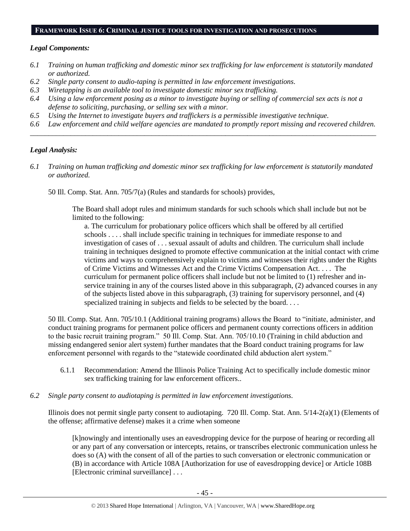#### **FRAMEWORK ISSUE 6: CRIMINAL JUSTICE TOOLS FOR INVESTIGATION AND PROSECUTIONS**

#### *Legal Components:*

- *6.1 Training on human trafficking and domestic minor sex trafficking for law enforcement is statutorily mandated or authorized.*
- *6.2 Single party consent to audio-taping is permitted in law enforcement investigations.*
- *6.3 Wiretapping is an available tool to investigate domestic minor sex trafficking.*
- *6.4 Using a law enforcement posing as a minor to investigate buying or selling of commercial sex acts is not a defense to soliciting, purchasing, or selling sex with a minor.*
- *6.5 Using the Internet to investigate buyers and traffickers is a permissible investigative technique.*
- *6.6 Law enforcement and child welfare agencies are mandated to promptly report missing and recovered children. \_\_\_\_\_\_\_\_\_\_\_\_\_\_\_\_\_\_\_\_\_\_\_\_\_\_\_\_\_\_\_\_\_\_\_\_\_\_\_\_\_\_\_\_\_\_\_\_\_\_\_\_\_\_\_\_\_\_\_\_\_\_\_\_\_\_\_\_\_\_\_\_\_\_\_\_\_\_\_\_\_\_\_\_\_\_\_\_\_\_\_\_\_\_*

#### *Legal Analysis:*

- *6.1 Training on human trafficking and domestic minor sex trafficking for law enforcement is statutorily mandated or authorized.*
	- 50 Ill. Comp. Stat. Ann. 705/7(a) (Rules and standards for schools) provides,

The Board shall adopt rules and minimum standards for such schools which shall include but not be limited to the following:

a. The curriculum for probationary police officers which shall be offered by all certified schools . . . . shall include specific training in techniques for immediate response to and investigation of cases of . . . sexual assault of adults and children. The curriculum shall include training in techniques designed to promote effective communication at the initial contact with crime victims and ways to comprehensively explain to victims and witnesses their rights under the Rights of Crime Victims and Witnesses Act and the Crime Victims Compensation Act. . . . The curriculum for permanent police officers shall include but not be limited to (1) refresher and inservice training in any of the courses listed above in this subparagraph, (2) advanced courses in any of the subjects listed above in this subparagraph, (3) training for supervisory personnel, and (4) specialized training in subjects and fields to be selected by the board....

50 Ill. Comp. Stat. Ann. 705/10.1 (Additional training programs) allows the Board to "initiate, administer, and conduct training programs for permanent police officers and permanent county corrections officers in addition to the basic recruit training program." 50 Ill. Comp. Stat. Ann. 705/10.10 (Training in child abduction and missing endangered senior alert system) further mandates that the Board conduct training programs for law enforcement personnel with regards to the "statewide coordinated child abduction alert system."

- 6.1.1 Recommendation: Amend the Illinois Police Training Act to specifically include domestic minor sex trafficking training for law enforcement officers..
- *6.2 Single party consent to audiotaping is permitted in law enforcement investigations.*

Illinois does not permit single party consent to audiotaping. 720 Ill. Comp. Stat. Ann. 5/14-2(a)(1) (Elements of the offense; affirmative defense) makes it a crime when someone

[k]nowingly and intentionally uses an eavesdropping device for the purpose of hearing or recording all or any part of any conversation or intercepts, retains, or transcribes electronic communication unless he does so (A) with the consent of all of the parties to such conversation or electronic communication or (B) in accordance with Article 108A [Authorization for use of eavesdropping device] or Article 108B [Electronic criminal surveillance] . . .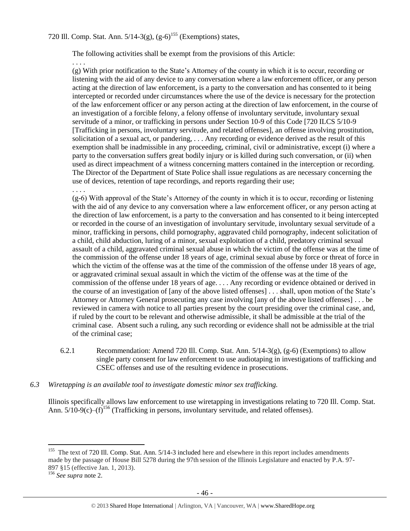The following activities shall be exempt from the provisions of this Article:

(g) With prior notification to the State's Attorney of the county in which it is to occur, recording or listening with the aid of any device to any conversation where a law enforcement officer, or any person acting at the direction of law enforcement, is a party to the conversation and has consented to it being intercepted or recorded under circumstances where the use of the device is necessary for the protection of the law enforcement officer or any person acting at the direction of law enforcement, in the course of an investigation of a forcible felony, a felony offense of involuntary servitude, involuntary sexual servitude of a minor, or trafficking in persons under Section 10-9 of this Code [720 ILCS 5/10-9 [Trafficking in persons, involuntary servitude, and related offenses], an offense involving prostitution, solicitation of a sexual act, or pandering, . . . Any recording or evidence derived as the result of this exemption shall be inadmissible in any proceeding, criminal, civil or administrative, except (i) where a party to the conversation suffers great bodily injury or is killed during such conversation, or (ii) when used as direct impeachment of a witness concerning matters contained in the interception or recording. The Director of the Department of State Police shall issue regulations as are necessary concerning the use of devices, retention of tape recordings, and reports regarding their use;

. . . .

. . . .

(g-6) With approval of the State's Attorney of the county in which it is to occur, recording or listening with the aid of any device to any conversation where a law enforcement officer, or any person acting at the direction of law enforcement, is a party to the conversation and has consented to it being intercepted or recorded in the course of an investigation of involuntary servitude, involuntary sexual servitude of a minor, trafficking in persons, child pornography, aggravated child pornography, indecent solicitation of a child, child abduction, luring of a minor, sexual exploitation of a child, predatory criminal sexual assault of a child, aggravated criminal sexual abuse in which the victim of the offense was at the time of the commission of the offense under 18 years of age, criminal sexual abuse by force or threat of force in which the victim of the offense was at the time of the commission of the offense under 18 years of age, or aggravated criminal sexual assault in which the victim of the offense was at the time of the commission of the offense under 18 years of age. . . . Any recording or evidence obtained or derived in the course of an investigation of [any of the above listed offenses] . . . shall, upon motion of the State's Attorney or Attorney General prosecuting any case involving [any of the above listed offenses] . . . be reviewed in camera with notice to all parties present by the court presiding over the criminal case, and, if ruled by the court to be relevant and otherwise admissible, it shall be admissible at the trial of the criminal case. Absent such a ruling, any such recording or evidence shall not be admissible at the trial of the criminal case;

- 6.2.1 Recommendation: Amend 720 Ill. Comp. Stat. Ann. 5/14-3(g), (g-6) (Exemptions) to allow single party consent for law enforcement to use audiotaping in investigations of trafficking and CSEC offenses and use of the resulting evidence in prosecutions.
- *6.3 Wiretapping is an available tool to investigate domestic minor sex trafficking.*

Illinois specifically allows law enforcement to use wiretapping in investigations relating to 720 Ill. Comp. Stat. Ann.  $5/10-9(c)-(f)^{156}$  (Trafficking in persons, involuntary servitude, and related offenses).

 $\overline{a}$ <sup>155</sup> The text of 720 Ill. Comp. Stat. Ann. 5/14-3 included here and elsewhere in this report includes amendments made by the passage of House Bill 5278 during the 97th session of the Illinois Legislature and enacted by P.A. 97- 897 §15 (effective Jan. 1, 2013).

<sup>156</sup> *See supra* not[e 2.](#page-0-0)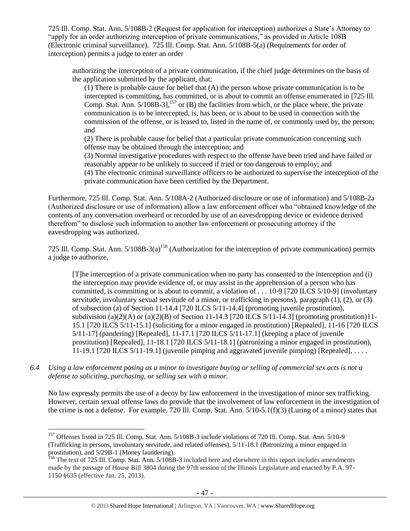725 Ill. Comp. Stat. Ann. 5/108B-2 (Request for application for interception) authorizes a State's Attorney to "apply for an order authorizing interception of private communications," as provided in Article 108B (Electronic criminal surveillance). 725 Ill. Comp. Stat. Ann. 5/108B-5(a) (Requirements for order of interception) permits a judge to enter an order

authorizing the interception of a private communication, if the chief judge determines on the basis of the application submitted by the applicant, that:

(1) There is probable cause for belief that (A) the person whose private communication is to be intercepted is committing, has committed, or is about to commit an offense enumerated in [725 Ill. Comp. Stat. Ann. 5/108B-3],<sup>157</sup> or (B) the facilities from which, or the place where, the private communication is to be intercepted, is, has been, or is about to be used in connection with the commission of the offense, or is leased to, listed in the name of, or commonly used by, the person; and

(2) There is probable cause for belief that a particular private communication concerning such offense may be obtained through the interception; and

(3) Normal investigative procedures with respect to the offense have been tried and have failed or reasonably appear to be unlikely to succeed if tried or too dangerous to employ; and

(4) The electronic criminal surveillance officers to be authorized to supervise the interception of the private communication have been certified by the Department.

Furthermore, 725 Ill. Comp. Stat. Ann. 5/108A-2 (Authorized disclosure or use of information) and 5/108B-2a (Authorized disclosure or use of information) allow a law enforcement officer who "obtained knowledge of the contents of any conversation overheard or recorded by use of an eavesdropping device or evidence derived therefrom" to disclose such information to another law enforcement or prosecuting attorney if the eavesdropping was authorized.

725 Ill. Comp. Stat. Ann.  $5/108B-3(a)^{158}$  (Authorization for the interception of private communication) permits a judge to authorize,

[T]he interception of a private communication when no party has consented to the interception and (i) the interception may provide evidence of, or may assist in the apprehension of a person who has committed, is committing or is about to commit, a violation of . . . 10-9 [720 ILCS 5/10-9] (involuntary servitude, involuntary sexual servitude of a minor, or trafficking in persons), paragraph (1), (2), or (3) of subsection (a) of Section 11-14.4 [720 ILCS 5/11-14.4] (promoting juvenile prostitution), subdivision (a)(2)(A) or (a)(2)(B) of Section 11-14.3 [720 ILCS  $5/11$ -14.3] (promoting prostitution)11-15.1 [720 ILCS 5/11-15.1] (soliciting for a minor engaged in prostitution) [Repealed], 11-16 [720 ILCS 5/11-17] (pandering) [Repealed], 11-17.1 [720 ILCS 5/11-17.1] (keeping a place of juvenile prostitution) [Repealed], 11-18.1 [720 ILCS 5/11-18.1] (patronizing a minor engaged in prostitution), 11-19.1 [720 ILCS 5/11-19.1] (juvenile pimping and aggravated juvenile pimping) [Repealed], . . . .

*6.4 Using a law enforcement posing as a minor to investigate buying or selling of commercial sex acts is not a defense to soliciting, purchasing, or selling sex with a minor.*

No law expressly permits the use of a decoy by law enforcement in the investigation of minor sex trafficking. However, certain sexual offense laws do provide that the involvement of law enforcement in the investigation of the crime is not a defense. For example, 720 Ill. Comp. Stat. Ann. 5/10-5.1(f)(3) (Luring of a minor) states that

<sup>&</sup>lt;sup>157</sup> Offenses listed in 725 Ill. Comp. Stat. Ann. 5/108B-3 include violations of 720 Ill. Comp. Stat. Ann. 5/10-9 (Trafficking in persons, involuntary servitude, and related offenses), 5/11-18.1 (Patronizing a minor engaged in prostitution), and 5/29B-1 (Money laundering).

<sup>&</sup>lt;sup>158</sup> The text of 725 Ill. Comp. Stat. Ann. 5/108B-3 included here and elsewhere in this report includes amendments made by the passage of House Bill 3804 during the 97th session of the Illinois Legislature and enacted by P.A. 97- 1150 §635 (effective Jan. 25, 2013).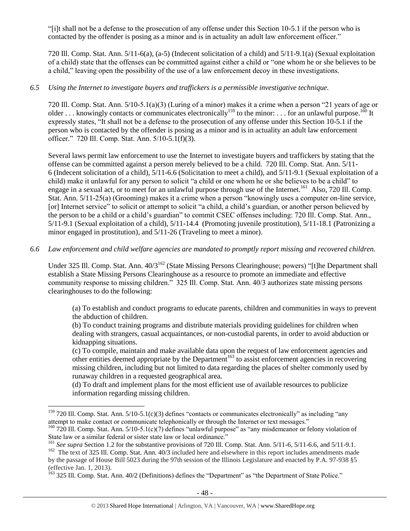"[i]t shall not be a defense to the prosecution of any offense under this Section 10-5.1 if the person who is contacted by the offender is posing as a minor and is in actuality an adult law enforcement officer."

720 Ill. Comp. Stat. Ann. 5/11-6(a), (a-5) (Indecent solicitation of a child) and 5/11-9.1(a) (Sexual exploitation of a child) state that the offenses can be committed against either a child or "one whom he or she believes to be a child," leaving open the possibility of the use of a law enforcement decoy in these investigations.

# *6.5 Using the Internet to investigate buyers and traffickers is a permissible investigative technique.*

720 Ill. Comp. Stat. Ann. 5/10-5.1(a)(3) (Luring of a minor) makes it a crime when a person "21 years of age or older . . . knowingly contacts or communicates electronically<sup>159</sup> to the minor: . . . for an unlawful purpose.<sup>160</sup> It expressly states, "It shall not be a defense to the prosecution of any offense under this Section 10-5.1 if the person who is contacted by the offender is posing as a minor and is in actuality an adult law enforcement officer." 720 Ill. Comp. Stat. Ann. 5/10-5.1(f)(3).

Several laws permit law enforcement to use the Internet to investigate buyers and traffickers by stating that the offense can be committed against a person merely believed to be a child. 720 Ill. Comp. Stat. Ann. 5/11- 6 (Indecent solicitation of a child), 5/11-6.6 (Solicitation to meet a child), and 5/11-9.1 (Sexual exploitation of a child) make it unlawful for any person to solicit "a child or one whom he or she believes to be a child" to engage in a sexual act, or to meet for an unlawful purpose through use of the Internet.<sup>161</sup> Also, 720 Ill. Comp. Stat. Ann. 5/11-25(a) (Grooming) makes it a crime when a person "knowingly uses a computer on-line service, [or] Internet service" to solicit or attempt to solicit "a child, a child's guardian, or another person believed by the person to be a child or a child's guardian" to commit CSEC offenses including: 720 Ill. Comp. Stat. Ann., 5/11-9.1 (Sexual exploitation of a child), 5/11-14.4 (Promoting juvenile prostitution), 5/11-18.1 (Patronizing a minor engaged in prostitution), and 5/11-26 (Traveling to meet a minor).

# *6.6 Law enforcement and child welfare agencies are mandated to promptly report missing and recovered children.*

Under 325 Ill. Comp. Stat. Ann. 40/3<sup>162</sup> (State Missing Persons Clearinghouse; powers) "[t]he Department shall establish a State Missing Persons Clearinghouse as a resource to promote an immediate and effective community response to missing children." 325 Ill. Comp. Stat. Ann. 40/3 authorizes state missing persons clearinghouses to do the following:

(a) To establish and conduct programs to educate parents, children and communities in ways to prevent the abduction of children.

(b) To conduct training programs and distribute materials providing guidelines for children when dealing with strangers, casual acquaintances, or non-custodial parents, in order to avoid abduction or kidnapping situations.

(c) To compile, maintain and make available data upon the request of law enforcement agencies and other entities deemed appropriate by the Department<sup>163</sup> to assist enforcement agencies in recovering missing children, including but not limited to data regarding the places of shelter commonly used by runaway children in a requested geographical area.

(d) To draft and implement plans for the most efficient use of available resources to publicize information regarding missing children.

 $159$  720 Ill. Comp. Stat. Ann.  $5/10-5.1(c)(3)$  defines "contacts or communicates electronically" as including "any attempt to make contact or communicate telephonically or through the Internet or text messages."

 $160$  720 Ill. Comp. Stat. Ann. 5/10-5.1(c)(7) defines "unlawful purpose" as "any misdemeanor or felony violation of State law or a similar federal or sister state law or local ordinance."

<sup>&</sup>lt;sup>161</sup> *See supra* Section 1.2 for the substantive provisions of 720 Ill. Comp. Stat. Ann. 5/11-6, 5/11-6.6, and 5/11-9.1.

<sup>&</sup>lt;sup>162</sup> The text of 325 Ill. Comp. Stat. Ann. 40/3 included here and elsewhere in this report includes amendments made by the passage of House Bill 5023 during the 97th session of the Illinois Legislature and enacted by P.A. 97-938 §5 (effective Jan. 1, 2013).

<sup>&</sup>lt;sup>163</sup> 325 Ill. Comp. Stat. Ann. 40/2 (Definitions) defines the "Department" as "the Department of State Police."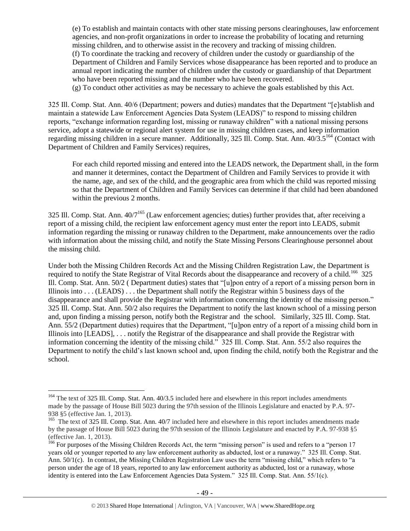(e) To establish and maintain contacts with other state missing persons clearinghouses, law enforcement agencies, and non-profit organizations in order to increase the probability of locating and returning missing children, and to otherwise assist in the recovery and tracking of missing children. (f) To coordinate the tracking and recovery of children under the custody or guardianship of the Department of Children and Family Services whose disappearance has been reported and to produce an annual report indicating the number of children under the custody or guardianship of that Department who have been reported missing and the number who have been recovered.

(g) To conduct other activities as may be necessary to achieve the goals established by this Act.

325 Ill. Comp. Stat. Ann. 40/6 (Department; powers and duties) mandates that the Department "[e]stablish and maintain a statewide Law Enforcement Agencies Data System (LEADS)" to respond to missing children reports, "exchange information regarding lost, missing or runaway children" with a national missing persons service, adopt a statewide or regional alert system for use in missing children cases, and keep information regarding missing children in a secure manner. Additionally, 325 Ill. Comp. Stat. Ann. 40/3.5<sup>164</sup> (Contact with Department of Children and Family Services) requires,

For each child reported missing and entered into the LEADS network, the Department shall, in the form and manner it determines, contact the Department of Children and Family Services to provide it with the name, age, and sex of the child, and the geographic area from which the child was reported missing so that the Department of Children and Family Services can determine if that child had been abandoned within the previous 2 months.

325 Ill. Comp. Stat. Ann. 40/7<sup>165</sup> (Law enforcement agencies; duties) further provides that, after receiving a report of a missing child, the recipient law enforcement agency must enter the report into LEADS, submit information regarding the missing or runaway children to the Department, make announcements over the radio with information about the missing child, and notify the State Missing Persons Clearinghouse personnel about the missing child.

Under both the Missing Children Records Act and the Missing Children Registration Law, the Department is required to notify the State Registrar of Vital Records about the disappearance and recovery of a child.<sup>166</sup> 325 Ill. Comp. Stat. Ann. 50/2 ( Department duties) states that "[u]pon entry of a report of a missing person born in Illinois into . . . (LEADS) . . . the Department shall notify the Registrar within 5 business days of the disappearance and shall provide the Registrar with information concerning the identity of the missing person." 325 Ill. Comp. Stat. Ann. 50/2 also requires the Department to notify the last known school of a missing person and, upon finding a missing person, notify both the Registrar and the school. Similarly, 325 Ill. Comp. Stat. Ann. 55/2 (Department duties) requires that the Department, "[u]pon entry of a report of a missing child born in Illinois into [LEADS], . . . notify the Registrar of the disappearance and shall provide the Registrar with information concerning the identity of the missing child." 325 Ill. Comp. Stat. Ann. 55/2 also requires the Department to notify the child's last known school and, upon finding the child, notify both the Registrar and the school.

<sup>&</sup>lt;sup>164</sup> The text of 325 Ill. Comp. Stat. Ann. 40/3.5 included here and elsewhere in this report includes amendments made by the passage of House Bill 5023 during the 97th session of the Illinois Legislature and enacted by P.A. 97- 938 §5 (effective Jan. 1, 2013).

<sup>&</sup>lt;sup>165</sup> The text of 325 Ill. Comp. Stat. Ann. 40/7 included here and elsewhere in this report includes amendments made by the passage of House Bill 5023 during the 97th session of the Illinois Legislature and enacted by P.A. 97-938 §5 (effective Jan. 1, 2013).

<sup>&</sup>lt;sup>166</sup> For purposes of the Missing Children Records Act, the term "missing person" is used and refers to a "person 17 years old or younger reported to any law enforcement authority as abducted, lost or a runaway." 325 Ill. Comp. Stat. Ann. 50/1(c). In contrast, the Missing Children Registration Law uses the term "missing child," which refers to "a person under the age of 18 years, reported to any law enforcement authority as abducted, lost or a runaway, whose identity is entered into the Law Enforcement Agencies Data System." 325 Ill. Comp. Stat. Ann. 55/1(c).